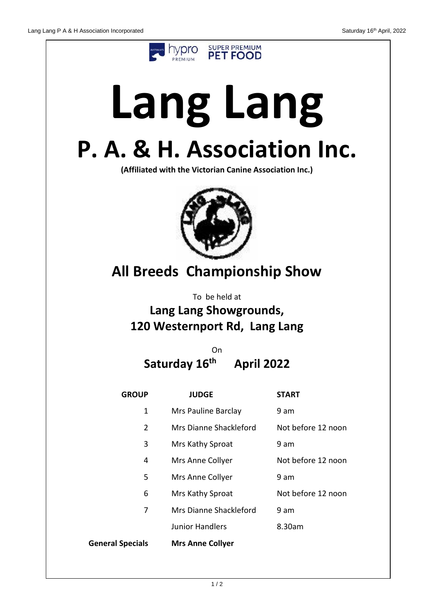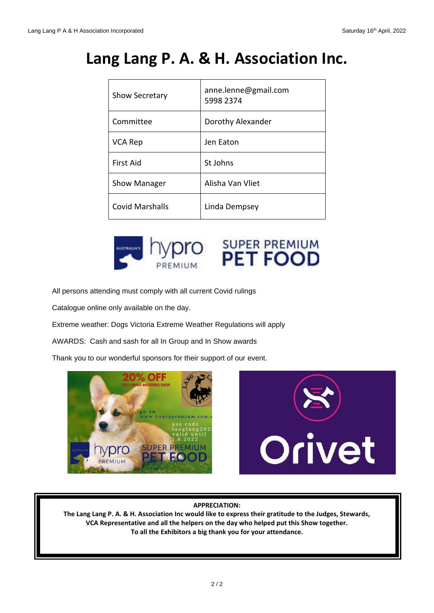# **Lang Lang P. A. & H. Association Inc.**

| <b>Show Secretary</b>  | anne.lenne@gmail.com<br>5998 2374 |
|------------------------|-----------------------------------|
| Committee              | Dorothy Alexander                 |
| VCA Rep                | Jen Eaton                         |
| First Aid              | St Johns                          |
| <b>Show Manager</b>    | Alisha Van Vliet                  |
| <b>Covid Marshalls</b> | Linda Dempsey                     |





All persons attending must comply with all current Covid rulings

Catalogue online only available on the day.

Extreme weather: Dogs Victoria Extreme Weather Regulations will apply

AWARDS: Cash and sash for all In Group and In Show awards

Thank you to our wonderful sponsors for their support of our event.





## **APPRECIATION:**

**The Lang Lang P. A. & H. Association Inc would like to express their gratitude to the Judges, Stewards, VCA Representative and all the helpers on the day who helped put this Show together. To all the Exhibitors a big thank you for your attendance.**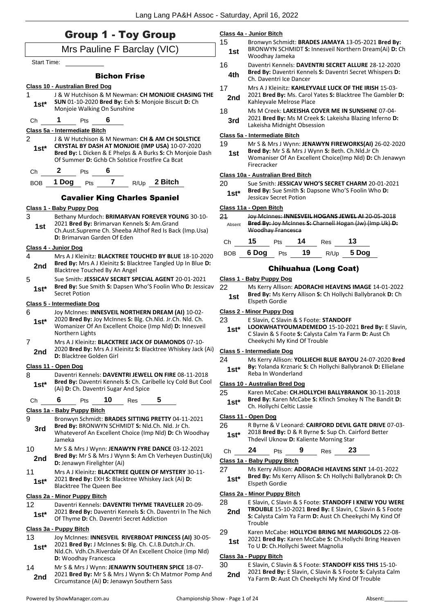|                    | <b>Group 1 - Toy Group</b>                                                                                           |
|--------------------|----------------------------------------------------------------------------------------------------------------------|
|                    | Mrs Pauline F Barclay (VIC)                                                                                          |
| <b>Start Time:</b> |                                                                                                                      |
|                    | <b>Bichon Frise</b>                                                                                                  |
|                    | Class 10 - Australian Bred Dog                                                                                       |
|                    | J & W Hutchison & M Newman: CH MONJOIE CHASING THE                                                                   |
| $1st*$             | SUN 01-10-2020 Bred By: Exh S: Monjoie Biscuit D: Ch                                                                 |
|                    | Monjoie Walking On Sunshine                                                                                          |
| Сh                 | 1<br>6<br>Pts                                                                                                        |
|                    | Class 5a - Intermediate Bitch                                                                                        |
| 2<br>$1st^*$       | J & W Hutchison & M Newman: CH & AM CH SOLSTICE<br>CRYSTAL BY DASH AT MONJOIE (IMP USA) 10-07-2020                   |
|                    | Bred By: L Dicken & E Phelps & A Burks S: Ch Monjoie Dash                                                            |
|                    | Of Summer D: Gchb Ch Solstice Frostfire Ca Bcat                                                                      |
| Сh                 | 2<br>6<br>Pts                                                                                                        |
| BOB                | 7<br>2 Bitch<br>1 Dog<br>R/Up<br>Pts                                                                                 |
|                    | <b>Cavalier King Charles Spaniel</b>                                                                                 |
|                    | Class 1 - Baby Puppy Dog                                                                                             |
|                    | Bethany Murdoch: BRIMARVAN FOREVER YOUNG 30-10-                                                                      |
| 1st                | 2021 Bred By: Brimarvan Kennels S: Am.Grand                                                                          |
|                    | Ch.Aust.Supreme Ch. Sheeba Althof Red Is Back (Imp.Usa)<br><b>D:</b> Brimarvan Garden Of Eden                        |
|                    | Class 4 - Junior Dog                                                                                                 |
| 4                  | Mrs A J Kleinitz: BLACKTREE TOUCHED BY BLUE 18-10-2020                                                               |
| 2nd                | Bred By: Mrs A J Kleinitz S: Blacktree Tangled Up In Blue D:<br>Blacktree Touched By An Angel                        |
|                    | Sue Smith: JESSICAV SECRET SPECIAL AGENT 20-01-2021                                                                  |
| $1st*$             | Bred By: Sue Smith S: Dapsen Who'S Foolin Who D: Jessicav                                                            |
|                    | Secret Potion                                                                                                        |
|                    | Class 5 - Intermediate Dog                                                                                           |
|                    | Joy McInnes: INNESVEIL NORTHERN DREAM (AI) 10-02-<br>2020 Bred By: Joy McInnes S: Blg. Ch.Nld. Jr.Ch. Nld. Ch.       |
| $1st^*$            | Womanizer Of An Excellent Choice (Imp Nld) D: Innesveil                                                              |
|                    | Northern Lights<br>Mrs A J Kleinitz: BLACKTREE JACK OF DIAMONDS 07-10-                                               |
| 7                  | 2020 Bred By: Mrs A J Kleinitz S: Blacktree Whiskey Jack (Ai)                                                        |
| 2nd                | D: Blacktree Golden Girl                                                                                             |
|                    | Class 11 - Open Dog                                                                                                  |
| 8                  | Daventri Kennels: DAVENTRI JEWELL ON FIRE 08-11-2018<br>Bred By: Daventri Kennels S: Ch. Caribelle Icy Cold But Cool |
| $1st*$             | (Ai) <b>D</b> : Ch. Daventri Sugar And Spice                                                                         |
| Сh                 | 6<br>10<br>Res 5<br>Pts                                                                                              |
|                    | Class 1a - Baby Puppy Bitch                                                                                          |
| 9                  | Bronwyn Schmidt: BRADES SITTING PRETTY 04-11-2021                                                                    |
| 3rd                | Bred By: BRONWYN SCHMIDT S: Nld.Ch. Nld. Jr Ch.<br>Whateverof An Excellent Choice (Imp Nld) D: Ch Woodhay            |
|                    | Jameka                                                                                                               |
| 10                 | Mr S & Mrs J Wynn: JENAWYN FYRE DANCE 03-12-2021                                                                     |
| 2nd                | Bred By: Mr S & Mrs J Wynn S: Am Ch Verheyen Dustin(Uk)<br>D: Jenawyn Firelighter (Ai)                               |
| 11                 | Mrs A J Kleinitz: BLACKTREE QUEEN OF MYSTERY 30-11-                                                                  |
| $1st^*$            | 2021 Bred By: EXH S: Blacktree Whiskey Jack (Ai) D:                                                                  |
|                    | <b>Blacktree The Queen Bee</b>                                                                                       |
| 12                 | <b>Class 2a - Minor Puppy Bitch</b><br>Daventri Kennels: DAVENTRI THYME TRAVELLER 20-09-                             |
| $1st^*$            | 2021 Bred By: Daventri Kennels S: Ch. Daventri In The Nich                                                           |
|                    | Of Thyme D: Ch. Daventri Secret Addiction                                                                            |
|                    | Class 3a - Puppy Bitch                                                                                               |
| 13                 | Joy McInnes: INNESVEIL RIVERBOAT PRINCESS (AI) 30-05-<br>2021 Bred By: J McInnes S: Blg. Ch. C.I.B.Dutch.Jr.Ch.      |
| 1st*               | Nld.Ch. Vdh.Ch.Riverdale Of An Excellent Choice (Imp Nld)                                                            |
|                    | D: Woodhay Francesca                                                                                                 |
|                    |                                                                                                                      |

14 Mr S & Mrs J Wynn: **JENAWYN SOUTHERN SPICE** 18-07- 2021 **Bred By:** Mr S & Mrs J Wynn **S:** Ch Matmor Pomp And **2nd 2021 Brea By:** IVIT 3 & IVITS J WYITH **3.** CITIVIAL Circumstance (Ai) **D:** Jenawyn Southern Sass

#### **Class 4a - Junior Bitch**

- 15 Bronwyn Schmidt: **BRADES JAMAYA** 13-05-2021 **Bred By:** BRONWYN SCHMIDT **S:** Innesveil Northern Dream(Ai) **D:** Ch **st** BRONWYN SCHIVII 16 Daventri Kennels: **DAVENTRI SECRET ALLURE** 28-12-2020 **Bred By:** Daventri Kennels **S:** Daventri Secret Whispers **D: th Brea by:** Daventri Kenne<br>Ch. Daventri Ice Dancer
- 17 Mrs A J Kleinitz: **KAHLEYVALE LUCK OF THE IRISH** 15-03- 2021 **Bred By:** Ms. Carol Yates **S:** Blacktree The Gambler **D: nd** Zuzi **Breu By:** IVIS. Carona<br>Kahleyvale Melrose Place
- 18 Ms M Creek: **LAKEISHA COVER ME IN SUNSHINE** 07-04-
- 2021 **Bred By:** Ms M Creek **S:** Lakeisha Blazing Inferno **D: 3rd** 2021 **Brea By:** MS M Creek S:<br>Lakeisha Midnight Obsession

#### **Class 5a - Intermediate Bitch**

19 Mr S & Mrs J Wynn: **JENAWYN FIREWORKS(AI)** 26-02-2020

**Bred By:** Mr S & Mrs J Wynn **S:** Beth. Ch.Nld.Jr Ch Womaniser Of An Excellent Choice(Imp Nld) **D:** Ch Jenawyn Firecracker **1st**

## **Class 10a - Australian Bred Bitch**

- 20 Sue Smith: **JESSICAV WHO'S SECRET CHARM** 20-01-2021
- **Bred By:** Sue Smith **S:** Dapsone Who'S Foolin Who **D: St\* Died by:** Sue Smith St\*<br>Jessicav Secret Potion

## **Class 11a - Open Bitch**

| 21     | Joy McInnes: INNESVEIL HOGANS JEWEL AI 20-05-2018              |
|--------|----------------------------------------------------------------|
| Absent | <b>Bred By: Joy McInnes S: Charnell Hogan (Jw) (Imp Uk) D:</b> |
|        | Woodhay Francesca                                              |
|        |                                                                |

| Ch | 15            | Pts | 14 | Res | -13           |
|----|---------------|-----|----|-----|---------------|
|    | BOB 6 Dog Pts |     |    |     | 19 R/Up 5 Dog |

## Chihuahua (Long Coat)

## **Class 1 - Baby Puppy Dog**

22 Ms Kerry Allison: **ADORACHI HEAVENS IMAGE** 14-01-2022 **Bred By:** Ms Kerry Allison **S:** Ch Hollychi Ballybranok **D:** Ch **st Elspeth Gordie** 

## **Class 2 - Minor Puppy Dog**

- 23 E Slavin, C Slavin & S Foote: **STANDOFF**
- **LOOKWHATYOUMADEMEDO** 15-10-2021 **Bred By:** E Slavin, C Slavin & S Foote **S:** Calysta Calm Ya Farm **D:** Aust Ch Cheekychi My Kind Of Trouble **1st\***

## **Class 5 - Intermediate Dog**

- 24 Ms Kerry Allison: **YOLLIECHI BLUE BAYOU** 24-07-2020 **Bred**
- **By:** Yolanda Krznaric **S:** Ch Hollychi Ballybranok **D:** Ellielane **st\*** By: Yolanda Krznaric<br>Reba In Wonderland

#### **Class 10 - Australian Bred Dog**

- 25 Karen McCabe: **CH.HOLLYCHI BALLYBRANOK** 30-11-2018
- **Bred By:** Karen McCabe **S:** Kfinch Smokey N The Bandit **D: st\*** Brea By: Karen McCabe 3<br>Ch. Hollychi Celtic Lassie

## **Class 11 - Open Dog**

- 26 R Byrne & V Leonard: **CAIRFORD DEVIL GATE DRIVE** 07-03- 2018 **Bred By:** D & R Byrne **S:** Sup Ch. Cairford Better **st**\* 2018 **Bred By:** D & R Byrne S: Sup Cn. Ca<br>Thdevil Uknow **D:** Kaliente Morning Star
- Ch **24** Pts **9** Res **23**

## **Class 1a - Baby Puppy Bitch**

27 Ms Kerry Allison: **ADORACHI HEAVENS SENT** 14-01-2022 **Bred By:** Ms Kerry Allison **S:** Ch Hollychi Ballybranok **D:** Ch **St\*** Bred By: MS Ke<br>Flspeth Gordie

#### **Class 2a - Minor Puppy Bitch**

- 28 E Slavin, C Slavin & S Foote: **STANDOFF I KNEW YOU WERE**
- **TROUBLE** 15-10-2021 **Bred By:** E Slavin, C Slavin & S Foote **S:** Calysta Calm Ya Farm **D:** Aust Ch Cheekychi My Kind Of Trouble **2nd**
- 29 Karen McCabe: **HOLLYCHI BRING ME MARIGOLDS** 22-08-
- 2021 **Bred By:** Karen McCabe **S:** Ch.Hollychi Bring Heaven **st** 2021 **Brea By:** Karen McCape **5:** Cn.f<br>To U **D:** Ch.Hollychi Sweet Magnolia

## **Class 3a - Puppy Bitch**

30 E Slavin, C Slavin & S Foote: **STANDOFF KISS THIS** 15-10- 2021 **Bred By:** E Slavin, C Slavin & S Foote **S:** Calysta Calm **2nd** <sup>2021</sup> Bred By: E Slavin, C Slavin & S Foote S: Calyst Cheekychi My Kind Of Trouble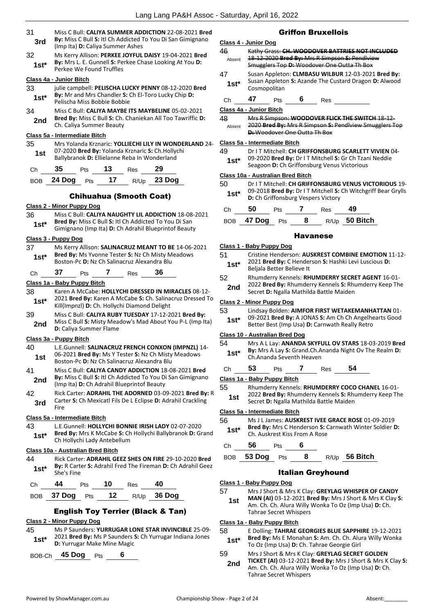| 31<br>3rd     | Miss C Bull: CALIYA SUMMER ADDICTION 22-08-2021 Bred<br>By: Miss C Bull S: Itl Ch Addicted To You Di San Gimignano<br>(Imp Ita) D: Caliya Summer Ashes     | <u>Cla</u> |
|---------------|------------------------------------------------------------------------------------------------------------------------------------------------------------|------------|
| 32<br>$1st^*$ | Ms Kerry Allison: PERKEE JOYFUL DAISY 19-04-2021 Bred<br>By: Mrs L. E. Gunnell S: Perkee Chase Looking At You D:                                           | 46         |
|               | Perkee We Found Truffles                                                                                                                                   | 47         |
|               | Class 4a - Junior Bitch                                                                                                                                    |            |
| 33            | julie campbell: PELISCHA LUCKY PENNY 08-12-2020 Bred                                                                                                       |            |
| $1st^*$       | By: Mr and Mrs Chandler S: Ch El-Toro Lucky Chip D:<br>Pelischa Miss Bobbie Bobbie                                                                         | C          |
| 34            | Miss C Bull: CALIYA MAYBE ITS MAYBELINE 05-02-2021                                                                                                         | CΙa        |
| 2nd           | Bred By: Miss C Bull S: Ch. Chaniekan All Too Tawriffic D:<br>Ch. Caliya Summer Beauty                                                                     | 48         |
|               | Class 5a - Intermediate Bitch                                                                                                                              |            |
| 35            | Mrs Yolanda Krznaric: YOLLIECHI LILY IN WONDERLAND 24-                                                                                                     | <u>Cla</u> |
| 1st           | 07-2020 Bred By: Yolanda Krznaric S: Ch.Hollychi<br>Ballybranok D: Ellielanne Reba In Wonderland                                                           | 49         |
| Ch            | 13<br>35<br>29<br>Pts<br>Res                                                                                                                               |            |
| <b>BOB</b>    | 23 Dog<br>24 Doa<br>$-17$<br>Pts<br>R/Up                                                                                                                   | CΙa<br>50  |
|               | <b>Chihuahua (Smooth Coat)</b>                                                                                                                             |            |
|               | Class 2 - Minor Puppy Dog                                                                                                                                  |            |
| 36            | Miss C Bull: CALIYA NAUGHTY LIL ADDICTION 18-08-2021                                                                                                       | C          |
| 1st*          | Bred By: Miss C Bull S: Itl Ch Addicted To You Di San<br>Gimignano (Imp Ita) D: Ch Adrahil Blueprintof Beauty                                              | В          |
|               | <u> Class 3 - Puppy Dog</u>                                                                                                                                |            |
| 37            | Ms Kerry Allison: SALINACRUZ MEANT TO BE 14-06-2021                                                                                                        | <u>Cla</u> |
| 1st*          | Bred By: Ms Yvonne Tester S: Nz Ch Misty Meadows<br>Boston-Pc D: Nz Ch Salinacruz Alexandra Blu                                                            | 51         |
| Ch            | 37<br>7<br>36<br>Pts<br>Res                                                                                                                                | 52         |
|               | Class 1a - Baby Puppy Bitch                                                                                                                                |            |
| 38            | Karen A McCabe: HOLLYCHI DRESSED IN MIRACLES 08-12-                                                                                                        |            |
| $1st*$        | 2021 Bred By: Karen A McCabe S: Ch. Salinacruz Dressed To<br>Kill(Impnzl) D: Ch. Hollychi Diamond Delight                                                  | CΙa<br>53  |
| 39            | Miss C Bull: CALIYA RUBY TUESDAY 17-12-2021 Bred By:                                                                                                       |            |
| 2nd           | Miss C Bull S: Misty Meadow's Mad About You P-L (Imp Ita)<br>D: Caliya Summer Flame                                                                        |            |
|               | Class 3a - Puppy Bitch                                                                                                                                     | <u>Cla</u> |
| 1st           | 40 L.E.Gunnell: SALINACRUZ FRENCH CONXON (IMPNZL) 14<br>06-2021 Bred By: Ms Y Tester S: Nz Ch Misty Meadows<br>Boston-Pc D: Nz Ch Salinacruz Alexandra Blu | 54         |
| 41            | Miss C Bull: CALIYA CANDY ADDICTION 18-08-2021 Bred                                                                                                        | C          |
| 2nd           | By: Miss C Bull S: Itl Ch Addicted To You Di San Gimignano<br>(Imp Ita) D: Ch Adrahil Blueprintof Beauty                                                   | <u>Cla</u> |
| 42            | Rick Carter: ADRAHIL THE ADORNED 03-09-2021 Bred By: R                                                                                                     | 55         |
| 3rd           | Carter S: Ch Mexicatl Fils De L Eclipse D: Adrahil Crackling<br>Fire                                                                                       |            |
|               | Class 5a - Intermediate Bitch                                                                                                                              | <u>Cla</u> |
|               | L.E.Gunnell: HOLLYCHI BONNIE IRISH LADY 02-07-2020                                                                                                         | 56         |
| 43<br>$1st^*$ | Bred By: Mrs K McCabe S: Ch Hollychi Ballybranok D: Grand<br>Ch Hollychi Lady Antebellum                                                                   |            |
|               | Class 10a - Australian Bred Bitch                                                                                                                          | C          |
| 44            | Rick Carter: ADRAHIL GEEZ SHES ON FIRE 29-10-2020 Bred                                                                                                     | В          |
| $1st^*$       | By: R Carter S: Adrahil Fred The Fireman D: Ch Adrahil Geez<br>She's Fine                                                                                  |            |
| Ch            | 44<br>40<br>10<br>Pts<br>Res                                                                                                                               | <u>Cla</u> |
|               | 12<br>R/Up 36 Dog<br>BOB 37 Dog Pts                                                                                                                        | 57         |
|               |                                                                                                                                                            |            |
|               | <b>English Toy Terrier (Black &amp; Tan)</b>                                                                                                               |            |
|               | <b>Class 2 - Minor Puppy Dog</b>                                                                                                                           | <u>Cla</u> |
| 45            | Ms P Saunders: YURRUGAR LONE STAR INVINCIBLE 25-09-                                                                                                        | 58         |
| $1st^*$       | 2021 Bred By: Ms P Saunders S: Ch Yurrugar Indiana Jones                                                                                                   |            |
|               | D: Yurrugar Make Mine Magic                                                                                                                                |            |

BOB-Ch **45 Dog** Pts **6**

## Griffon Bruxellois

## **Class 4 - Junior Dog**

- 46 Kathy Grass: **CH. WOODOVER BATTRIES NOT INCLUDED** 18-12-2020 **Bred By:** Mrs R Simpson **S:** Pendlview Smugglers Top **D:** Woodover One Outta Th Box Absent
- 47 Susan Appleton: **CLMBASU WILBUR** 12-03-2021 **Bred By:** Susan Appleton **S:** Azande The Custard Dragon **D:** Alwood **1st**\* Susan Appleto<br>Cosmopolitan

## Ch **47** Pts **6** Res

**Class 4a - Junior Bitch**

48 Mrs R Simpson: **WOODOVER FLICK THE SWITCH** 18-12- 2020 **Bred By:** Mrs R Simpson **S:** Pendlview Smugglers Top **D:** Woodover One Outta Th Box Absent

#### **Class 5a - Intermediate Bitch**

49 Dr I T Mitchell: **CH GRIFFONSBURG SCARLETT VIVIEN** 04- 09-2020 **Bred By:** Dr I T Mitchell **S:** Gr Ch Tzani Neddie Seagoon **D:** Ch Griffonsburg Venus Victorious **1st\***

#### **Class 10a - Australian Bred Bitch**

| 50     | Dr I T Mitchell: CH GRIFFONSBURG VENUS VICTORIOUS 19-         |
|--------|---------------------------------------------------------------|
| $1st*$ | 09-2018 Bred By: Dr I T Mitchell S: Ch Witchgriff Bear Grylls |
|        | D: Ch Griffonsburg Vespers Victory                            |

| Ch | 50 | <b>Pts</b> | Res | 49                             |
|----|----|------------|-----|--------------------------------|
|    |    |            |     | BOB 47 Dog Pts 8 R/Up 50 Bitch |

## Havanese

### **Class 1 - Baby Puppy Dog**

| 51     | Cristine Henderson: AUSKREST COMBINE EMOTION 11-12-  |
|--------|------------------------------------------------------|
| $1st*$ | 2021 Bred By: C Henderson S: Hashki Levi Luscious D: |
|        | Beljala Better Believe It                            |
|        |                                                      |

52 Rhumderry Kennels: **RHUMDERRY SECRET AGENT** 16-01- 2022 **Bred By:** Rhumderry Kennels **S:** Rhumderry Keep The 2nd 2022 Brea By: Rhumderry Renners 5: Rhi<br>Secret D: Ngalla Mathilda Battle Maiden

#### **Class 2 - Minor Puppy Dog**

| 53 | Lindsay Bolden: AIMFOR FIRST WETAKEMANHATTAN 01-      |
|----|-------------------------------------------------------|
|    | 09-2021 Bred By: A JONAS S: Am Ch Ch Angelhearts Good |

09-2021 **Bred By:** A JONAS **S:** Am Ch Ch Angelhearts Good Better Best (Imp Usa) **D:** Carnwath Really Retro **1st\***

## **Class 10 - Australian Bred Dog**

- 54 Mrs A L Lay: **ANANDA SKYFULL OV STARS** 18-03-2019 **Bred By:** Mrs A Lay **S:** Grand.Ch.Ananda Night Ov The Realm **D: 1st\*** By: Mrs A Lay S: Grand.Ch.A<br>Ch.Ananda Seventh Heaven
- Ch **53** Pts **7** Res **54**

## **Class 1a - Baby Puppy Bitch**

- 55 Rhumderry Kennels: **RHUMDERRY COCO CHANEL** 16-01- 2022 **Bred By:** Rhumderry Kennels **S:** Rhumderry Keep The **1st** <sup>2022</sup> **brea by: Knumaerry Kenners 5: Knu**<br>Secret **D:** Ngalla Mathilda Battle Maiden
	-

## **Class 5a - Intermediate Bitch**

56 Ms J L James: **AUSKREST IVEE GRACE ROSE** 01-09-2019 **Bred By:** Mrs C Henderson **S:** Carnwath Winter Soldier **D: 1st\*** Bred By: Mrs C Henderson S: Ch. Auskrest Kiss From A Rose

## Ch **56** Pts **6**

BOB **53 Dog** Pts **8** R/Up **56 Bitch**

## Italian Greyhound

**Class 1 - Baby Puppy Dog**

- 57 Mrs J Short & Mrs K Clay: **GREYLAG WHISPER OF CANDY MAN (AI)** 03-12-2021 **Bred By:** Mrs J Short & Mrs K Clay **S: 1st**
	- Am. Ch. Ch. Alura Willy Wonka To Oz (Imp Usa) **D:** Ch. Tahrae Secret Whispers

## **Class 1a - Baby Puppy Bitch**

#### 58 E Dolling: **TAHRAE GEORGIES BLUE SAPPHIRE** 19-12-2021 **Bred By:** Ms E Monahan **S:** Am. Ch. Ch. Alura Willy Wonka **1st**\* **Bred By:** WIS E MONARE STAM. Ch. Ch. Alu To Oz (Imp Usa) **D**: Ch. Tahrae Georgie Girl

- 59 Mrs J Short & Mrs K Clay: **GREYLAG SECRET GOLDEN**
- **TICKET (AI)** 03-12-2021 **Bred By:** Mrs J Short & Mrs K Clay **S:**  Am. Ch. Ch. Alura Willy Wonka To Oz (Imp Usa) **D:** Ch. Tahrae Secret Whispers **2nd**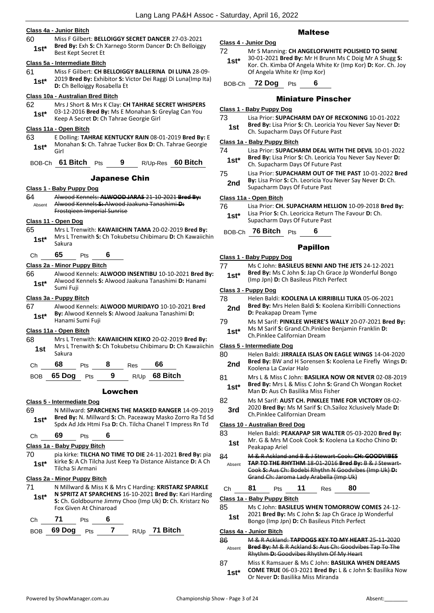## **Class 4a - Junior Bitch**

60 Miss F Gilbert: **BELLOIGGY SECRET DANCER** 27-03-2021 **Bred By:** Exh **S:** Ch Xarnego Storm Dancer **D:** Ch Belloiggy **1st\* Bready: EXITS: CITT**<br>Best Kept Secret Et

#### **Class 5a - Intermediate Bitch**

61 Miss F Gilbert: **CH BELLOIGGY BALLERINA DI LUNA** 28-09- 2019 **Bred By:** Exhibitor **S:** Victor Dei Raggi Di Luna(Imp Ita) **1st**\* **D:** Ch Belloiggy Rosabella Et **1st** 

## **Class 10a - Australian Bred Bitch**

62 Mrs J Short & Mrs K Clay: **CH TAHRAE SECRET WHISPERS** 03-12-2016 **Bred By:** Ms E Monahan **S:** Greylag Can You **1st**\* U3-12-2016 **Bred By:** MS E Monahan S: **Q**<br>Keep A Secret D: Ch Tahrae Georgie Girl

#### **Class 11a - Open Bitch**

63 E Dolling: **TAHRAE KENTUCKY RAIN** 08-01-2019 **Bred By:** E Monahan **S:** Ch. Tahrae Tucker Box **D:** Ch. Tahrae Georgie Girl **1st\***

## BOB-Ch **61 Bitch** Pts **9** R/Up-Res **60 Bitch**

#### Japanese Chin

## **Class 1 - Baby Puppy Dog**

64 Alwood Kennels: **ALWOOD JARAS** 21-10-2021 **Bred By:** Alwood Kennels **S:** Alwood Jaakuna Tanashimi **D: Frostgieen Imperial Sunrise** Absent

## **Class 11 - Open Dog**

65 Mrs L Trenwith: **KAWAIICHIN TAMA** 20-02-2019 **Bred By:** Mrs L Trenwith **S:** Ch Tokubetsu Chibimaru **D:** Ch Kawaiichin **1st**\* Mrs L<br>Sakura

## Ch **65** Pts **6**

## **Class 2a - Minor Puppy Bitch**

66 Alwood Kennels: **ALWOOD INSENTIBU** 10-10-2021 **Bred By:** Alwood Kennels **S:** Alwood Jaakuna Tanashimi **D:** Hanami 1st<sup>\*</sup> Alwood K<br>Sumi Fuji

#### **Class 3a - Puppy Bitch**

67 Alwood Kennels: **ALWOOD MURIDAYO** 10-10-2021 **Bred By:** Alwood Kennels **S:** Alwood Jaakuna Tanashimi **D:**  Hanami Sumi Fuji **1st\***

## **Class 11a - Open Bitch**

68 Mrs L Trenwith: **KAWAIICHIN KEIKO** 20-02-2019 **Bred By:** Mrs L Trenwith **S:** Ch Tokubetsu Chibimaru **D:** Ch Kawaiichin **1st** Mrs L<br>Sakura

| Сh         | 68     |                 | Res   |                |  |
|------------|--------|-----------------|-------|----------------|--|
| <b>DOD</b> | 65 Dog | D <sub>to</sub> | D/1 h | <b>68 Rito</b> |  |

#### Lowchen

#### **Class 5 - Intermediate Dog**

69 N Millward: **SPARCHENS THE MASKED RANGER** 14-09-2019 **Bred By:** N. Millward **S:** Ch. Paceaway Masko Zorro Ra Td Sd Spdx Ad Jdx Htmi Fsa **D:** Ch. Tilcha Chanel T Impress Rn Td **1st\***

## Ch **69** Pts **6 Class 1a - Baby Puppy Bitch**

70 pia kirke: **TILCHA NO TIME TO DIE** 24-11-2021 **Bred By:** pia kirke **S:** A Ch Tilcha Just Keep Ya Distance Aiistance **D:** A Ch **1st** Kirke S: A Ch Tild<br>Tilcha Si Armani

#### **Class 2a - Minor Puppy Bitch**

71 N Millward & Miss K & Mrs C Harding: **KRISTARZ SPARKLE N SPRITZ AT SPARCHENS** 16-10-2021 **Bred By:** Kari Harding **S:** Ch. Goldbourne Jimmy Choo (Imp Uk) **D:** Ch. Kristarz No Fox Given At Chinaroad **1st\***

| Ch $71$ Pts |  |                                |
|-------------|--|--------------------------------|
|             |  | BOB 69 Dog Pts 7 R/Up 71 Bitch |

## Maltese

- **Class 4 - Junior Dog** 72 Mr S Manning: **CH ANGELOFWHITE POLISHED TO SHINE**
	- 30-01-2021 **Bred By:** Mr H Brunn Ms C Doig Mr A Shugg **S:**  Kor. Ch. Kimba Of Angela White Kr (Imp Kor) **D:** Kor. Ch. Joy Of Angela White Kr (Imp Kor) **1st\***

BOB-Ch **72 Dog** Pts **6**

## Miniature Pinscher

#### **Class 1 - Baby Puppy Dog**

- 73 Lisa Prior: **SUPACHARM DAY OF RECKONING** 10-01-2022
- **Bred By:** Lisa Prior **S:** Ch. Leoricia You Never Say Never **D:**
- **1st** Brea by: Lisa Prior S: Ch. Leoricia Yo<br>Ch. Supacharm Days Of Future Past

## **Class 1a - Baby Puppy Bitch**

- 74 Lisa Prior: **SUPACHARM DEAL WITH THE DEVIL** 10-01-2022 **Bred By:** Lisa Prior **S:** Ch. Leoricia You Never Say Never **D: 1st\*** Brea By: Lisa Prior S: Ch. Leoricia Your Ch. Supacharm Days Of Future Past
- 75 Lisa Prior: **SUPACHARM OUT OF THE PAST** 10-01-2022 **Bred By:** Lisa Prior **S:** Ch. Leoricia You Never Say Never **D:** Ch. **2nd By:** Lisa Prior S: Cn. Leoricia You<br>Supacharm Days Of Future Past

#### **Class 11a - Open Bitch**

76 Lisa Prior: **CH. SUPACHARM HELLION** 10-09-2018 **Bred By:** Lisa Prior **S:** Ch. Leoricica Return The Favour **D:** Ch. **1st**\* Lisa Prior **5**: Cn. Leoricica Return<br>Supacharm Days Of Future Past

BOB-Ch **76 Bitch** Pts **6**

## Papillon

## **Class 1 - Baby Puppy Dog**

| 77     | Ms C John: BASILEUS BENNI AND THE JETS 24-12-2021     |
|--------|-------------------------------------------------------|
| $1st*$ | Bred By: Ms C John S: Jap Ch Grace Jp Wonderful Bongo |
|        | (Imp Jpn) D: Ch Basileus Pitch Perfect                |

#### **Class 3 - Puppy Dog**

| 78 | Helen Baldi: KOOLENA LA KIRRIBILLI TUKA 05-06-2021                |
|----|-------------------------------------------------------------------|
|    | <b>Duad Dui Mec Holon Daldi C. Koolong Kirribilli Connoctions</b> |

- **Bred By:** Mrs Helen Baldi **S:** Koolena Kirribilli Connections **2nd** Bred By: Mrs Helen Baldi S<br>D: Peakapap Dream Tyme
- 79 Ms M Sarif: **PINKLEE WHERE'S WALLY** 20-07-2021 **Bred By:** Ms M Sarif **S:** Grand.Ch.Pinklee Benjamin Franklin **D:** 
	- **1st**\* MIS IVI Sarif **5:** Grand.Cn.Pinklend Dream

## **Class 5 - Intermediate Dog**

- 80 Helen Baldi: **JIRRALEA ISLAS ON EAGLE WINGS** 14-04-2020 **Bred By:** BW and H Sorensen **S:** Koolena Le Firefly Wings **D: 2nd Brea By:** BW and H Sor
- 81 Mrs L & Miss C John: **BASILIKA NOW OR NEVER** 02-08-2019
- **Bred By:** Mrs L & Miss C John **S:** Grand Ch Wongan Rocket **1st\*** Bred By: Mrs L & Miss C John S: Grad By: Aus Ch Basilika Miss Fisher
- 82 Ms M Sarif: **AUST CH. PINKLEE TIME FOR VICTORY** 08-02- 2020 **Bred By:** Ms M Sarif **S:** Ch.Sailoz Xclusively Made **D:** 
	- **3rd** 2020 **Bred By:** MS M Sarif S: Ch.Pinklee Californian Dream

## **Class 10 - Australian Bred Dog**

- 83 Helen Baldi: **PEAKAPAP SIR WALTER** 05-03-2020 **Bred By:** Mr. G & Mrs M Cook Cook **S:** Koolena La Kocho Chino **D:**  Peakapap Ariel **1st**
- 84 M & R Ackland and B & J Stewart-Cook: **CH: GOODVIBES TAP TO THE RHYTHM** 18-01-2016 **Bred By:** B & J Stewart-Cook **S:** Aus Ch: Bodebi Rhythn N Goodvibes (Imp Uk) **D:**  Grand Ch: Jaroma Lady Arabella (Imp Uk) Absent

|  | τs | 'es | 80 |
|--|----|-----|----|
|  |    |     |    |

## **Class 1a - Baby Puppy Bitch**

- 85 Ms C John: **BASILEUS WHEN TOMORROW COMES** 24-12-
	- 2021 **Bred By:** Ms C John **S:** Jap Ch Grace Jp Wonderful **1st** *LOZI* **Brea by:** MS C JOHN **3:** Jap Ch Grace Jp **1**<br>Bongo (Imp Jpn) **D:** Ch Basileus Pitch Perfect
	-

## **Class 4a - Junior Bitch**

- 86 M & R Ackland: **TAPDOGS KEY TO MY HEART** 25-11-2020 **Bred By:** M & R Ackland **S:** Aus Ch: Goodvibes Tap To The Rhythm **D:** Goodvibes Rhythm Of My Heart Absent
- 87 Miss K Ramsauer & Ms C John: **BASILIKA WHEN DREAMS COME TRUE** 06-03-2021 **Bred By:** L & c John **S:** Basilika Now **1st\*** COME INDE 06-03-2021 Brea By:<br>Or Never D: Basilika Miss Miranda

BOB **65 Dog** Pts **9** R/Up **68 Bitch**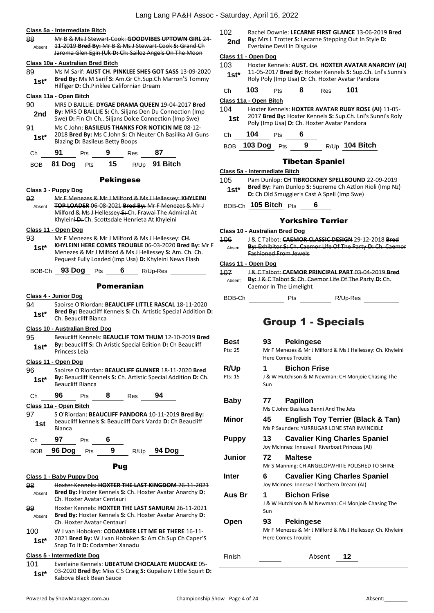#### **Class 5a - Intermediate Bitch**

88 Mr B & Ms J Stewart-Cook: **GOODVIBES UPTOWN GIRL** 24- 11-2019 **Bred By:** Mr B & Ms J Stewart-Cook **S:** Grand Ch Jaroma Glen Egin (Uk **D:** Ch: Sailoz Angels On The Moon Absent **Class 10a - Australian Bred Bitch**

89 Ms M Sarif: **AUST CH. PINKLEE SHES GOT SASS** 13-09-2020 **Bred By:** Ms M Sarif **S:** Am.Gr Ch.Sup.Ch Marron'S Tommy Hilfiger **D:** Ch.Pinklee Californian Dream **1st\***

#### **Class 11a - Open Bitch**

- 90 MRS D BAILLIE: **DYGAE DRAMA QUEEN** 19-04-2017 **Bred By:** MRS D BAILLIE **S:** Ch. Siljans Den Du Connection (Imp **2nd** By: MRS D BAILLIE **S:** Ch. Siljans Den Du Connection (Im<br>
Swe) **D:** Fin Ch Ch.. Siljans Dolce Connection (Imp Swe)
- 91 Ms C John: **BASILEUS THANKS FOR NOTICIN ME** 08-12- 2018 **Bred By:** Ms C John **S:** Ch Neuter Ch Basilika All Guns Blazing **D:** Basileus Betty Boops **1st\***

| Ch — | 91 | Pts | $9$ Res |                                 |
|------|----|-----|---------|---------------------------------|
|      |    |     |         | BOB 81 Dog Pts 15 R/Up 91 Bitch |

### Pekingese

## **Class 3 - Puppy Dog**

92 Mr F Menezes & Mr J Milford & Ms J Hellessey: **KHYLEINI TOP LOADER** 06-08-2021 **Bred By:** Mr F Menezes & Mr J Milford & Ms J Hellessey **S:** Ch. Frawai The Admiral At Khyleini **D:** Ch. Scottsdale Henrieta At Khyleini Absent

#### **Class 11 - Open Dog**

- 93 Mr F Menezes & Mr J Milford & Ms J Hellessey: **CH.**
- **KHYLEINI HERE COMES TROUBLE** 06-03-2020 **Bred By:** Mr F Menezes & Mr J Milford & Ms J Hellessey **S:** Am. Ch. Ch. Pequest Fully Loaded (Imp Usa) **D:** Khyleini News Flash **1st\***
- BOB-Ch **93 Dog** Pts **6** R/Up-Res

## Pomeranian

#### **Class 4 - Junior Dog**

94 Saoirse O'Riordan: **BEAUCLIFF LITTLE RASCAL** 18-11-2020 **Bred By:** Beaucliff Kennels **S:** Ch. Artistic Special Addition **D: 1st\* Drea By: Beauchiff Rianca Ch. Beaucliff Bianca** 

## **Class 10 - Australian Bred Dog**

95 Beaucliff Kennels: **BEAUCLIF TOM THUM** 12-10-2019 **Bred By:** beaucliff **S:** Ch Aristic Special Edition **D:** Ch Beaucliff **1st\* By: Deaucility**<br>**Princess Leia** 

#### **Class 11 - Open Dog**

96 Saoirse O'Riordan: **BEAUCLIFF GUNNER** 18-11-2020 **Bred By:** Beaucliff Kennels **S:** Ch. Artistic Special Addition **D:** Ch. **1st\* By: Beaucliff Bianca** 

Ch **96** Pts **8** Res **94**

## **Class 11a - Open Bitch**

97 S O'Riordan: **BEAUCLIFF PANDORA** 10-11-2019 **Bred By:** beaucliff kennels **S:** Beaucliff Dark Varda **D:** Ch Beaucliff **1st Deauch**<br>Bianca Ch **97** Pts **6**

BOB **96 Dog** Pts **9** R/Up **94 Dog**

## Pug

#### **Class 1 - Baby Puppy Dog**

- 98 Hoxter Kennels: **HOXTER THE LAST KINGDOM** 26-11-2021 **Bred By:** Hoxter Kennels **S:** Ch. Hoxter Avatar Anarchy **D:**  Ch. Hoxter Avatar Centauri Absent 99 Hoxter Kennels: **HOXTER THE LAST SAMURAI** 26-11-2021 **Bred By:** Hoxter Kennels **S:** Ch. Hoxter Avatar Anarchy **D:**  Ch. Hoxter Avatar Centauri Absent 100 W J van Hoboken: **CODAMBER LET ME BE THERE** 16-11-
- 2021 **Bred By:** W J van Hoboken **S:** Am Ch Sup Ch Caper'S **1st**\* 2021 **Bred By:** WJ Van Hoboken<br>Snap To It **D:** Codamber Xanadu

#### **Class 5 - Intermediate Dog**

101 Everlaine Kennels: **UBEATUM CHOCALATE MUDCAKE** 05- 03-2020 **Bred By:** Miss C S Craig **S:** Gupalsziv Little Squirt **D:**  1st\* U3-2020 **brea by:** IVIISS C.<br>Kabova Black Bean Sauce

102 Rachel Downie: **LECARNE FIRST GLANCE** 13-06-2019 **Bred By:** Mrs L Trotter **S:** Lecarne Stepping Out In Style **D: 2nd** By: Mrs L Trotter S: Lecarn<br>**Everlaine Devil In Disguise** 

#### **Class 11 - Open Dog**

103 Hoxter Kennels: **AUST. CH. HOXTER AVATAR ANARCHY (AI)** 11-05-2017 **Bred By:** Hoxter Kennels **S:** Sup.Ch. Lnl's Sunni's **1st** 11-05-2017 **Bred By:** Hoxter Kennels **5:** Sup.Cn. Lr<br>Roly Poly (Imp Usa) **D:** Ch. Hoxter Avatar Pandora

| Ch. | 103 | Pts   | 8 | <b>Res</b> | 101 |  |
|-----|-----|-------|---|------------|-----|--|
| - - | . . | _ _ _ |   |            |     |  |

## **Class 11a - Open Bitch**

104 Hoxter Kennels: **HOXTER AVATAR RUBY ROSE (AI)** 11-05- 2017 **Bred By:** Hoxter Kennels **S:** Sup.Ch. Lnl's Sunni's Roly **1st** 2017 **Bred By:** Hoxter Kennels **5:** Sup.Ch. Lnl<br>Poly (Imp Usa) **D:** Ch. Hoxter Avatar Pandora

Ch **104** Pts **6**

BOB **103 Dog** Pts **9** R/Up **104 Bitch**

## Tibetan Spaniel

#### **Class 5a - Intermediate Bitch**

- 105 Pam Dunlop: **CH TIBROCKNEY SPELLBOUND** 22-09-2019 **Bred By:** Pam Dunlop **S:** Supreme Ch Aztlon Rioli (Imp Nz) **1st**\* Bred By: Pam Duniop S: Supreme Ch Aztion<br>D: Ch Old Smuggler's Cast A Spell (Imp Swe)
	-

BOB-Ch **105 Bitch** Pts **6**

## Yorkshire Terrier

## **Class 10 - Australian Bred Dog**

106 J & C Talbot: **CAEMOR CLASSIC DESIGN** 29-12-2018 **Bred By:** Exhibitor **S:** Ch. Caemor Life Of The Party **D:** Ch. Caemor Fashioned From Jewels Absent

## **Class 11 - Open Dog**

| 107<br>Absent | Caemor In The Limelight | <b>J &amp; C Talbot: CAEMOR PRINCIPAL PART 03 04 2019 Bred</b><br>By: J & C Talbot S: Ch. Caemor Life Of The Party D: Ch. |
|---------------|-------------------------|---------------------------------------------------------------------------------------------------------------------------|
| BOB-Ch        | Pts                     | R/Up-Res                                                                                                                  |

# Group 1 - Specials

| Best<br>Pts: 25        | 93                                                                                      | <b>Pekingese</b><br>Mr F Menezes & Mr J Milford & Ms J Hellessey: Ch. Khyleini<br>Here Comes Trouble |  |  |
|------------------------|-----------------------------------------------------------------------------------------|------------------------------------------------------------------------------------------------------|--|--|
| <b>R/Up</b><br>Pts: 15 | 1<br>Sun                                                                                | <b>Bichon Frise</b><br>J & W Hutchison & M Newman: CH Monjoie Chasing The                            |  |  |
| <b>Baby</b>            | 77 —                                                                                    | <b>Papillon</b><br>Ms C John: Basileus Benni And The Jets                                            |  |  |
| Minor                  | English Toy Terrier (Black & Tan)<br>45<br>Ms P Saunders: YURRUGAR LONE STAR INVINCIBLE |                                                                                                      |  |  |
| <b>Puppy</b>           | 13                                                                                      | <b>Cavalier King Charles Spaniel</b><br>Joy McInnes: Innesveil Riverboat Princess (AI)               |  |  |
| Junior                 | 72                                                                                      | <b>Maltese</b><br>Mr S Manning: CH ANGELOFWHITE POLISHED TO SHINE                                    |  |  |
| <b>Inter</b>           | 6                                                                                       | <b>Cavalier King Charles Spaniel</b><br>Joy McInnes: Innesveil Northern Dream (AI)                   |  |  |
| Aus Br                 | 1<br>Sun                                                                                | <b>Bichon Frise</b><br>J & W Hutchison & M Newman: CH Monjoie Chasing The                            |  |  |
| Open                   | 93                                                                                      | <b>Pekingese</b><br>Mr F Menezes & Mr J Milford & Ms J Hellessey: Ch. Khyleini<br>Here Comes Trouble |  |  |
| Finish                 |                                                                                         | Absent<br>12                                                                                         |  |  |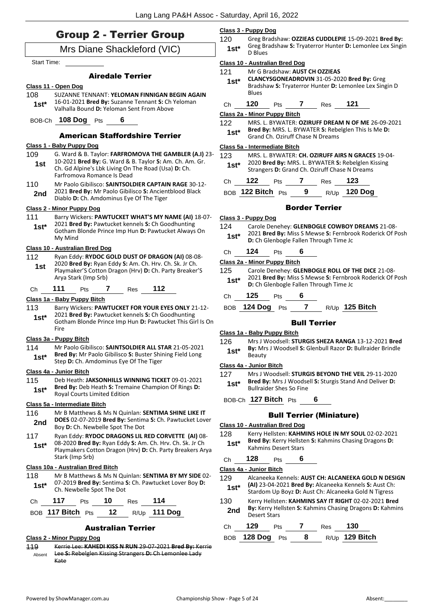|  |  | <b>Group 2 - Terrier Group</b> |  |
|--|--|--------------------------------|--|
|--|--|--------------------------------|--|

## Mrs Diane Shackleford (VIC)

Start Time:

## Airedale Terrier

#### **Class 11 - Open Dog**

- 108 SUZANNE TENNANT: **YELOMAN FINNIGAN BEGIN AGAIN** 16-01-2021 **Bred By:** Suzanne Tennant **S:** Ch Yeloman Valhalla Bound **D:** Yeloman Sent From Above **1st\***
- BOB-Ch **108 Dog** Pts **6**

## American Staffordshire Terrier

## **Class 1 - Baby Puppy Dog**

- 109 G. Ward & B. Taylor: **FARFROMOVA THE GAMBLER (A.I)** 23-
- 10-2021 **Bred By:** G. Ward & B. Taylor **S:** Am. Ch. Am. Gr. Ch. Gd Alpine's Lbk Living On The Road (Usa) **D:** Ch. Farfromova Romance Is Dead **1st**
- 110 Mr Paolo Gibilisco: **SAINTSOLDIER CAPTAIN RAGE** 30-12- 2021 **Bred By:** Mr Paolo Gibilisco **S:** Ancientblood Black
	- **2nd** 2021 **Bred By:** Mr Paolo Gibilisco S: Ancien<br>Diablo D: Ch. Amdominus Eye Of The Tiger

#### **Class 2 - Minor Puppy Dog**

- 111 Barry Wickers: **PAWTUCKET WHAT'S MY NAME (AI)** 18-07-
- 2021 **Bred By:** Pawtucket kennels **S:** Ch Goodhunting Gotham Blonde Prince Imp Hun **D:** Pawtucket Always On My Mind **1st\***

#### **Class 10 - Australian Bred Dog**

- 112 Ryan Eddy: **RYDOC GOLD DUST OF DRAGON (AI)** 08-08-
- 2020 **Bred By:** Ryan Eddy **S:** Am. Ch. Hrv. Ch. Sk. Jr Ch. Playmaker'S Cotton Dragon (Hrv) **D:** Ch. Party Breaker'S Arya Stark (Imp Srb) **1st**
- Ch **111** Pts **7** Res **112**

#### **Class 1a - Baby Puppy Bitch**

113 Barry Wickers: **PAWTUCKET FOR YOUR EYES ONLY** 21-12- 2021 **Bred By:** Pawtucket kennels **S:** Ch Goodhunting Gotham Blonde Prince Imp Hun **D:** Pawtucket This Girl Is On Fire **1st\***

#### **Class 3a - Puppy Bitch**

114 Mr Paolo Gibilisco: **SAINTSOLDIER ALL STAR** 21-05-2021 **Bred By:** Mr Paolo Gibilisco **S:** Buster Shining Field Long **1st\* Died by:** INT Paolo Gibilisco **5:** Buster Shire Step **D:** Ch. Amdominus Eye Of The Tiger

#### **Class 4a - Junior Bitch**

- 115 Deb Heath: **JAKSONHILLS WINNING TICKET** 09-01-2021 **Bred By:** Deb Heath **S:** Tremaine Champion Of Rings **D:**
- **1st\* Died by:** Deb Heath **5:** Trem.<br>Royal Courts Limited Edition

## **Class 5a - Intermediate Bitch**

- 116 Mr B Matthews & Ms N Quinlan: **SENTIMA SHINE LIKE IT DOES** 02-07-2019 **Bred By:** Sentima **S:** Ch. Pawtucket Lover **2nd DOES** 02-07-2019 **Brea By:** Sentim<br>Boy **D:** Ch. Newbelle Spot The Dot
- 117 Ryan Eddy: **RYDOC DRAGONS LIL RED CORVETTE (AI)** 08- 08-2020 **Bred By:** Ryan Eddy **S:** Am. Ch. Hrv. Ch. Sk. Jr Ch **1st\***
- Playmakers Cotton Dragon (Hrv) **D:** Ch. Party Breakers Arya Stark (Imp Srb)

## **Class 10a - Australian Bred Bitch**

118 Mr B Matthews & Ms N Quinlan: **SENTIMA BY MY SIDE** 02- 07-2019 **Bred By:** Sentima **S:** Ch. Pawtucket Lover Boy **D: 1st**\* 07-2019 **Bred By:** Sentima Spot The Dot

| Ch | 117 | Pts | 10 | Res | 114 |
|----|-----|-----|----|-----|-----|
|    |     |     |    |     |     |



## Australian Terrier

## **Class 2 - Minor Puppy Dog**

119 Kerrie Lee: **KAHEDI KISS N RUN** 29-07-2021 **Bred By:** Kerrie Lee **S:** Rebelglen Kissing Strangers **D:** Ch Lemonlee Lady Kate Absent

## **Class 3 - Puppy Dog**

120 Greg Bradshaw: **OZZIEAS CUDDLEPIE** 15-09-2021 **Bred By:** Greg Bradshaw **S:** Tryaterror Hunter **D:** Lemonlee Lex Singin 1st<sup>\*</sup> D Blues

## **Class 10 - Australian Bred Dog**

- 121 Mr G Bradshaw: **AUST CH OZZIEAS**
- **CLANCYSGONEADROVIN** 31-05-2020 **Bred By:** Greg Bradshaw **S:** Tryaterror Hunter **D:** Lemonlee Lex Singin D Blues **1st\***
- Ch **120** Pts **7** Res **121**

## **Class 2a - Minor Puppy Bitch**

122 MRS. L. BYWATER: **OZIRUFF DREAM N OF ME** 26-09-2021 **Bred By:** MRS. L. BYWATER **S:** Rebelglen This Is Me **D: 1st\*** Brea By: MRS. L. BYWATER S: Rebe<br>Grand Ch. Oziruff Chase N Dreams

## **Class 5a - Intermediate Bitch**

- 123 MRS. L. BYWATER: **CH. OZIRUFF AIRS N GRACES** 19-04- 2020 **Bred By:** MRS. L. BYWATER **S:** Rebelglen Kissing
	- **1st** 2020 **Brea By:** MRS. L. BYWATER **5:** Repeigien K<br>Strangers **D:** Grand Ch. Oziruff Chase N Dreams

| Ch — | 122               | <b>Pts</b> |   | Res <b>123</b> |                |
|------|-------------------|------------|---|----------------|----------------|
|      | BOB 122 Bitch Pts |            | 9 |                | $R/Up$ 120 Dog |

## Border Terrier

#### **Class 3 - Puppy Dog**

124 Carole Denehey: **GLENBOGLE COWBOY DREAMS** 21-08- 2021 **Bred By:** Miss S Mewse **S:** Fernbrook Roderick Of Posh **1st**\* 2021 Bred By: Miss S Mewse S: Fernbro<br>D: Ch Glenbogle Fallen Through Time Jc

## Ch **124** Pts **6**

## **Class 2a - Minor Puppy Bitch**

| 125    | Carole Denehey: GLENBOGLE ROLL OF THE DICE 21-08-                                                  |
|--------|----------------------------------------------------------------------------------------------------|
| $1st*$ | 2021 Bred By: Miss S Mewse S: Fernbrook Roderick Of Posh<br>D: Ch Glenbogle Fallen Through Time Jc |
|        |                                                                                                    |

- Ch **125** Pts **6**
- BOB **124 Dog** Pts **7** R/Up **125 Bitch**

## Bull Terrier

#### **Class 1a - Baby Puppy Bitch**

126 Mrs J Woodsell: **STURGIS SHEZA RANGA** 13-12-2021 **Bred By:** Mrs J Woodsell **S:** Glenbull Razor **D:** Bullraider Brindle **1st<sup>\*</sup> By:** Mr

#### **Class 4a - Junior Bitch**

- 127 Mrs J Woodsell: **STURGIS BEYOND THE VEIL** 29-11-2020 **Bred By:** Mrs J Woodsell **S:** Sturgis Stand And Deliver **D:**
- **1st\* Brea By:** IVITS J WOODSE

BOB-Ch **127 Bitch** Pts **6**

## Bull Terrier (Miniature)

- **Class 10 - Australian Bred Dog**
- 128 Kerry Hellsten: **KAHMINS HOLE IN MY SOUL** 02-02-2021 **Bred By:** Kerry Hellsten **S:** Kahmins Chasing Dragons **D: 1st\*** Bred By: Kerry Hellste<br>Kahmins Desert Stars

## Ch **128** Pts **6**

**Class 4a - Junior Bitch**

- 129 Alcaneeka Kennels: **AUST CH: ALCANEEKA GOLD N DESIGN (AI)** 23-04-2021 **Bred By:** Alcaneeka Kennels **S:** Aust Ch: **1st** Au 23-04-2021 **Bred By:** Alcaneeka Kennels S: Aust Ch: Stardom Up Boyz D: Aust Ch: Alcaneeka Gold N Tigress
- 130 Kerry Hellsten: **KAHMINS SAY IT RIGHT** 02-02-2021 **Bred By:** Kerry Hellsten **S:** Kahmins Chasing Dragons **D:** Kahmins **2nd Dy:** Netry He

| Ch | 129 | <b>Pts</b> | Res | - 130                            |
|----|-----|------------|-----|----------------------------------|
|    |     |            |     | BOB 128 Dog Pts 8 R/Up 129 Bitch |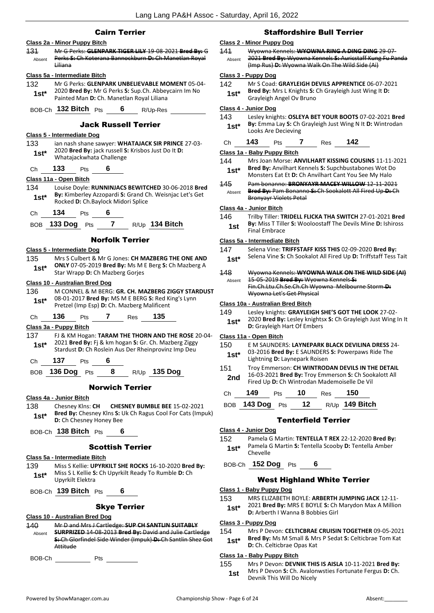## Cairn Terrier

## **Class 2a - Minor Puppy Bitch**

- 131 Mr G Perks: **GLENPARK TIGER LILY** 19-08-2021 **Bred By:** G Perks **S:** Ch Koterana Bannockburn **D:** Ch Manetlan Royal Liliana Absent **Class 5a - Intermediate Bitch** 132 Mr G Perks: **GLENPARK UNBELIEVABLE MOMENT** 05-04-
- 2020 **Bred By:** Mr G Perks **S:** Sup.Ch. Abbeycairn Im No Painted Man **D:** Ch. Manetlan Royal Liliana **1st\*** BOB-Ch **132 Bitch** Pts **6** R/Up-Res

## Jack Russell Terrier

## **Class 5 - Intermediate Dog**

- 133 ian nash shane sawyer: **WHATAJACK SIR PRINCE** 27-03- 2020 **Bred By:** jack russell **S:** Krisbos Just Do It **D:**  Whatajackwhata Challenge **1st\***
- Ch **133** Pts **6**

#### **Class 11a - Open Bitch**

- 134 Louise Doyle: **RUNNINJACS BEWITCHED** 30-06-2018 **Bred By:** Kimberley Azzopardi **S:** Grand Ch. Weisnjac Let's Get 1st\* **by:** Kimberiey Azzopardi S: Grand C<br>Rocked D: Ch.Baylock Midori Splice
- Ch **134** Pts **6**
- BOB **133 Dog** Pts **7** R/Up **134 Bitch**

## Norfolk Terrier

#### **Class 5 - Intermediate Dog**

135 Mrs S Culbert & Mr G Jones: **CH MAZBERG THE ONE AND ONLY** 07-05-2019 **Bred By:** Ms M E Berg **S:** Ch Mazberg A **1st\* ONLY** 07-05-2019 **Bred By:** MS M M<br>Star Wrapp **D:** Ch Mazberg Gorjes

#### **Class 10 - Australian Bred Dog**

136 M CONNEL & M BERG: **GR. CH. MAZBERG ZIGGY STARDUST** 08-01-2017 **Bred By:** MS M E BERG **S:** Red King's Lynn **1st**\* 08-01-2017 **Bred By:** MS M E BERG **S:** Red K<br>Pretzel (Imp Esp) **D:** Ch. Mazberg Malificent

Ch **136** Pts **7** Res **135**

## **Class 3a - Puppy Bitch**

- 137 FJ & KM Hogan: **TARAM THE THORN AND THE ROSE** 20-04- 2021 **Bred By:** Fj & km hogan **S:** Gr. Ch. Mazberg Ziggy **1st** 2021 **Bred By:** FJ & Km nogan **S:** Gr. Cn. Mazberg Ziggy<br>Stardust **D:** Ch Roslein Aus Der Rheinprovinz Imp Deu
- Ch **137** Pts **6**

BOB **136 Dog** Pts **8** R/Up **135 Dog**

#### Norwich Terrier

## **Class 4a - Junior Bitch**

- 138 Chesney Klns: **CH CHESNEY BUMBLE BEE** 15-02-2021 **Bred By:** Chesney Klns **S:** Uk Ch Ragus Cool For Cats (Impuk) **1st\* Died by:** Chesney Kins **5: 1st\* D:** Ch Chesney Honey Bee
- BOB-Ch **138 Bitch** Pts **6**

## Scottish Terrier

## **Class 5a - Intermediate Bitch**

139 Miss S Kellie: **UPYRKILT SHE ROCKS** 16-10-2020 **Bred By:** Miss S L Kellie **S:** Ch Upyrkilt Ready To Rumble **D:** Ch Upyrkilt Elektra **1st\***

BOB-Ch **139 Bitch** Pts **6**

## Skye Terrier

## **Class 10 - Australian Bred Dog**

- 140 Mr D and Mrs J Cartledge: **SUP CH SANTLIN SUITABLY**
- **SURPRIZED** 14-08-2013 **Bred By:** David and Julie Cartledge **S:** Ch Glorfindel Side Winder (Impuk) **D:** Ch Santlin Shez Got Attitude Absent

BOB-Ch Pts

## Staffordshire Bull Terrier

## **Class 2 - Minor Puppy Dog**

141 Wyowna Kennels: **WYOWNA RING A DING DING** 29-07- 2021 **Bred By:** Wyowna Kennels **S:** Auricstaff Kung Fu Panda (Imp Rus) **D:** Wyowna Walk On The Wild Side (Ai) Absent

#### **Class 3 - Puppy Dog**

- 142 Mr S Coad: **GRAYLEIGH DEVILS APPRENTICE** 06-07-2021 **Bred By:** Mrs L Knights **S:** Ch Grayleigh Just Wing It **D:** 
	- **1st\*** Bred By: Mrs L Knights S: 4<br>Grayleigh Angel Ov Bruno

## **Class 4 - Junior Dog**

| 143    | Lesley knights: OSLEYA BET YOUR BOOTS 07-02-2021 Bred    |
|--------|----------------------------------------------------------|
| $1st*$ | By: Emma Lay S: Ch Grayleigh Just Wing N It D: Wintrodan |
|        | Looks Are Decieving                                      |

| Ch | 143 | Pts | <b>Res</b> | 142 |
|----|-----|-----|------------|-----|
|    |     |     |            |     |

**Class 1a - Baby Puppy Bitch**

- 144 Mrs Joan Morse: **ANVILHART KISSING COUSINS** 11-11-2021 **Bred By:** Anvilhart Kennels **S:** Supchbustabones Wot Do **1st\* Brea By:** Anvinart Kennels **5:** Supchbustabones Wot D<br>Monsters Eat Et **D:** Ch Anvilhart Cant You See My Halo
- 145 Pam bonanno: **BRONYAYR MACEY WILLOW** 12-11-2021
- **Bred By:** Pam Bonanno **S:** Ch Sookalott All Fired Up **D:** Ch Bronyayr Violets Petal Absent

#### **Class 4a - Junior Bitch**

146 Trilby Tiller: **TRIDELL FLICKA THA SWITCH** 27-01-2021 **Bred By:** Miss T Tiller **S:** Wooloostaff The Devils Mine **D:** Ishiross **1st By:** IVIISS LITTING

#### **Class 5a - Intermediate Bitch**

- 147 Selena Vine: **TRIFFSTAFF KISS THIS** 02-09-2020 **Bred By:**
- Selena Vine **S:** Ch Sookalot All Fired Up **D:** Triffstaff Tess Tait **1st\***

#### 148 Wyowna Kennels: **WYOWNA WALK ON THE WILD SIDE (AI)** 15-05-2019 **Bred By:** Wyowna Kennels **S:**  Absent

Fin.Ch.Ltu.Ch.Se.Ch.Ch Wyowna Melbourne Storm **D:**  Wyowna Let's Get Physical

## **Class 10a - Australian Bred Bitch**

- 149 Lesley knights: **GRAYLEIGH SHE'S GOT THE LOOK** 27-02-
- 2020 **Bred By:** Lesley knightsx **S:** Ch Grayleigh Just Wing In It **1st**\* 2020 **Bred By:** Lesley knights<br>**1st** D: Grayleigh Hart Of Embers

#### **Class 11a - Open Bitch**

#### 150 E M SAUNDERS: **LAYNEPARK BLACK DEVILINA DRESS** 24- 03-2016 **Bred By:** E SAUNDERS **S:** Powerpaws Ride The 1st\* U3-2016 Brea By: E SAUNDERS<br>Lightning D: Laynepark Roisen

151 Troy Emmerson: **CH WINTRODAN DEVILS IN THE DETAIL** 16-03-2021 **Bred By:** Troy Emmerson **S:** Ch Sookalott All **2nd** Ib-03-2021 **Bred By:** Troy Emmerson S: Ch Soo Fired Up **D:** Ch Wintrodan Mademoiselle De Vil

| Ch <b>149</b> Pts <b>10</b> |  | Res 150 |                                     |
|-----------------------------|--|---------|-------------------------------------|
|                             |  |         | BOB 143 Dog Pts 12 $R/Up$ 149 Bitch |

#### Tenterfield Terrier

#### **Class 4 - Junior Dog**

- 152 Pamela G Martin: **TENTELLA T REX** 22-12-2020 **Bred By:**
- Pamela G Martin **S:** Tentella Scooby **D:** Tentella Amber **1st**\* Pamela
- BOB-Ch **152 Dog** Pts **6**

## West Highland White Terrier

#### **Class 1 - Baby Puppy Dog**

- 153 MRS ELIZABETH BOYLE: **ARBERTH JUMPING JACK** 12-11-
- 2021 **Bred By:** MRS E BOYLE **S:** Ch Marydon Max A Million **1st**\* **D:** Arberth I Wanna B Bobbies Girl **1st**

#### **Class 3 - Puppy Dog**

154 Mrs P Devon: **CELTICBRAE CRUISIN TOGETHER** 09-05-2021 **Bred By:** Ms M Small & Mrs P Sedat **S:** Celticbrae Tom Kat **1st\* Died by:** IVIS IVI SITIAL & IVIT

#### **Class 1a - Baby Puppy Bitch**

155 Mrs P Devon: **DEVNIK THIS IS AISLA** 10-11-2021 **Bred By:** Mrs P Devon **S:** Ch. Avalonwsties Fortunate Fergus **D:** Ch. **1st** Initia P Devon **5:** Ch. Avalor<br>Devnik This Will Do Nicely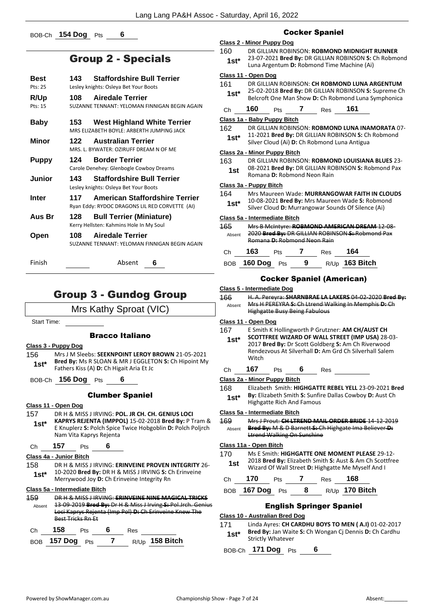BOB-Ch **154 Dog** Pts **6**

# Group 2 - Specials

| Best    | 143  | <b>Staffordshire Bull Terrier</b>                                                       |
|---------|------|-----------------------------------------------------------------------------------------|
| Pts: 25 |      | Lesley knights: Osleya Bet Your Boots                                                   |
| R/Up    | 108  | <b>Airedale Terrier</b>                                                                 |
| Pts: 15 |      | SUZANNE TENNANT: YELOMAN FINNIGAN BEGIN AGAIN                                           |
| Baby    | 153. | West Highland White Terrier<br>MRS FLIZARETH BOYLE: ARBERTH IUMPING IACK                |
| Minor   | 122  | <b>Australian Terrier</b><br>MRS. L. BYWATER: OZIRLIEE DREAM N OF ME                    |
| Puppy   | 124  | <b>Border Terrier</b><br>Carole Denehey: Glenbogle Cowboy Dreams                        |
| Junior  | 143  | <b>Staffordshire Bull Terrier</b><br>Lesley knights: Osleya Bet Your Boots              |
| Inter   | 117  | <b>American Staffordshire Terrier</b><br>Ryan Eddy: RYDOC DRAGONS LIL RED CORVETTE (AI) |
| Aus Br  | 128  | <b>Bull Terrier (Miniature)</b><br>Kerry Hellsten: Kahmins Hole In My Soul              |
| Open    | 108  | <b>Airedale Terrier</b><br>SUZANNE TENNANT: YEI OMAN FINNIGAN BEGIN AGAIN               |
| Finish  |      | Absent<br>6                                                                             |

# Group 3 - Gundog Group

Mrs Kathy Sproat (VIC)

Start Time:

## Bracco Italiano

**Class 3 - Puppy Dog**

156 Mrs J M Sleebs: **SEEKNPOINT LEROY BROWN** 21-05-2021 **Bred By:** Ms R SLOAN & MR J EGGLETON **S:** Ch Hipoint My **1st\* Bred By:** MS R SLOAN & MR J EGGLET<br>Fathers Kiss (A) **D:** Ch Higait Aria Et Jc

BOB-Ch **156 Dog** Pts **6**

## Clumber Spaniel

**Class 11 - Open Dog**

157 DR H & MISS J IRVING: **POL. JR CH. CH. GENIUS LOCI KAPRYS REJENTA (IMPPOL)** 15-02-2018 **Bred By:** P Tram & E Knuplerz **S:** Polch Spice Twice Hobgoblin **D:** Polch Poljrch Nam Vita Kaprys Rejenta **1st\***

## Ch **157** Pts **6**

## **Class 4a - Junior Bitch**

158 DR H & MISS J IRVING: **ERINVEINE PROVEN INTEGRITY** 26- 10-2020 **Bred By:** DR H & MISS J IRVING **S:** Ch Erinveine **1st**\* 10-2020 Bred By: DR H & MISS J IRVING S: C<br>Merrywood Joy D: Ch Erinveine Integrity Rn

## **Class 5a - Intermediate Bitch**

159 DR H & MISS J IRVING: **ERINVEINE NINE MAGICAL TRICKS** 13-09-2019 **Bred By:** Dr H & Miss J Irving **S:** Pol.Jrch. Genius Loci Kaprys Rejenta (Imp Pol) **D:** Ch Erinveine Knew The Best Tricks Rn Et Absent

| Ch | 158 Pts 6 |  | Res |                                  |
|----|-----------|--|-----|----------------------------------|
|    |           |  |     | BOB 157 Dog Pts 7 R/Up 158 Bitch |

## Cocker Spaniel

|               | <b>Class 2 - Minor Puppy Dog</b>     |            |                |                |                                                                                                                  |
|---------------|--------------------------------------|------------|----------------|----------------|------------------------------------------------------------------------------------------------------------------|
| 160           |                                      |            |                |                | DR GILLIAN ROBINSON: <b>ROBMOND MIDNIGHT RUNNER</b>                                                              |
| 1st*          |                                      |            |                |                | 23-07-2021 Bred By: DR GILLIAN ROBINSON S: Ch Robmond<br>Luna Argentum D: Robmond Time Machine (Ai)              |
|               |                                      |            |                |                |                                                                                                                  |
| 161           | Class 11 - Open Dog                  |            |                |                | DR GILLIAN ROBINSON: CH ROBMOND LUNA ARGENTUM                                                                    |
| $1st*$        |                                      |            |                |                | 25-02-2018 Bred By: DR GILLIAN ROBINSON S: Supreme Ch<br>Belcroft One Man Show D: Ch Robmond Luna Symphonica     |
| Сh            | 160                                  | Pts        | 7              | Res <b>161</b> |                                                                                                                  |
|               | Class 1a - Baby Puppy Bitch          |            |                |                |                                                                                                                  |
| 162           |                                      |            |                |                | DR GILLIAN ROBINSON: ROBMOND LUNA INAMORATA 07-                                                                  |
| $1st*$        |                                      |            |                |                | 11-2021 Bred By: DR GILLIAN ROBINSON S: Ch Robmond<br>Silver Cloud (Ai) D: Ch Robmond Luna Antigua               |
|               | Class 2a - Minor Puppy Bitch         |            |                |                |                                                                                                                  |
| 163           |                                      |            |                |                | DR GILLIAN ROBINSON: ROBMOND LOUISIANA BLUES 23-                                                                 |
| 1st           | Romana D: Robmond Neon Rain          |            |                |                | 08-2021 Bred By: DR GILLIAN ROBINSON S: Robmond Pax                                                              |
|               | Class 3a - Puppy Bitch               |            |                |                |                                                                                                                  |
| 164           |                                      |            |                |                | Mrs Maureen Wade: MURRANGOWAR FAITH IN CLOUDS                                                                    |
| 1st*          |                                      |            |                |                | 10-08-2021 Bred By: Mrs Maureen Wade S: Robmond<br>Silver Cloud D: Murrangowar Sounds Of Silence (Ai)            |
|               | Class 5a - Intermediate Bitch        |            |                |                |                                                                                                                  |
| 165           |                                      |            |                |                | Mrs B McIntyre: ROBMOND AMERICAN DREAM 12 08-                                                                    |
| Absent        | Romana D: Robmond Neon Rain          |            |                |                | 2020 Bred By: DR GILLIAN ROBINSON S: Robmond Pax                                                                 |
|               |                                      |            |                |                |                                                                                                                  |
| Сh            | 163                                  | <b>Pts</b> | $\overline{7}$ | Res <b>164</b> | BOB 160 Dog Pts 9 R/Up 163 Bitch                                                                                 |
|               |                                      |            |                |                |                                                                                                                  |
|               |                                      |            |                |                |                                                                                                                  |
|               |                                      |            |                |                | <b>Cocker Spaniel (American)</b>                                                                                 |
|               | Class 5 - Intermediate Dog           |            |                |                |                                                                                                                  |
| 166<br>Absent | <b>Highgatte Busy Being Fabulous</b> |            |                |                | H. A. Pereyra: SHARNBRAE LA LAKERS 04-02-2020 Bred By:<br>Mrs H PEREYRA S: Ch Ltrend Walking In Memphis-D: Ch    |
|               |                                      |            |                |                |                                                                                                                  |
| 167           | Class 11 - Open Dog                  |            |                |                | E Smith K Hollingworth P Grutzner: AM CH/AUST CH                                                                 |
| $1st^*$       |                                      |            |                |                | SCOTTFREE WIZARD OF WALL STREET (IMP USA) 28-03-                                                                 |
|               |                                      |            |                |                | 2017 Bred By: Dr Scott Goldberg S: Am Ch Riverwood                                                               |
|               | Witch                                |            |                |                | Rendezvous At Silverhall D: Am Grd Ch Silverhall Salem                                                           |
|               | 167                                  | Pts        | 6              | Res            |                                                                                                                  |
| Сh            |                                      |            |                |                |                                                                                                                  |
|               | Class 2a - Minor Puppy Bitch         |            |                |                |                                                                                                                  |
| 168           |                                      |            |                |                | Elizabeth Smith: HIGHGATTE REBEL YELL 23-09-2021 Bred<br>By: Elizabeth Smith S: Sunfire Dallas Cowboy D: Aust Ch |
| 1st*          | <b>Highgatte Rich And Famous</b>     |            |                |                |                                                                                                                  |
|               | Class 5a - Intermediate Bitch        |            |                |                |                                                                                                                  |
| 169           |                                      |            |                |                | Mrs J Prout: CH LTREND MAIL ORDER BRIDE 14-12-2019                                                               |
| Absent        | <b>Ltrend Walking On Sunshine</b>    |            |                |                | <b>Bred By:</b> M & D Barnett S: Ch Highgate Ima Believer D:                                                     |
|               | Class 11a - Open Bitch               |            |                |                |                                                                                                                  |
| 170           |                                      |            |                |                | Ms E Smith: HIGHGATTE ONE MOMENT PLEASE 29-12-                                                                   |
| 1st           |                                      |            |                |                | 2018 Bred By: Elizabeth Smith S: Aust & Am Ch Scottfree<br>Wizard Of Wall Street D: Highgatte Me Myself And I    |
| Сh            | 170                                  | Pts        | 7              | Res            | 168                                                                                                              |
| BOB           | 167 Dog                              | Pts        | 8              |                | R/Up 170 Bitch                                                                                                   |

## English Springer Spaniel

**Class 10 - Australian Bred Dog**

171 Linda Ayres: **CH CARDHU BOYS TO MEN ( A.I)** 01-02-2017 **Bred By:** Jan Waite **S:** Ch Wongan Cj Dennis **D:** Ch Cardhu **1st\*** Brea By: Jan Wait<br>Strictly Whatever

BOB-Ch **171 Dog** Pts **6**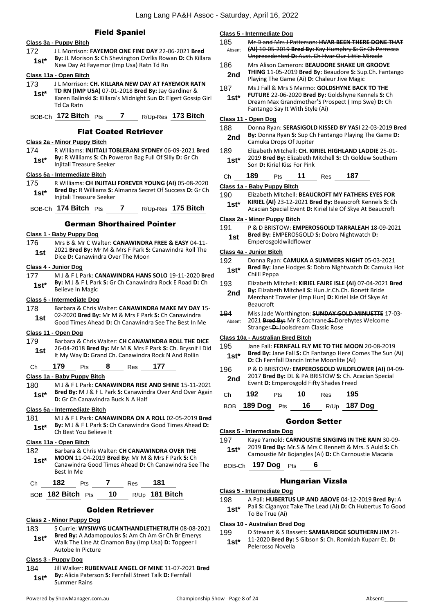## Field Spaniel

## **Class 3a - Puppy Bitch**

172 J L Morrison: **FAYEMOR ONE FINE DAY** 22-06-2021 **Bred By:** JL Morison **S:** Ch Shevington Ovrlks Rowan **D:** Ch Killara **1st\* by:** JL Morison S: Un Shevington Ovriks Row<br>New Day At Fayemor (Imp Usa) Ratn Td Rn

## **Class 11a - Open Bitch**

173 J L Morrison: **CH. KILLARA NEW DAY AT FAYEMOR RATN TD RN (IMP USA)** 07-01-2018 **Bred By:** Jay Gardiner & Karen Balinski **S:** Killara's Midnight Sun **D:** Elgert Gossip Girl Td Ca Ratn **1st\***

BOB-Ch **172 Bitch** Pts **7** R/Up-Res **173 Bitch**

## Flat Coated Retriever

## **Class 2a - Minor Puppy Bitch**

174 R Williams: **INJITALI TOBLERANI SYDNEY** 06-09-2021 **Bred By:** R Williams **S:** Ch Poweron Bag Full Of Silly **D:** Gr Ch **1st\* py:** K WILLIAMS 5: UN PO<br>Injitali Treasure Seeker

## **Class 5a - Intermediate Bitch**

175 R Williams: **CH INJITALI FOREVER YOUNG (AI)** 05-08-2020 **Bred By:** R Williams **S:** Almanza Secret Of Success **D:** Gr Ch **1st\* Died by: K WIIIIAMS S:**<br>Injitali Treasure Seeker

BOB-Ch **174 Bitch** Pts **7** R/Up-Res **175 Bitch**

## German Shorthaired Pointer

## **Class 1 - Baby Puppy Dog**

176 Mrs B & Mr C Walter: **CANAWINDRA FREE & EASY** 04-11- 2021 **Bred By:** Mr M & Mrs F Park **S:** Canawindra Roll The **1st** 2021 **Brea By:** Mr M & Mrs F Park **5**:<br>Dice **D:** Canawindra Over The Moon

#### **Class 4 - Junior Dog**

177 M J & F L Park: **CANAWINDRA HANS SOLO** 19-11-2020 **Bred By:** M J & F L Park **S:** Gr Ch Canawindra Rock E Road **D:** Ch **1st\*** By: M J & F L Par

#### **Class 5 - Intermediate Dog**

178 Barbara & Chris Walter: **CANAWINDRA MAKE MY DAY** 15- 02-2020 **Bred By:** Mr M & Mrs F Park **S:** Ch Canawindra **1st** D2-2020 **Brea By:** Mr M & Mrs F Park **5:** Cn Canawindra Good Times Ahead **D**: Ch Canawindra See The Best In Me

## **Class 11 - Open Dog**

- 179 Barbara & Chris Walter: **CH CANAWINDRA ROLL THE DICE** 26-04-2018 **Bred By:** Mr M & Mrs F Park **S:** Ch. Brysnif I Did **1st** 26-04-2018 **Bred By:** Mr M & Mrs F Park **3:** Ch. Bryshif It My Way **D:** Grand Ch. Canawindra Rock N And Rollin
- Ch **179** Pts **8** Res **177**

## **Class 1a - Baby Puppy Bitch**

180 M J & F L Park: **CANAWINDRA RISE AND SHINE** 15-11-2021 **Bred By:** M J & F L Park **S:** Canawindra Over And Over Again **1st\*** Brea By: M J & F L Park S: Canawind<br>D: Gr Ch Canawindra Buck N A Half

#### **Class 5a - Intermediate Bitch**

181 M J & F L Park: **CANAWINDRA ON A ROLL** 02-05-2019 **Bred By:** M J & F L Park **S:** Ch Canawindra Good Times Ahead **D: 1st\*** By: M J & F L Park S: C<br>Ch Best You Believe It

## **Class 11a - Open Bitch**

182 Barbara & Chris Walter: **CH CANAWINDRA OVER THE MOON** 11-04-2019 **Bred By:** Mr M & Mrs F Park **S:** Ch Canawindra Good Times Ahead **D:** Ch Canawindra See The Best In Me **1st\***

|  | Ch | 182 | Pts |  | Res | 181 |
|--|----|-----|-----|--|-----|-----|
|--|----|-----|-----|--|-----|-----|

BOB **182 Bitch** Pts **10** R/Up **181 Bitch**

## Golden Retriever

## **Class 2 - Minor Puppy Dog**

183 S Currie: **WYSIWYG UCANTHANDLETHETRUTH** 08-08-2021 **Bred By:** A Adamopoulos **S:** Am Ch Am Gr Ch Br Emerys Walk The Line At Cinamon Bay (Imp Usa) **D:** Topgeer I Autobe In Picture **1st\***

## **Class 3 - Puppy Dog**

184 Jill Walker: **RUBENVALE ANGEL OF MINE** 11-07-2021 **Bred By:** Alicia Paterson **S:** Fernfall Street Talk **D:** Fernfall **1st<sup>\*</sup> By:** Alicia Pate<br>Summer Rains

## **Class 5 - Intermediate Dog**

| 185<br>Absent                            |                  |                             |                                           |     | Mr D and Mrs J Patterson: HVAR BEEN THERE DONE THAT<br>(AI) 10 05 2019 Bred By: Kay Humphry S: Gr Ch Perrecca<br>Unprecedented D: Aust. Ch Hvar Our Little Miracle |  |
|------------------------------------------|------------------|-----------------------------|-------------------------------------------|-----|--------------------------------------------------------------------------------------------------------------------------------------------------------------------|--|
| 186<br>2nd                               |                  |                             |                                           |     | Mrs Alison Cameron: BEAUDORE SHAKE UR GROOVE<br><b>THING</b> 11-05-2019 Bred By: Beaudore S: Sup.Ch. Fantango<br>Playing The Game (Ai) D: Chaleur Jive Magic       |  |
| 187<br>$1st^*$                           |                  |                             | Fantango Say It With Style (Ai)           |     | Ms J Fall & Mrs S Marmo: GOLDSHYNE BACK TO THE<br>FUTURE 22-06-2020 Bred By: Goldshyne Kennels S: Ch<br>Dream Max Grandmother'S Prospect (Imp Swe) D: Ch           |  |
| <u>Class 11 - Open Dog</u>               |                  |                             |                                           |     |                                                                                                                                                                    |  |
| 188<br>2nd                               |                  | Camuka Drops Of Jupiter     |                                           |     | Donna Ryan: SERASIGOLD KISSED BY YASI 22-03-2019 Bred<br>By: Donna Ryan S: Sup Ch Fantango Playing The Game D:                                                     |  |
| 189<br>$1st^*$                           |                  | Son D: Kiriel Kiss For Pink |                                           |     | Elizabeth Mitchell: CH. KIRIEL HIGHLAND LADDIE 25-01-<br>2019 Bred By: Elizabeth Mitchell S: Ch Goldew Southern                                                    |  |
| Сh                                       | 189              | Pts                         | 11                                        | Res | 187                                                                                                                                                                |  |
| <b>Class 1a - Baby Puppy Bitch</b>       |                  |                             |                                           |     |                                                                                                                                                                    |  |
| 190                                      |                  |                             |                                           |     | Elizabeth Mitchell: BEAUCROFT MY FATHERS EYES FOR                                                                                                                  |  |
| $1st^*$                                  |                  |                             |                                           |     | KIRIEL (AI) 23-12-2021 Bred By: Beaucroft Kennels S: Ch<br>Acacian Special Event D: Kiriel Isle Of Skye At Beaucroft                                               |  |
| Class 2a - Minor Puppy Bitch             |                  |                             |                                           |     |                                                                                                                                                                    |  |
| 191<br>1st                               |                  | Emperosgoldwildflower       |                                           |     | P & D BRISTOW: EMPEROSGOLD TARRALEAH 18-09-2021<br>Bred By: EMPEROSGOLD S: Dobro Nightwatch D:                                                                     |  |
| Class 4a - Junior Bitch                  |                  |                             |                                           |     |                                                                                                                                                                    |  |
| 192                                      |                  |                             |                                           |     | Donna Ryan: CAMUKA A SUMMERS NIGHT 05-03-2021                                                                                                                      |  |
| 1st*                                     | Chilli Peppa     |                             |                                           |     | Bred By: Jane Hodges S: Dobro Nightwatch D: Camuka Hot                                                                                                             |  |
| 193                                      |                  |                             |                                           |     | Elizabeth Mitchell: KIRIEL FAIRE ISLE (AI) 07-04-2021 Bred                                                                                                         |  |
| 2nd                                      | <b>Beaucroft</b> |                             |                                           |     | By: Elizabeth Mitchell S: Hun.Jr.Ch.Ch. Bonett Bride<br>Merchant Traveler (Imp Hun) D: Kiriel Isle Of Skye At                                                      |  |
| 194<br>Absent                            |                  |                             | Stranger D: Joolsdream Classic Rose       |     | Miss Jade Worthington: SUNDAY GOLD MINUETTE 17-03-<br>2021 Bred By: Mr R Cochrane S: Dorehytes Welcome                                                             |  |
| <b>Class 10a - Australian Bred Bitch</b> |                  |                             |                                           |     |                                                                                                                                                                    |  |
| 195                                      |                  |                             |                                           |     | Jane Fall: FERNFALL FLY ME TO THE MOON 20-08-2019                                                                                                                  |  |
| $1st^*$                                  |                  |                             | D: Ch Fernfall Dancin Inthe Moonlite (Ai) |     | Bred By: Jane Fall S: Ch Fantango Here Comes The Sun (Ai)                                                                                                          |  |
| 196                                      |                  |                             |                                           |     | P & D BRISTOW: EMPEROSGOLD WILDFLOWER (AI) 04-09-                                                                                                                  |  |
| 2nd                                      |                  |                             | Event D: Emperosgold Fifty Shades Freed   |     | 2017 Bred By: DL & PA BRISTOW S: Ch. Acacian Special                                                                                                               |  |
| Ch                                       | 192              | Pts                         | 10                                        | Res | 195                                                                                                                                                                |  |

| BOB 189 Dog Pts | 16 | R/Up 187 Dog |
|-----------------|----|--------------|
|                 |    |              |

## Gordon Setter

## **Class 5 - Intermediate Dog**

- 197 Kaye Yarnold: **CARNOUSTIE SINGING IN THE RAIN** 30-09- 2019 **Bred By:** Mr.S & Mrs C Bennett & Mrs. S Auld **S:** Ch Carnoustie Mr Bojangles (Ai) **D:** Ch Carnoustie Macaria **1st\***
- BOB-Ch **197 Dog** Pts **6**

## Hungarian Vizsla

#### **Class 5 - Intermediate Dog**

198 A Pali: **HUBERTUS UP AND ABOVE** 04-12-2019 **Bred By:** A Pali **S:** Ciganyoz Take The Lead (Ai) **D:** Ch Hubertus To Good **1st**\* Pall S: Ciganyo;<br>To Be True (Ai)

#### **Class 10 - Australian Bred Dog**

- 199 D Stewart & S Bassett: **SAMBARIDGE SOUTHERN JIM** 21-
	- 11-2020 **Bred By:** S Gibson **S:** Ch. Romkiah Kuparr Et. **D: 1st**\* **11-2020 brea by:**<br>Pelerosso Novella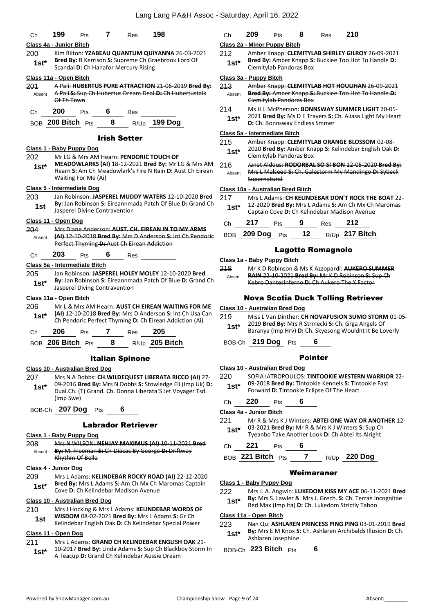## Ch **199** Pts **7** Res **198**

## **Class 4a - Junior Bitch**

200 Kim Bilton: **YZABEAU QUANTUM QUIYANNA** 26-03-2021 **Bred By:** B Kerrison **S:** Supreme Ch Graebrook Lord Of **Scandal D:** Ch Hanafor Mercury Rising Scandal D: Ch Hanafor Mercury Rising

## **Class 11a - Open Bitch**

201 A Pali: **HUBERTUS PURE ATTRACTION** 21-06-2019 **Bred By:** A Pali **S:** Sup Ch Hubertus Dream Deal **D:** Ch Hubertustalk Of Th Town Absent

| Ch . | 200               | Pts. | 6 | Res |              |
|------|-------------------|------|---|-----|--------------|
|      | BOB 200 Bitch Pts |      |   |     | R/Up 199 Dog |

### Irish Setter

### **Class 1 - Baby Puppy Dog**

- 202 Mr LG & Mrs AM Hearn: **PENDORIC TOUCH OF**
- **MEADOWLARKS (AI)** 18-12-2021 **Bred By:** Mr LG & Mrs AM Hearn **S:** Am Ch Meadowlark's Fire N Rain **D:** Aust Ch Eirean Waiting For Me (Ai) **1st\***

## **Class 5 - Intermediate Dog**

203 Jan Robinson: **JASPEREL MUDDY WATERS** 12-10-2020 **Bred By:** Jan Robinson **S:** Eireannmada Patch Of Blue **D:** Grand Ch **1st By:** Jan Robinson **5:** Eireannma<br>Jasperel Divine Contravention

### **Class 11 - Open Dog**

- 204 Mrs Diane Anderson: **AUST. CH. EIREAN IN TO MY ARMS (AI)** 12-10-2018 **Bred By:** Mrs D Anderson **S:** Int Ch Pendoric Perfect Thyming **D:** Aust Ch Eirean Addiction Absent
	- Ch **203** Pts **6** Res

#### **Class 5a - Intermediate Bitch**

205 Jan Robinson: **JASPEREL HOLEY MOLEY** 12-10-2020 **Bred By:** Jan Robinson **S:** Eireannmada Patch Of Blue **D:** Grand Ch **1st\* By:** Jan Robinson **5:** Eireannmannel Diving Contravention

#### **Class 11a - Open Bitch**

206 Mr L & Mrs AM Hearn: **AUST CH EIREAN WAITING FOR ME (AI)** 12-10-2018 **Bred By:** Mrs D Anderson **S:** Int Ch Usa Can Ch Pendoric Perfect Thyming **D:** Ch Eirean Addiction (Ai) **1st\***

| Ch | 206 | Pts | Res | 205 |
|----|-----|-----|-----|-----|
|    |     |     |     |     |

BOB **206 Bitch** Pts **8** R/Up **205 Bitch**

#### Italian Spinone

## **Class 10 - Australian Bred Dog**

207 Mrs N A Dobbs: **CH.WILDEQUEST LIBERATA RICCO (AI)** 27- 09-2016 **Bred By:** Mrs N Dobbs **S:** Stowledge Eli (Imp Uk) **D:**  Dual.Ch. (T) Grand. Ch. Donna Liberata`S Jet Voyager Tsd. (Imp Swe) **1st\***

BOB-Ch **207 Dog** Pts **6**

## Labrador Retriever

## **Class 1 - Baby Puppy Dog**

208 Mrs N WILSON: **NEHJAY MAXIMUS (AI)** 10-11-2021 **Bred By:** M. Freeman **S:** Ch-Diacac By George **D:** Driftway Rhythm Of Belle Absent

#### **Class 4 - Junior Dog**

209 Mrs L Adams: **KELINDEBAR ROCKY ROAD (AI)** 22-12-2020 **Bred By:** Mrs L Adams **S:** Am Ch Mx Ch Maromas Captain **1st\*** Brea by: Mrs L Adams S: Am Ch Mx Ch P<br>Cove D: Ch Kelindebar Madison Avenue

## **Class 10 - Australian Bred Dog**

## 210 Mrs J Hocking & Mrs L Adams: **KELINDEBAR WORDS OF**

**WISDOM** 08-02-2021 **Bred By:** Mrs L Adams **S:** Gr Ch **1st WISDOM** 08-02-2021 **Brea By:** MIS L Addition St Gr Ch Kelindebar Special Power

## **Class 11 - Open Dog**

- 211 Mrs L Adams: **GRAND CH KELINDEBAR ENGLISH OAK** 21-
- 10-2017 **Bred By:** Linda Adams **S:** Sup Ch Blackboy Storm In A Teacup **D:** Grand Ch Kelindebar Aussie Dream **1st\***

## Ch **209** Pts **8** Res **210**

## **Class 2a - Minor Puppy Bitch**

212 Amber Knapp: **CLEMITYLAB SHIRLEY GILROY** 26-09-2021 **Bred By:** Amber Knapp **S:** Bucklee Too Hot To Handle **D: 1st\* Died by:** Arriber Kridpp **5** 

## **Class 3a - Puppy Bitch**

- 213 Amber Knapp: **CLEMITYLAB HOT HOULIHAN** 26-09-2021 **Bred By:** Amber Knapp **S:** Bucklee Too Hot To Handle **D:**  Clemitylab Pandoras Box Absent
- 214 Ms H L McPherson: **BONNSWAY SUMMER LIGHT** 20-05-
- 2021 **Bred By:** Ms D E Travers **S:** Ch. Aliasa Light My Heart **1st**\* 2021 Bred By: Ms D E Travers S:<br>**D:** Ch. Bonnsway Endless Smmer

## **Class 5a - Intermediate Bitch**

215 Amber Knapp: **CLEMITYLAB ORANGE BLOSSOM** 02-08- 2020 **Bred By:** Amber Knapp **S:** Kelindebar English Oak **D:** 

- **1st** <u>LULU</u> Brea by: Amber Kna<br>Clemitylab Pandoras Box 216 Janet Aldous: **RODORBAL SO SI BON** 12-05-2020 **Bred By:**
- Mrs L Malseed **S:** Ch. Galestorm My Mandingo **D:** Sybeck **Supernatural** Absent

#### **Class 10a - Australian Bred Bitch**

- 217 Mrs L Adams: **CH KELINDEBAR DON'T ROCK THE BOAT** 22- 12-2020 **Bred By:** Mrs L Adams **S:** Am Ch Mx Ch Maromas
	- **1st** 12-2020 **Bred By:** Mrs L Adams **S:** Am Cn Mx Cn Captain Cove **D:** Ch Kelindebar Madison Avenue

| Ch | 217             | <b>Pts</b> | 9  | Res | 212              |
|----|-----------------|------------|----|-----|------------------|
|    | BOB 209 Dog Pts |            | 12 |     | $R/Up$ 217 Bitch |

## Lagotto Romagnolo

## **Class 1a - Baby Puppy Bitch**

| 218    | Mr K D Robinson & Ms K Azzopardi: AUKERO SUMMER    |
|--------|----------------------------------------------------|
| Absent | RAIN 22-10-2021 Bred By: Mr K D Robinson S: Sup Ch |
|        | Kebro Dantesinferno D: Ch Aukero The X Factor      |

## Nova Scotia Duck Tolling Retriever

#### **Class 10 - Australian Bred Dog**

- 219 Miss L Van Dinther: **CH NOVAFUSION SUMO STORM** 01-05- 2019 **Bred By:** Mrs R Strmecki **S:** Ch. Grga Angels Of Baranya (Imp Hrv) **D:** Ch. Skyesong Wouldnt It Be Loverly **1st\***
	- BOB-Ch **219 Dog** Pts **6**

## Pointer

#### **Class 10 - Australian Bred Dog**

220 SOFIA IATROPOULOS: **TINTOOKIE WESTERN WARRIOR** 22- 09-2018 **Bred By:** Tintookie Kennels **S:** Tintookie Fast Forward **D:** Tintookie Eclipse Of The Heart **1st\***

Ch **220** Pts **6**

- 221 Mr R & Mrs K J Winters: **ABTEI ONE WAY OR ANOTHER** 12- 03-2021 **Bred By:** Mr R & Mrs K J Winters **S:** Sup Ch Tyeanbo Take Another Look **D:** Ch Abtei Its Alright **1st\***
- Ch **221** Pts **6**
- BOB **221 Bitch** Pts **7** R/Up **220 Dog**

## Weimaraner

## **Class 1 - Baby Puppy Dog**

- 222 Mrs J. A. Angwin: **LUKEDOM KISS MY ACE** 06-11-2021 **Bred By:** Mrs S. Lawler & Mrs J. Grech. **S:** Ch. Terrae Incognitae **1st\* By:** Mrs S. Lawier & Mrs J. Grech. S. Ch. Terrae in Red Max (Imp Ita) **D**: Ch. Lukedom Strictly Taboo
	-

## **Class 11a - Open Bitch**

- 223 Nan Qu: **ASHLAREN PRINCESS PING PING** 03-01-2019 **Bred By:** Mrs E M Knox **S:** Ch. Ashlaren Archibalds Illusion **D:** Ch.
- Ashlaren Josephine **1st\***

BOB-Ch **223 Bitch** Pts **6**

- **Class 4a - Junior Bitch**
- -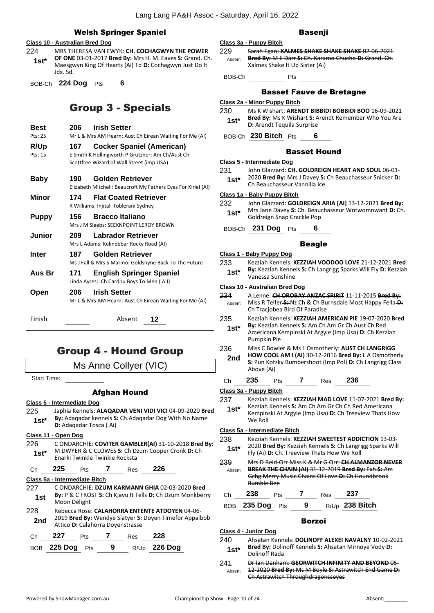## Welsh Springer Spaniel

## **Class 10 - Australian Bred Dog**

224 MRS THERESA VAN EWYK: **CH. COCHAGWYN THE POWER OF ONE** 03-01-2017 **Bred By:** Mrs H. M. Eaves **S:** Grand. Ch. Maesgwyn King Of Hearts (Ai) Td **D:** Cochagwyn Just Do It Jdx. Sd. **1st\***

BOB-Ch **224 Dog** Pts **6**

# Group 3 - Specials

| Best<br>Pts: 25 | 206. | <b>Irish Setter</b><br>Mr L & Mrs AM Hearn: Aust Ch Eirean Waiting For Me (AI)                                                    |
|-----------------|------|-----------------------------------------------------------------------------------------------------------------------------------|
| R/Up<br>Pts: 15 | 167. | <b>Cocker Spaniel (American)</b><br>E Smith K Hollingworth P Grutzner: Am Ch/Aust Ch<br>Scottfree Wizard of Wall Street (imp USA) |
| <b>Baby</b>     | 190  | Golden Retriever<br>Elizabeth Mitchell: Beaucroft My Fathers Eyes For Kiriel (AI)                                                 |
| Minor           | 174  | <b>Flat Coated Retriever</b><br>R Williams: Injitali Toblerani Sydney                                                             |
| Puppy           | 156  | <b>Bracco Italiano</b><br>Mrs J M Sleebs: SEEKNPOINT LEROY BROWN                                                                  |
| Junior          | 209  | <b>Labrador Retriever</b><br>Mrs L Adams: Kelindebar Rocky Road (AI)                                                              |
| Inter           | 187  | Golden Retriever<br>Ms J Fall & Mrs S Marmo: Goldshyne Back To The Future                                                         |
| Aus Br          | 171  | <b>English Springer Spaniel</b><br>Linda Ayres: Ch Cardhu Boys To Men (A.I)                                                       |
| Open            | 206  | <b>Irish Setter</b><br>Mr L & Mrs AM Hearn: Aust Ch Eirean Waiting For Me (AI)                                                    |
| Finish          |      | Absent<br>12                                                                                                                      |

# Group 4 - Hound Group

Ms Anne Collyer (VIC)

Start Time:

## **Afghan Hound**

## **Class 5 - Intermediate Dog**

225 Japhia Kennels: **ALAQADAR VENI VIDI VICI** 04-09-2020 **Bred By:** Adaqadar kennels **S:** Ch.Adaqadar Dog With No Name **1st\* By:** Adaqadar Kennels S<br>**D:** Adaqadar Tosca ( Ai)

## **Class 11 - Open Dog**

226 C ONDARCHIE: **COVITER GAMBLER(AI)** 31-10-2018 **Bred By:** M DWYER & C CLOWES **S:** Ch Dzum Cooper Cronk **D:** Ch Enarki Twinkle Twinkle Rocksta **1st\***

| 225<br>`.h<br>ts<br>Res | 226 |
|-------------------------|-----|
|-------------------------|-----|

## **Class 5a - Intermediate Bitch**

- 227 C ONDARCHIE: **DZUM KARMANN GHIA** 02-03-2020 **Bred By:** P & C FROST **S:** Ch Kjavu It Tells **D:** Ch Dzum Monkberry **1st By:** P & C FRU<br>Moon Delight
- 228 Rebecca Rose: **CALAHORRA ENTENTE ATDOYEN** 04-06- 2019 **Bred By:** Wendye Slatyer **S:** Doyen Timefor Appalbob **2nd** <sup>2019</sup> Brea By: wendye Slatyer S:<br>Attico D: Calahorra Dovenstrasse



## **Basenji**

**Class 3a - Puppy Bitch** 229 Sarah Egan: **XALMES SHAKE SHAKE SHAKE** 02-06-2021 **Bred By:** M E Darr **S:** Ch. Karamo Chucho **D:** Grand. Ch. Xalmes Shake It Up Sister (Ai) Absent

BOB-Ch Pts

## Basset Fauve de Bretagne

## **Class 2a - Minor Puppy Bitch** 230 Ms K Wishart: **ARENDT BIBBIDI BOBBIDI BOO** 16-09-2021 **Bred By:** Ms K Wishart **S:** Arendt Remember Who You Are **1st\* Died By:** WIS K WISHATT **5:** Arendt Tequila Surprise BOB-Ch **230 Bitch** Pts **6** Basset Hound **Class 5 - Intermediate Dog** 231 John Glazzard: **CH. GOLDREIGN HEART AND SOUL** 06-01- 2020 **Bred By:** Mrs J Davey **S:** Ch Beauchasseur Snicker **D: 1st**\* 2020 **Bred By:** Mrs J Davey S:<br>Ch Beauchasseur Vannilla Ice **Class 1a - Baby Puppy Bitch** 232 John Glazzard: **GOLDREIGN ARIA [AI]** 13-12-2021 **Bred By:** Mrs Jane Davey **S:** Ch. Beauchasseur Wotwomnwant **D:** Ch. **1st**\* Mrs Jane Davey S: Ch. Beau<br>Goldreign Snap Crackle Pop BOB-Ch **231 Dog** Pts **6** Beagle **Class 1 - Baby Puppy Dog** 233 Kezziah Kennels: **KEZZIAH VOODOO LOVE** 21-12-2021 **Bred By:** Kezziah Kennels **S:** Ch Langrigg Sparks Will Fly **D:** Kezziah Vanessa Sunshine **1st\* Class 10 - Australian Bred Dog** 234 A Lenne: **CH OROBAY ANZAC SPIRIT** 11-11-2015 **Bred By:** Miss R Telfer **S:** Nz Ch & Ch Burnsdale Most Happy Fella **D:**  Ch Tracjobea Bird Of Paradise Absent 235 Kezziah Kennels: **KEZZIAH AMERICAN PIE** 19-07-2020 **Bred By:** Kezziah Kennels **S:** Am Ch Am Gr Ch Aust Ch Red Americana Kempinski At Argyle (Imp Usa) **D:** Ch Kezziah Pumpkin Pie **1st\*** 236 Miss C Bowler & Ms L Osmotherly: **AUST CH LANGRIGG HOW COOL AM I (AI)** 30-12-2016 **Bred By:** L A Osmotherly **S:** Pun Kotzky Bumbershoot (Imp Pol) **D:** Ch Langrigg Class Above (Ai) **2nd** Ch **235** Pts **7** Res **236**

**Class 3a - Puppy Bitch**

237 Kezziah Kennels: **KEZZIAH MAD LOVE** 11-07-2021 **Bred By:**

Kezziah Kennels **S:** Am Ch Am Gr Ch Ch Red Americana Kempinski At Argyle (Imp Usa) **D:** Ch Treeview Thats How We Roll **1st\***

## **Class 5a - Intermediate Bitch**

- 238 Kezziah Kennels: **KEZZIAH SWEETEST ADDICTION** 13-03- 2020 **Bred By:** Kezziah Kennels **S:** Ch Langrigg Sparks Will **1st** 2020 **Bred By:** Kezziah Kennels **S:** Ch Langri<br>Fly (Ai) **D:** Ch. Treeview Thats How We Roll 239 Mrs D Reid-Orr Miss K & Mr G Orr: **CH ALMANZOR NEVER BREAK THE CHAIN (AI)** 31-12-2019 **Bred By:** Exh **S:** Am Gchg Merry Music Chains Of Love **D:** Ch Houndbrook Absent
- Bumble Bee Ch **238** Pts **7** Res **237** BOB **235 Dog** Pts **9** R/Up **238 Bitch**

## Borzoi

- **Class 4 - Junior Dog**
- 240 Ahsatan Kennels: **DOLINOFF ALEXEI NAVALNY** 10-02-2021 **Bred By:** Dolinoff Kennels **S:** Ahsatan Mirnoye Vody **D:**
- **1st\* Brea By:** Dolin<br>Dolinoff Rada
- 241 Dr Ian Denham: **GEORWITCH INFINITY AND BEYOND** 05- 12-2020 **Bred By:** Ms M Boyle **S:** Astrawitch End Game **D:**  Ch Astrawitch Throughdragonsseyes Absent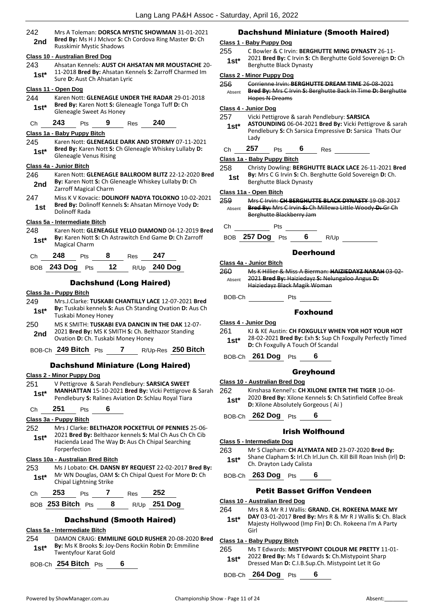242 Mrs A Toleman: **DORSCA MYSTIC SHOWMAN** 31-01-2021 **Bred By:** Ms H J McIvor **S:** Ch Cordova Ring Master **D:** Ch **2nd** Bred By: Ms H J McIvor S:<br>Russkimir Mystic Shadows

## **Class 10 - Australian Bred Dog**

243 Ahsatan Kennels: **AUST CH AHSATAN MR MOUSTACHE** 20- 11-2018 **Bred By:** Ahsatan Kennels **S:** Zarroff Charmed Im **1st**\* **11-2018 Brea By:** Ansatan Kei<br>Sure **D:** Aust Ch Ahsatan Lyric

#### **Class 11 - Open Dog**

244 Karen Nott: **GLENEAGLE UNDER THE RADAR** 29-01-2018 **Bred By:** Karen Nott **S:** Gleneagle Tonga Tuff **D:** Ch **1st\* Brea By:** Karen Nott **S:** Gleneagle Sweet As Honey

## Ch **243** Pts **9** Res **240**

#### **Class 1a - Baby Puppy Bitch**

245 Karen Nott: **GLENEAGLE DARK AND STORMY** 07-11-2021 **Bred By:** Karen Nott **S:** Ch Gleneagle Whiskey Lullaby **D: 1st\* brea by:** Karen Nott S: **4**<br>Gleneagle Venus Rising

## **Class 4a - Junior Bitch**

- 246 Karen Nott: **GLENEAGLE BALLROOM BLITZ** 22-12-2020 **Bred By:** Karen Nott **S:** Ch Gleneagle Whiskey Lullaby **D:** Ch Zarroff Magical Charm **2nd**
- 247 Miss K V Kovacic: **DOLINOFF NADYA TOLOKNO** 10-02-2021 **Bred By:** Dolinoff Kennels **S:** Ahsatan Mirnoye Vody **D:**
- **1st Dolinoff Rada**

## **Class 5a - Intermediate Bitch**

248 Karen Nott: **GLENEAGLE YELLO DIAMOND** 04-12-2019 **Bred By:** Karen Nott **S:** Ch Astrawitch End Game **D:** Ch Zarroff **1st<sup>\*</sup> By:** Karen Nott<br>Magical Charm

| Ch 248 Pts 8 Res 247 |  |                                 |
|----------------------|--|---------------------------------|
|                      |  | BOB 243 Dog Pts 12 R/Up 240 Dog |

## Dachshund (Long Haired)

## **Class 3a - Puppy Bitch**

- 249 Mrs.J.Clarke: **TUSKABI CHANTILLY LACE** 12-07-2021 **Bred By:** Tuskabi kennels **S:** Aus Ch Standing Ovation **D:** Aus Ch **1st\* By:** Tuskabi Kennels S:<br>Tuskabi Money Honey
- 250 MS K SMITH: **TUSKABI EVA DANCIN IN THE DAK** 12-07- 2021 **Bred By:** MS K SMITH **S:** Ch. Belthazor Standing **2nd Dividing Dividing Dividing Servey Property** Ovation **D**: Ch. Tuskabi Money Honey

| R/Up-Res 250 Bitch<br>BOB-Ch 249 Bitch Pts |  |  |  |  |  |
|--------------------------------------------|--|--|--|--|--|
|--------------------------------------------|--|--|--|--|--|

## Dachshund Miniature (Long Haired)

#### **Class 2 - Minor Puppy Dog**

251 V Pettigrove & Sarah Pendlebury: **SARSICA SWEET MANHATTAN** 15-10-2021 **Bred By:** Vicki Pettigrove & Sarah Pendlebury **S:** Ralines Aviation **D:** Schlau Royal Tiara **1st\***

## Ch **251** Pts **6**

#### **Class 3a - Puppy Bitch**

252 Mrs J Clarke: **BELTHAZOR POCKETFUL OF PENNIES** 25-06- 2021 **Bred By:** Belthazor kennels **S:** Mal Ch Aus Ch Ch Cib Hacienda Lead The Way **D:** Aus Ch Chipal Searching Forperfection **1st\***

## **Class 10a - Australian Bred Bitch**

253 Ms J Lobato: **CH. DANSN BY REQUEST** 22-02-2017 **Bred By:** Mr WN Douglas, OAM **S:** Ch Chipal Quest For More **D:** Ch **1st\*** Mr WN Douglas, OAM<br>Chipal Lightning Strike

| '53 |  | es. | 252 |
|-----|--|-----|-----|
|     |  |     |     |

| BOB 253 Bitch Pts |  | $R/Up$ 251 Dog |
|-------------------|--|----------------|
|                   |  |                |

## Dachshund (Smooth Haired)

## **Class 5a - Intermediate Bitch**

- 254 DAMON CRAIG: **EMMILINE GOLD RUSHER** 20-08-2020 **Bred By:** Ms K Brooks **S:** Joy-Dens Rockin Robin **D:** Emmiline **1st\* By:** MS K Brooks S: Joy-<br>Twentyfour Karat Gold
- BOB-Ch **254 Bitch** Pts **6**

## Dachshund Miniature (Smooth Haired)

## **Class 1 - Baby Puppy Dog**

255 C Bowler & C Irvin: **BERGHUTTE MING DYNASTY** 26-11- 2021 **Bred By:** C Irvin **S:** Ch Berghutte Gold Sovereign **D:** Ch **1st**\* 2021 **Bred By:** C Irvin S: G<br>Berghutte Black Dynasty

## **Class 2 - Minor Puppy Dog**

256 Corrienne Irvin: **BERGHUTTE DREAM TIME** 26-08-2021 **Bred By:** Mrs C Irvin **S:** Berghutte Back In Time **D:** Berghutte Hopes N Dreams Absent

## **Class 4 - Junior Dog**

257 Vicki Pettigrove & sarah Pendlebury: **SARSICA** 

**ASTOUNDING** 06-04-2021 **Bred By:** Vicki Pettigrove & sarah Pendlebury **S:** Ch Sarsica Empressive **D:** Sarsica Thats Our Lady **1st\***

## Ch **257** Pts **6** Res

#### **Class 1a - Baby Puppy Bitch**

258 Christy Dowling: **BERGHUTTE BLACK LACE** 26-11-2021 **Bred By:** Mrs C G Irvin **S:** Ch. Berghutte Gold Sovereign **D:** Ch. Berghutte Black Dynasty **1st**

#### **Class 11a - Open Bitch**

#### 259 Mrs C Irvin: **CH BERGHUTTE BLACK DYNASTY** 19-08-2017

**Bred By:** Mrs C Irvin **S:** Ch Millewa Little Woody **D:** Gr Ch Berghutte Blackberry Jam Absent

| Ch. | Pts             |   |      |  |
|-----|-----------------|---|------|--|
|     | BOB 257 Dog Pts | 6 | R/Up |  |

## **Deerhound**

## **Class 4a - Junior Bitch**

| 260    | Ms K Hillier & Miss A Bierman: HAIZIEDAYZ NARAH 03-02- |
|--------|--------------------------------------------------------|
| Absent | 2021 Bred By: Haiziedayz S: Nelungaloo Angus D:        |
|        | Haiziedayz Black Magik Woman                           |

BOB-Ch Pts

## Foxhound

#### **Class 4 - Junior Dog**

261 KJ & KE Austin: **CH FOXGULLY WHEN YOR HOT YOUR HOT** 28-02-2021 **Bred By:** Exh **S:** Sup Ch Foxgully Perfectly Timed **1st**\* 28-02-2021 **Brea By:** Exn **S:** Sup Cr<br>**D:** Ch Foxgully A Touch Of Scandal

BOB-Ch **261 Dog** Pts **6**

## Greyhound

- **Class 10 - Australian Bred Dog**
- 262 Kinshasa Kennel's: **CH XILONE ENTER THE TIGER** 10-04-
	- 2020 **Bred By:** Xilone Kennels **S:** Ch Satinfield Coffee Break **1st**\* 2020 **Bred By:** Xilone Kennels **S:** Ch<br>**D:** Xilone Absolutely Gorgeous (Ai)
	- BOB-Ch **262 Dog** Pts **6**

## Irish Wolfhound

## **Class 5 - Intermediate Dog**

- 263 Mr S Clapham: **CH ALYMATA NED** 23-07-2020 **Bred By:** Shane Clapham **S:** Irl.Ch Irl.Jun Ch. Kill Bill Roan Inish (Irl) **D: 1st**\* Shane Clapham **S:** Irl.Ch Ch. Drayton Lady Calista
- BOB-Ch **263 Dog** Pts **6**

## Petit Basset Griffon Vendeen

- **Class 10 - Australian Bred Dog**
- 264 Mrs R & Mr R J Wallis: **GRAND. CH. ROKEENA MAKE MY**
- **DAY** 03-01-2017 **Bred By:** Mrs R & Mr R J Wallis **S:** Ch. Black Majesty Hollywood (Imp Fin) **D:** Ch. Rokeena I'm A Party Girl **1st\***

## **Class 1a - Baby Puppy Bitch**

265 Ms T Edwards: **MISTYPOINT COLOUR ME PRETTY** 11-01- 2022 **Bred By:** Ms T Edwards **S:** Ch.Mistypoint Sharp

**1st** 2022 **Bred By:** IVIS T Edwards **5:** Ch.IVIIstypoint Let It Go **1starbard Dressed Man D:** C.I.B.Sup.Ch. Mistypoint Let It Go

BOB-Ch **264 Dog** Pts **6**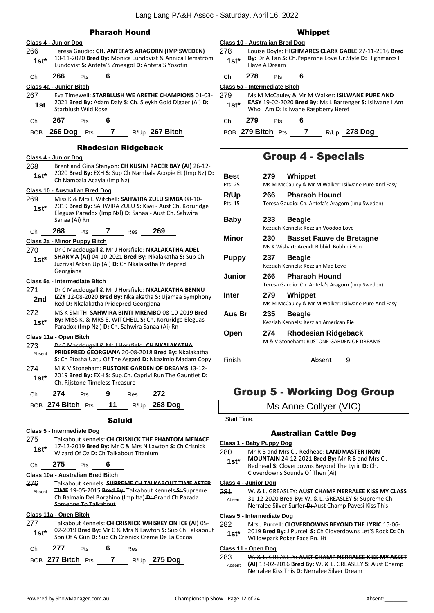|                | <b>Pharaoh Hound</b>                                                                                                                                                    |                      |                                                         |
|----------------|-------------------------------------------------------------------------------------------------------------------------------------------------------------------------|----------------------|---------------------------------------------------------|
|                | Class 4 - Junior Dog                                                                                                                                                    |                      | Class 10 - Australian Br                                |
| 266<br>$1st*$  | Teresa Gaudio: CH. ANTEFA'S ARAGORN (IMP SWEDEN)<br>10-11-2020 Bred By: Monica Lundqvist & Annica Hemström<br>Lundqvist S: Antefa'S Zmeagol D: Antefa'S Yosofin         | 278<br>$1st*$        | Louise Doyle: I<br>By: Dr A Tan S<br>Have A Dream       |
| Ch             | 266<br>6<br>Pts                                                                                                                                                         | Ch                   | 278<br>Pts                                              |
|                | Class 4a - Junior Bitch                                                                                                                                                 |                      | Class 5a - Intermediate                                 |
| 267<br>1st     | Eva Timewell: STARBLUSH WE ARETHE CHAMPIONS 01-03-<br>2021 Bred By: Adam Daly S: Ch. Sleykh Gold Digger (Ai) D:<br>Starblush Wild Rose                                  | 279<br>$1st^*$       | Ms M McCaule<br>EASY 19-02-20<br>Who I Am <b>D:</b> Is  |
| Ch             | 267<br>6<br>Pts                                                                                                                                                         | Ch                   | 279<br><b>Pts</b>                                       |
| <b>BOB</b>     | $\overline{7}$<br>$R/Up$ 267 Bitch<br><b>266 Dog</b><br>Pts                                                                                                             |                      | BOB 279 Bitch Pts                                       |
|                | <b>Rhodesian Ridgeback</b>                                                                                                                                              |                      |                                                         |
|                | Class 4 - Junior Dog                                                                                                                                                    |                      | Grou                                                    |
| 268<br>$1st*$  | Brent and Gina Stanyon: CH KUSINI PACER BAY (AI) 26-12-<br>2020 Bred By: EXH S: Sup Ch Nambala Acopie Et (Imp Nz) D:<br>Ch Nambala Acayla (Imp Nz)                      | Best                 | 279                                                     |
|                | Class 10 - Australian Bred Dog                                                                                                                                          | Pts: 25              | Ms M Mc                                                 |
| 269<br>$1st^*$ | Miss K & Mrs E Witchell: SAHWIRA ZULU SIMBA 08-10-<br>2019 Bred By: SAHWIRA ZULU S: Kiwi - Aust Ch. Koruridge<br>Eleguas Paradox (Imp Nzl) D: Sanaa - Aust Ch. Sahwira  | R/Up<br>Pts: 15      | 266<br>Teresa Ga                                        |
|                | Sanaa (Ai) Rn                                                                                                                                                           | <b>Baby</b>          | 233<br>Kezziah K                                        |
| Ch             | 268<br>269<br>7<br>Pts<br>Res                                                                                                                                           | <b>Minor</b>         | 230                                                     |
| 270            | Class 2a - Minor Puppy Bitch<br>Dr C Macdougall & Mr J Horsfield: NKALAKATHA ADEL                                                                                       |                      | Ms K Wisl                                               |
| 1st*           | SHARMA (AI) 04-10-2021 Bred By: Nkalakatha S: Sup Ch<br>Juzrival Arkan Up (Ai) D: Ch Nkalakatha Pridepred                                                               | <b>Puppy</b>         | 237<br>Kezziah K                                        |
|                | Georgiana                                                                                                                                                               | Junior               | 266                                                     |
| 271            | Class 5a - Intermediate Bitch<br>Dr C Macdougall & Mr J Horsfield: NKALAKATHA BENNU                                                                                     |                      | Teresa Ga                                               |
| 2nd            | IZZY 12-08-2020 Bred By: Nkalakatha S: Ujamaa Symphony<br>Red D: Nkalakatha Pridepred Georgiana                                                                         | Inter                | 279<br>Ms M Mc                                          |
| 272<br>$1st*$  | MS K SMITH: SAHWIRA BINTI MREMBO 08-10-2019 Bred<br>By: MISS K. & MRS E. WITCHELL S: Ch. Koruridge Eleguas<br>Paradox (Imp Nzl) D: Ch. Sahwira Sanaa (Ai) Rn            | Aus Br               | 235<br>Kezziah K                                        |
|                | Class 11a - Open Bitch                                                                                                                                                  | Open                 | 274                                                     |
| 273            | Dr C Macdougall & Mr J Horsfield: CH NKALAKATHA                                                                                                                         |                      | M & V Sto                                               |
| Absent         | PRIDEPRED GEORGIANA 20-08-2018 Bred By: Nkalakatha<br>S: Ch Etosha Uatu Of The Asgard D: Nkazimlo Madam Copy                                                            | Finish               |                                                         |
| 274<br>$1st*$  | M & V Stoneham: RIJSTONE GARDEN OF DREAMS 13-12-<br>2019 Bred By: EXH S: Sup.Ch. Caprivi Run The Gauntlet D:<br>Ch. Rijstone Timeless Treasure                          |                      |                                                         |
| Ch             | 274<br>272<br>9<br>Pts<br><b>Res</b>                                                                                                                                    |                      | Group 5 -                                               |
|                | BOB 274 Bitch Pts<br>11<br>268 Dog<br>R/Up                                                                                                                              |                      | Ms A                                                    |
|                | <b>Saluki</b>                                                                                                                                                           | <b>Start Time:</b>   |                                                         |
|                | Class 5 - Intermediate Dog                                                                                                                                              |                      | Aus                                                     |
| 275<br>$1st^*$ | Talkabout Kennels: CH CRISNICK THE PHANTOM MENACE<br>17-12-2019 Bred By: Mr C & Mrs N Lawton S: Ch Crisnick<br>Wizard Of Oz D: Ch Talkabout Titanium                    | 280                  | Class 1 - Baby Puppy D<br>Mr R B and Mr                 |
| Ch             | 275<br>6<br>Pts                                                                                                                                                         | $1st^*$              | <b>MOUNTAIN 24</b><br>Redhead S: Clo<br>Cloverdowns 9   |
| 276            | Class 10a - Australian Bred Bitch<br>Talkabout Kennels: SUPREME CH TALKABOUT TIME AFTER                                                                                 | Class 4 - Junior Dog |                                                         |
| Absent         | <b>TIME 19-05-2015 Bred By: Talkabout Kennels S: Supreme</b><br>Ch Balmain Del Borghino (Imp Ita) D: Grand Ch Pazada<br>Someone To Talkabout                            | 281<br>Absent        | W. & L. GREAS<br>31-12-2020 Br<br>Nerralee Silver       |
|                | Class 11a - Open Bitch                                                                                                                                                  |                      | <b>Class 5 - Intermediate D</b>                         |
| 277<br>$1st*$  | Talkabout Kennels: CH CRISNICK WHISKEY ON ICE (AI) 05-<br>02-2019 Bred By: Mr C & Mrs N Lawton S: Sup Ch Talkabout<br>Son Of A Gun D: Sup Ch Crisnick Creme De La Cocoa | 282<br>$1st^*$       | Mrs J Purcell:<br>2019 Bred By:<br><b>Willowpark Pc</b> |
| Ch             | 277<br>6<br>Pts<br>Res                                                                                                                                                  | Class 11 - Open Dog  |                                                         |
|                | BOB 277 Bitch Pts<br>7<br>275 Dog<br>R/Up                                                                                                                               | 283                  | W. & L. GREAS<br><u>LAIL 12 02 201</u>                  |
|                |                                                                                                                                                                         |                      |                                                         |

## Whippet

## **Bred Dog**

278 Louise Doyle: **HIGHMARCS CLARK GABLE** 27-11-2016 **Bred B** S: Ch.Peperone Love Ur Style **D:** Highmarcs I<br>am

| Ch | 278 | Pts | 6 |
|----|-----|-----|---|
|    |     |     |   |

## **Class 5a - Intermediate Bitch**

auley & Mr M Walker: **ISILWANE PURE AND EASY** 19-02-2020 **Bred By:** Ms L Barrenger **S:** Isilwane I Am **1:** Isilwane Raspberry Beret

Ch **279** Pts **6**

BOB **279 Bitch** Pts **7** R/Up **278 Dog**

# oup 4 - Specials

| Best         | 279 | Whippet                                                                     |
|--------------|-----|-----------------------------------------------------------------------------|
| Pts: 25      |     | Ms M McCauley & Mr M Walker: Isilwane Pure And Easy                         |
| <b>R/Up</b>  | 266 | <b>Pharaoh Hound</b>                                                        |
| Pts: 15      |     | Teresa Gaudio: Ch. Antefa's Aragorn (Imp Sweden)                            |
| Baby         | 233 | <b>Beagle</b><br>Kezziah Kennels: Kezziah Voodoo Love                       |
| Minor        | 230 | <b>Basset Fauve de Bretagne</b><br>Ms K Wishart: Arendt Bibbidi Bobbidi Boo |
| <b>Puppy</b> | 237 | <b>Beagle</b><br>Kezziah Kennels: Kezziah Mad Love                          |
| Junior       | 266 | <b>Pharaoh Hound</b><br>Teresa Gaudio: Ch. Antefa's Aragorn (Imp Sweden)    |
| Inter        | 279 | <b>Whippet</b><br>Ms M McCauley & Mr M Walker: Isilwane Pure And Easy       |
| Aus Br       | 235 | <b>Beagle</b><br>Kezziah Kennels: Kezziah American Pie                      |
| Open         | 274 | Rhodesian Ridgeback<br>M & V Stoneham: RIJSTONE GARDEN OF DREAMS            |

Absent **9** 

# - Working Dog Group

Anne Collyer (VIC)

## Australian Cattle Dog

## **Dog**

| 280<br>$1st*$ | Mr R B and Mrs C J Redhead: LANDMASTER IRON<br>MOUNTAIN 24-12-2021 Bred By: Mr R B and Mrs C J<br>Redhead S: Cloverdowns Beyond The Lyric D: Ch. |
|---------------|--------------------------------------------------------------------------------------------------------------------------------------------------|
|               | Cloverdowns Sounds Of Then (Ai)                                                                                                                  |
|               | Class 4 - Junior Dog                                                                                                                             |
| 281           | <u>M 2. I CDEACLEV. AIRT CHAMD NEDDALEE WICC MV CLACC</u>                                                                                        |

31-12-2020 **Bred By:** W. & L. GREASLEY **S:** Supreme Ch Nerralee Silver Surfer **D:** Aust Champ Pavesi Kiss This

## **Class 5 - Intermediate Dog**

**II: CLOVERDOWNS BEYOND THE LYRIC 15-06-**

2019 **Bred By:** J Purcell **S:** Ch Cloverdowns Let'S Rock **D:** Ch Poker Face Rn. Ht

283 W. & L. GREASLEY: **AUST CHAMP NERRALEE KISS MY ASSET (AI)** 13-02-2016 **Bred By:** W. & L. GREASLEY **S:** Aust Champ Nerralee Kiss This **D:** Nerralee Silver Dream Absent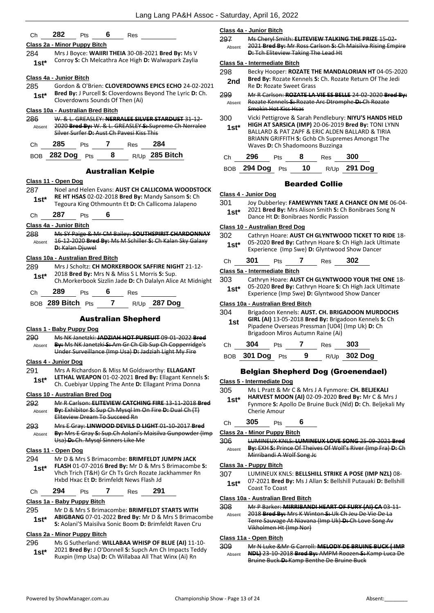| Ch                  | 282<br>6<br>Pts<br>Res<br>Class 2a - Minor Puppy Bitch                                                                                                                                                                                   | 297<br>Absent | Class 4a - Junior Bitch                                                                                                                                                                                                                              |     |   |                       | Ms Cheryl Smith: ELITEVIEW TALKING THE PRIZE 15 02<br>2021 Bred By: Mr Ross Carlson S: Ch Maisilva Rising Empire                                                                                                    |
|---------------------|------------------------------------------------------------------------------------------------------------------------------------------------------------------------------------------------------------------------------------------|---------------|------------------------------------------------------------------------------------------------------------------------------------------------------------------------------------------------------------------------------------------------------|-----|---|-----------------------|---------------------------------------------------------------------------------------------------------------------------------------------------------------------------------------------------------------------|
| 284<br>$1st*$       | Mrs J Boyce: WAIIRI THEIA 30-08-2021 Bred By: Ms V<br>Conroy S: Ch Melcathra Ace High D: Walwapark Zaylia                                                                                                                                |               | D: Tch Eliteview Taking The Lead Ht<br>Class 5a - Intermediate Bitch                                                                                                                                                                                 |     |   |                       |                                                                                                                                                                                                                     |
| 285                 | Class 4a - Junior Bitch<br>Gordon & O'Brien: CLOVERDOWNS EPICS ECHO 24-02-2021                                                                                                                                                           | 298<br>2nd    | Re D: Rozate Sweet Grass                                                                                                                                                                                                                             |     |   |                       | Becky Hooper: ROZATE THE MANDALORIAN HT 04-05-2020<br>Bred By: Rozate Kennels S: Ch. Rozate Return Of The Jedi                                                                                                      |
| $1st*$              | Bred By: J Purcell S: Cloverdowns Beyond The Lyric D: Ch.<br>Cloverdowns Sounds Of Then (Ai)                                                                                                                                             | 299<br>Absent | Smokin Hot Kiss Hsas                                                                                                                                                                                                                                 |     |   |                       | Mr R Carlson: ROZATE LA VIE ES BELLE 24-02-2020 Bred By:<br>Rozate Kennels S: Rozate Arc Dtromphe D: Ch Rozate                                                                                                      |
| 286<br>Absent<br>Ch | Class 10a - Australian Bred Bitch<br>W. & L. GREASLEY: NERRALEE SILVER STARDUST 31-12-<br>2020 Bred By: W. & L. GREASLEY S: Supreme Ch Nerralee<br>Silver Surfer D: Aust Ch Pavesi Kiss This<br>$\mathbf{7}$<br>284<br>285<br>Pts<br>Res | 300<br>$1st*$ | Waves D: Ch Shadomoons Buzzinga                                                                                                                                                                                                                      |     |   |                       | Vicki Pettigrove & Sarah Pendlebury: NIYU'S HANDS HELD<br>HIGH AT SARSICA (IMP) 20-06-2019 Bred By: TONI LYNN<br>BALLARD & PAT ZAPF & ERIC ALDEN BALLARD & TIRIA<br>BRIANN GRIFFITH S: Gchb Ch Supremes Amongst The |
| <b>BOB</b>          | R/Up 285 Bitch<br>282 Dog $Pts$ 8                                                                                                                                                                                                        | Ch            | 296                                                                                                                                                                                                                                                  | Pts | 8 | Res                   | 300                                                                                                                                                                                                                 |
|                     | <b>Australian Kelpie</b>                                                                                                                                                                                                                 | <b>BOB</b>    | 294 Dog Pts 10                                                                                                                                                                                                                                       |     |   |                       | R/Up 291 Dog                                                                                                                                                                                                        |
| 287<br>$1st*$<br>Ch | Noel and Helen Evans: AUST CH CALLICOMA WOODSTOCK<br>RE HT HSAS 02-02-2018 Bred By: Mandy Sansom S: Ch<br>Tegoura King Othmountn Et D: Ch Callicoma Jalapeno<br>6<br>287<br>Pts<br>Class 4a - Junior Bitch                               | 301<br>$1st*$ | Class 4 - Junior Dog<br>Dance Ht D: Bonibraes Nordic Passion<br><b>Class 10 - Australian Bred Dog</b>                                                                                                                                                |     |   | <b>Bearded Collie</b> | Joy Dubberley: FAMEWYNN TAKE A CHANCE ON ME 06-04-<br>2021 Bred By: Mrs Alison Smith S: Ch Bonibraes Song N                                                                                                         |
| 288<br>Absent       | Ms SY Paige & Mr CM Bailey: SOUTHSPIRIT CHARDONNAY<br>16-12-2020 Bred By: Ms M Schiller S: Ch Kalan Sky Galaxy<br>D: Kalan Diuwel                                                                                                        | 302<br>$1st*$ |                                                                                                                                                                                                                                                      |     |   |                       | Cathryn Hoare: AUST CH GLYNTWOOD TICKET TO RIDE 18-<br>05-2020 Bred By: Cathryn Hoare S: Ch High Jack Ultimate<br>Experience (Imp Swe) D: Glyntwood Show Dancer                                                     |
| 289<br>$1st*$<br>Ch | Mrs J Scholtz: CH MORKERBOOK SAFFIRE NIGHT 21-12-<br>2018 Bred By: Mrs N & Miss S L Morris S: Sup.<br>Ch. Morkerbook Sizzlin Jade D: Ch Dalalyn Alice At Midnight<br>289<br>6<br>Pts<br>Res                                              |               | Class 5a - Intermediate Bitch<br>303<br>Cathryn Hoare: AUST CH GLYNTWOOD YOUR THE ONE 18-<br>05-2020 Bred By: Cathryn Hoare S: Ch High Jack Ultimate<br>$1st*$<br>Experience (Imp Swe) D: Glyntwood Show Dancer<br>Class 10a - Australian Bred Bitch |     |   |                       |                                                                                                                                                                                                                     |
|                     | BOB 289 Bitch Pts 7 R/Up 287 Dog<br><b>Australian Shepherd</b><br>Class 1 - Baby Puppy Dog                                                                                                                                               | 304<br>1st    |                                                                                                                                                                                                                                                      |     |   |                       | Brigadoon Kennels: AUST. CH. BRIGADOON MURDOCHS<br>GIRL (AI) 13-05-2018 Bred By: Brigadoon Kennels S: Ch<br>Pipadene Overseas Pressman [U04] (Imp Uk) D: Ch                                                         |
| 290<br>Absent       | Ms NK Janetzki: JADZIAH HOT PURSUIT 09-01-2022 Bred<br>By: Ms NK Janetzki S: Am Gr Ch Cib Sup Ch Copperridge's<br>Under Surveillance (Imp Usa) D: Jadziah Light My Fire                                                                  | Ch            | Brigadoon Miros Autumn Raine (Ai)<br>304<br>Pts<br>BOB 301 Dog Pts 9                                                                                                                                                                                 |     | 7 | Res                   | 303<br>R/Up 302 Dog                                                                                                                                                                                                 |
| 291<br>$1st*$       | <b>Class 4 - Junior Dog</b><br>Mrs A Richardson & Miss M Goldsworthy: ELLAGANT<br>LETHAL WEAPON 01-02-2021 Bred By: Ellagant Kennels S:                                                                                                  |               | <b>Class 5 - Intermediate Dog</b>                                                                                                                                                                                                                    |     |   |                       | <b>Belgian Shepherd Dog (Groenendael)</b>                                                                                                                                                                           |
| 292<br>Absent       | Ch. Cuebiyar Upping The Ante D: Ellagant Prima Donna<br>Class 10 - Australian Bred Dog<br>Mr R Carlson: ELITEVIEW CATCHING FIRE 13-11-2018 Bred<br>By: Exhibitor S: Sup Ch Mysql Im On Fire D: Dual Ch (T)                               | 305<br>$1st*$ | Cherie Amour                                                                                                                                                                                                                                         |     |   |                       | Ms L Pratt & Mr C & Mrs J A Fynmore: CH. BELJEKALI<br>HARVEST MOON (AI) 02-09-2020 Bred By: Mr C & Mrs J<br>Fynmore S: Apollo De Bruine Buck (Nld) D: Ch. Beljekali My                                              |
| 293<br>Absent       | Eliteview Dream To Succeed Rn<br>Mrs E Gray: LINWOOD DEVILS D LIGHT 01-10-2017 Bred<br>By: Mrs E Gray S: Sup.Ch Aolani's Maisilva Gunpowder (Imp                                                                                         | Ch            | 305<br>Pts<br>Class 2a - Minor Puppy Bitch                                                                                                                                                                                                           |     | 6 |                       |                                                                                                                                                                                                                     |
| 294                 | Usa) D: Ch. Mysgl Sinners Like Me<br>Class 11 - Open Dog<br>Mr D & Mrs S Brimacombe: BRIMFELDT JUMPN JACK                                                                                                                                | 306<br>Absent | Mirribandi A Wolf Song Jc                                                                                                                                                                                                                            |     |   |                       | LUMINEUX KNLS: LUMINEUX LOVE SONG 25-09-2021 Bred<br>By: EXH S: Prince Of Theives Of Wolf's River (Imp Fra) D: Ch                                                                                                   |
| $1st*$              | FLASH 01-07-2016 Bred By: Mr D & Mrs S Brimacombe S:<br>Vhch Trich (T&H) Gr Ch Ts Grch Rozate Jackhammer Rn<br>Hxbd Hxac Et D: Brimfeldt News Flash Jd                                                                                   | 307<br>$1st*$ | Class 3a - Puppy Bitch<br>Coast To Coast                                                                                                                                                                                                             |     |   |                       | LUMINEUX KNLS: BELLSHILL STRIKE A POSE (IMP NZL) 08-<br>07-2021 Bred By: Ms J Allan S: Bellshill Putauaki D: Bellshill                                                                                              |
| Ch                  | 294<br>$\overline{7}$<br>291<br>Pts<br>Res                                                                                                                                                                                               |               | Class 10a - Australian Bred Bitch                                                                                                                                                                                                                    |     |   |                       |                                                                                                                                                                                                                     |
| 295<br>$1st*$       | Class 1a - Baby Puppy Bitch<br>Mr D & Mrs S Brimacombe: BRIMFELDT STARTS WITH<br>ABIGBANG 07-01-2022 Bred By: Mr D & Mrs S Brimacombe<br>S: Aolani'S Maisilva Sonic Boom D: Brimfeldt Raven Cru                                          | 308<br>Absent | Vikholmen Ht (Imp Nor)                                                                                                                                                                                                                               |     |   |                       | Mr P Barker: MIRRIBANDI HEART OF FURY (AI) CA 03-11-<br>2018 Bred By: Mrs K Winton S: Uk Ch Jeu De Vie De La<br>Terre Sauvage At Niavana (Imp Uk) D: Ch Love Song Av                                                |
|                     | Class 2a - Minor Puppy Bitch                                                                                                                                                                                                             |               | Class 11a - Open Bitch                                                                                                                                                                                                                               |     |   |                       |                                                                                                                                                                                                                     |

296 Ms G Sutherland: **WILLABAA WHISP OF BLUE (AI)** 11-10- 2021 **Bred By:** J O'Donnell **S:** Supch Am Ch Impacts Teddy **1st**  $\frac{2021}{20}$  **brea by:** JO Donnell **3:** Super Am Ch Impacts Te Ruxpin (Imp Usa) **D:** Ch Willabaa All That Winx (Ai) Rn 309 Mr N Luke &Mr G Carroll: **MELODY DE BRUINE BUCK ( IMP NDL)** 23-10-2018 **Bred By:** AMPM Roozen **S:** Kamp Luca De Bruine Buck **D:** Kamp Benthe De Bruine Buck Absent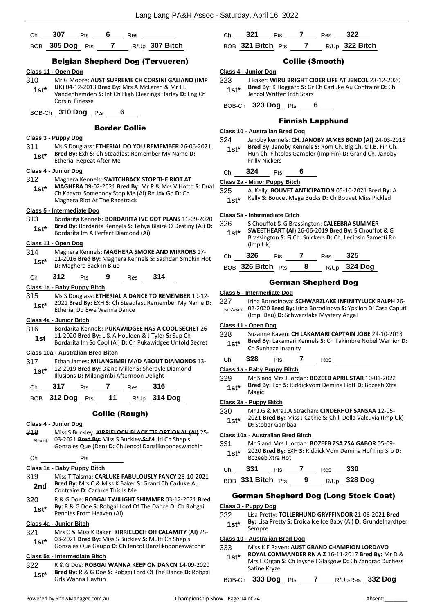| Ch $307$               | Pts 6 | Res |                  |
|------------------------|-------|-----|------------------|
| <b>BOB 305 Dog</b> Pts |       |     | $R/Up$ 307 Bitch |

## Belgian Shepherd Dog (Tervueren)

### **Class 11 - Open Dog**

- 310 Mr G Moore: **AUST SUPREME CH CORSINI GALIANO (IMP UK)** 04-12-2013 **Bred By:** Mrs A McLaren & Mr J L **1st\***
	- Vandenbemden **S:** Int Ch High Clearings Harley **D:** Eng Ch Corsini Finesse
- BOB-Ch **310 Dog** Pts **6**

## Border Collie

#### **Class 3 - Puppy Dog**

311 Ms S Douglass: **ETHERIAL DO YOU REMEMBER** 26-06-2021 **Bred By:** Exh **S:** Ch Steadfast Remember My Name **D: 1st\* Brea By:** Exn **5:** Ch Steadh<br>Etherial Repeat After Me

#### **Class 4 - Junior Dog**

- 312 Maghera Kennels: **SWITCHBACK STOP THE RIOT AT**
- **MAGHERA** 09-02-2021 **Bred By:** Mr P & Mrs V Hofto **S:** Dual Ch Khayoz Somebody Stop Me (Ai) Rn Jdx Gd **D:** Ch Maghera Riot At The Racetrack **1st\***

#### **Class 5 - Intermediate Dog**

313 Bordarita Kennels: **BORDARITA IVE GOT PLANS** 11-09-2020 **Bred By:** Bordarita Kennels **S:** Tehya Blaize O Destiny (Ai) **D: 1st\*** Bred By: Bordarita Kennels S: Tehya<br>Bordarita Im A Perfect Diamond (Ai)

#### **Class 11 - Open Dog**

- 314 Maghera Kennels: **MAGHERA SMOKE AND MIRRORS** 17-
- 11-2016 **Bred By:** Maghera Kennels **S:** Sashdan Smokin Hot **1st**\* 11-2016 **Bred By:** Maghe<br>**D:** Maghera Back In Blue
- Ch **312** Pts **9** Res **314**

#### **Class 1a - Baby Puppy Bitch**

315 Ms S Douglass: **ETHERIAL A DANCE TO REMEMBER** 19-12- 2021 **Bred By:** EXH **S:** Ch Steadfast Remember My Name **D: 1st\* 2021 Brea By:** EXH **S:** Ch Stead<br>Etherial Do Ewe Wanna Dance

#### **Class 4a - Junior Bitch**

- 316 Bordarita Kennels: **PUKAWIDGEE HAS A COOL SECRET** 26- 11-2020 **Bred By:** L & A Houlden & J Tyler **S:** Sup Ch **15 11-2020 Brea by:** L & A Houlder & J Tyler **3:** Sup Ch<br>Bordarita Im So Cool (Ai) **D:** Ch Pukawidgee Untold Secret
- 

## **Class 10a - Australian Bred Bitch**

317 Ethan James: **MILANGIMBI MAD ABOUT DIAMONDS** 13- 12-2019 **Bred By:** Diane Miller **S:** Sherayle Diamond Illusions **D:** Milangimbi Afternoon Delight **1st\***

| Ch | - 317 | Pts |  | Res | 316 |
|----|-------|-----|--|-----|-----|
|----|-------|-----|--|-----|-----|

| BOB 312 Dog Pts | 11 | R/Up 314 Dog |
|-----------------|----|--------------|
|                 |    |              |

## Collie (Rough)

#### **Class 4 - Junior Dog**

318 Miss S Buckley: **KIRRIELOCH BLACK TIE OPTIONAL (AI)** 25- 03-2021 **Bred By:** Miss S Buckley **S:** Multi Ch Shep's Gonzales Que (Den) **D:** Ch Jencol Danzliknooneswatchin Absent

## Ch Pts

#### **Class 1a - Baby Puppy Bitch**

- 319 Miss T Talsma: **CARLUKE FABULOUSLY FANCY** 26-10-2021 **Bred By:** Mrs C & Miss K Baker **S:** Grand Ch Carluke Au **2nd Brea By:** Mrs C & Miss K Baker 3<br>Contraire **D:** Carluke This Is Me
- 320 R & G Doe: **ROBGAI TWILIGHT SHIMMER** 03-12-2021 **Bred By:** R & G Doe **S:** Robgai Lord Of The Dance **D:** Ch Robgai **1st\* By:** R & G Doe S: Robgal Longth Pennies From Heaven (Ai)

#### **Class 4a - Junior Bitch**

321 Mrs C & Miss K Baker: **KIRRIELOCH OH CALAMITY (AI)** 25- 03-2021 **Bred By:** Miss S Buckley **S:** Multi Ch Shep's Gonzales Que Gaupo **D:** Ch Jencol Danzliknooneswatchin **1st\***

## **Class 5a - Intermediate Bitch**

322 R & G Doe: **ROBGAI WANNA KEEP ON DANCN** 14-09-2020 **Bred By:** R & G Doe **S:** Robgai Lord Of The Dance **D:** Robgai **1st\* brea by:** K & G Doe<br>Grls Wanna Havfun

| Сh | -321              | <b>Pts</b> | Res | -322             |
|----|-------------------|------------|-----|------------------|
|    | BOB 321 Bitch Pts |            |     | $R/Up$ 322 Bitch |

## Collie (Smooth)

## **Class 4 - Junior Dog**

323 J Baker: **WIRU BRIGHT CIDER LIFE AT JENCOL** 23-12-2020 **Bred By:** K Hoggard **S:** Gr Ch Carluke Au Contraire **D:** Ch **1st<sup>\*</sup> brea by:** K Hoggard **S:** Great Stars

BOB-Ch **323 Dog** Pts **6**

## Finnish Lapphund

## **Class 10 - Australian Bred Dog**

324 Janoby kennels: **CH. JANOBY JAMES BOND (AI)** 24-03-2018 **Bred By:** Janoby Kennels **S:** Rom Ch. Blg Ch. C.I.B. Fin Ch. Hun Ch. Fihtolas Gambler (Imp Fin) **D:** Grand Ch. Janoby Frilly Nickers **1st\***

## Ch **324** Pts **6**

## **Class 2a - Minor Puppy Bitch**

325 A. Kelly: **BOUVET ANTICIPATION** 05-10-2021 **Bred By:** A.

1st\* Kelly S: Bouvet Mega Bucks D: Ch Bouvet Miss Pickled

#### **Class 5a - Intermediate Bitch**

- 326 S Chouffot & G Brassington: **CALEEBRA SUMMER**
- **SWEETHEART (AI)** 26-06-2019 **Bred By:** S Chouffot & G Brassington **S:** Fi Ch. Snickers **D:** Ch. Lecibsin Sametti Rn (Imp Uk) **1st\***

| Сh | -326           |       |  |           |
|----|----------------|-------|--|-----------|
|    | non. 396 Ritch | $D4-$ |  | $324$ Dog |

BOB **326 Bitch** Pts **8** R/Up **324 Dog**

## German Shepherd Dog

#### **Class 5 - Intermediate Dog**

327 Irina Borodinova: **SCHWARZLAKE INFINITYLUCK RALPH** 26-

02-2020 **Bred By:** Irina Borodinova **S:** Ypsilon Di Casa Caputi (Imp. Deu) **D:** Schwarzlake Mystery Angel No Award

## **Class 11 - Open Dog**

- 328 Suzanne Raven: **CH LAKAMARI CAPTAIN JOBE** 24-10-2013 **Bred By:** Lakamari Kennels **S:** Ch Takimbre Nobel Warrior **D:**
- **1st\*** Bred By: Lakamari K<br>Ch Sunhaze Insanity
- Ch **328** Pts **7** Res

## **Class 1a - Baby Puppy Bitch**

329 Mr S and Mrs J Jordan: **BOZEEB APRIL STAR** 10-01-2022 **Bred By:** Exh **S:** Riddickvom Demina Hoff **D:** Bozeeb Xtra 1st\* **Brea B**<br>Magic

## **Class 3a - Puppy Bitch**

- 330 Mr J.G & Mrs J.A Strachan: **CINDERHOF SANSAA** 12-05-
- 2021 **Bred By:** Miss J Cathie **S:** Chili Della Valcuvia (Imp Uk) **1st**\* <sup>2021</sup> Bred By: Mis<br>**D:** Stobar Gambaa

## **Class 10a - Australian Bred Bitch**

- 331 Mr S and Mrs J Jordan: **BOZEEB ZSA ZSA GABOR** 05-09- 2020 **Bred By:** EXH **S:** Riddick Vom Demina Hof Imp Srb **D:**  1st\* <sup>2020</sup> Bred By: EX<br>Bozeeb Xtra Hot
- Ch **331** Pts **7** Res **330** BOB **331 Bitch** Pts **9** R/Up **328 Dog**

## German Shepherd Dog (Long Stock Coat)

### **Class 3 - Puppy Dog**

- 332 Lisa Pretty: **TOLLERHUND GRYFFINDOR** 21-06-2021 **Bred**
- **By:** Lisa Pretty **S:** Eroica Ice Ice Baby (Ai) **D:** Grundelhardtper 1st<sup>\*</sup> by: Lisa<br>Sempre

## **Class 10 - Australian Bred Dog**

- 333 Miss K E Raven: **AUST GRAND CHAMPION LORDAVO** 
	- **ROYAL COMMANDER RN A'Z** 16-11-2017 **Bred By:** Mr D & Mrs L Organ **S:** Ch Jayshell Glasgow **D:** Ch Zandrac Duchess Satine Kryze **1st\***

BOB-Ch **333 Dog** Pts **7** R/Up-Res **332 Dog**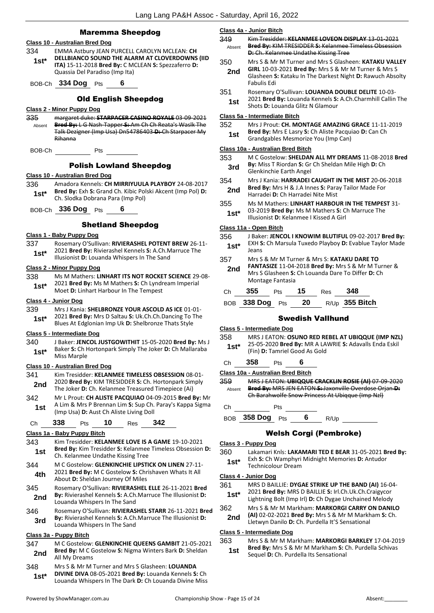## Maremma Sheepdog

## **Class 10 - Australian Bred Dog**

334 EMMA Astbury JEAN PURCELL CAROLYN MCLEAN: **CH DELLBIANCO SOUND THE ALARM AT CLOVERDOWNS (IID ITA)** 15-11-2018 **Bred By:** C MCLEAN **S:** Spezzaferro **D:**  Quassia Del Paradiso (Imp Ita) **1st\***

BOB-Ch **334 Dog** Pts **6**

## Old English Sheepdog

#### **Class 2 - Minor Puppy Dog**

335 margaret duke: **STARPACER CASINO ROYALE** 03-09-2021 **Bred By:** L G Nash-Tapper **S:** Am Ch Ch Reata's Waslk The Talk Dezigner (Imp Usa) Dn54786403 **D:** Ch Starpacer My Rihanna Absent

BOB-Ch Pts

## Polish Lowland Sheepdog

#### **Class 10 - Australian Bred Dog**

336 Amadora Kennels: **CH MIRRIYUULA PLAYBOY** 24-08-2017 **Bred By:** Exh **S:** Grand Ch. Kibic Polski Akcent (Imp Pol) **D: 1st\* Bred By:** Exn S: Grand Ch. Kibic Poly<br>Ch. Slodka Dobrana Para (Imp Pol)

BOB-Ch **336 Dog** Pts **6**

## Shetland Sheepdog

### **Class 1 - Baby Puppy Dog**

- 337 Rosemary O'Sullivan: **RIVIERASHEL POTENT BREW** 26-11-
- 2021 **Bred By:** Rivierashel Kennels **S:** A.Ch.Marruce The **1st**\* 2021 **Bred By:** Rivierashel Kennels **S:** A.Ch.N<br>**1st\*** Illusionist **D:** Louanda Whispers In The Sand

#### **Class 2 - Minor Puppy Dog**

338 Ms M Mathers: **LINHART ITS NOT ROCKET SCIENCE** 29-08- 2021 **Bred By:** Ms M Mathers **S:** Ch Lyndream Imperial Moet **D:** Linhart Harbour In The Tempest **1st\***

#### **Class 4 - Junior Dog**

339 Mrs J Kania: **SHELBRONZE YOUR ASCOLD AS ICE** 01-01- 2021 **Bred By:** Mrs D Saltau **S:** Uk.Ch.Ch.Dancing To The Blues At Edglonian Imp Uk **D:** Shelbronze Thats Style **1st\***

## **Class 5 - Intermediate Dog**

340 J Baker: **JENCOL JUSTGOWITHIT** 15-05-2020 **Bred By:** Ms J Baker **S:** Ch Hortonpark Simply The Joker **D:** Ch Mallaraba **1st**\* Baker **5:** Ch F<br>Miss Marple

#### **Class 10 - Australian Bred Dog**

- 341 Kim Tresidder: **KELANMEE TIMELESS OBSESSION** 08-01- 2020 **Bred By:** KIM TRESIDDER **S:** Ch. Hortonpark Simply **2nd** 2020 Bred By: KIM TRESIDDER S: Ch. Hortonpark Sim<br>The Joker D: Ch. Kelanmee Treasured Timepiece (Ai)
- 342 Mr L Prout: **CH ALISTE PACQUIAO** 04-09-2015 **Bred By:** Mr A Lim & Mrs P Brennan Lim **S:** Sup Ch. Paray's Kappa Sigma **1st** A Lim & Mrs P Brennan Lim **S:** Sup Ch.<br>(Imp Usa) **D:** Aust Ch Aliste Living Doll

## Ch **338** Pts **10** Res **342**

## **Class 1a - Baby Puppy Bitch**

- 343 Kim Tresidder: **KELANMEE LOVE IS A GAME** 19-10-2021 **Bred By:** Kim Tresidder **S:** Kelanmee Timeless Obsession **D: 1st Bred By:** Kim Tresidder **5:** Kelanmee Undathe Kissing Tree
- 344 M C Gostelow: **GLENKINCHIE LIPSTICK ON LINEN** 27-11- 2021 **Bred By:** M C Gostelow **S:** Chrishaven Whats It All **4th** 2021 **Bred By:** M C Gostelow **S:** Chr About **D:** Sheldan Journey Of Miles
- 345 Rosemary O'Sullivan: **RIVIERASHEL ELLE** 26-11-2021 **Bred By:** Rivierashel Kennels **S:** A.Ch.Marruce The Illusionist **D:**  2nd By: Rivierashel Kennels S: A.Ch<br>Louanda Whispers In The Sand
- 346 Rosemary O'Sullivan: **RIVIERASHEL STARR** 26-11-2021 **Bred By:** Rivierashel Kennels **S:** A.Ch.Marruce The Illusionist **D: 3rd By:** RIVIET BRIEF NOT BET STATED **3rd 3rd** Louanda Whispers In The Sand

## **Class 3a - Puppy Bitch**

- 347 M C Gostelow: **GLENKINCHIE QUEENS GAMBIT** 21-05-2021 **Bred By:** M C Gostelow **S:** Nigma Winters Bark **D:** Sheldan **2nd** Brea By: M C G<br>All My Dreams
- 348 Mrs S & Mr M Turner and Mrs S Glasheen: **LOUANDA DIVINE DIVA** 08-05-2021 **Bred By:** Louanda Kennels **S:** Ch Louanda Whispers In The Dark **D:** Ch Louanda Divine Miss **1st\***

**Class 4a - Junior Bitch**

- 349 Kim Tresidder: **KELANMEE LOVEON DISPLAY** 13-01-2021 **Bred By:** KIM TRESIDDER **S:** Kelanmee Timeless Obsession **D:** Ch. Kelanmee Undathe Kissing Tree Absent 350 Mrs S & Mr M Turner and Mrs S Glasheen: **KATAKU VALLEY**
- **GIRL** 10-03-2021 **Bred By:** Mrs S & Mr M Turner & Mrs S **2nd**
- Glasheen **S:** Kataku In The Darkest Night **D:** Rawuch Absolty Fabulis Edi
- 351 Rosemary O'Sullivan: **LOUANDA DOUBLE DELITE** 10-03- 2021 **Bred By:** Louanda Kennels **S:** A.Ch.Charmhill Callin The
- Shots **D:** Louanda Glitz N Glamour **1st**

## **Class 5a - Intermediate Bitch**

352 Mrs J Prout: **CH. MONTAGE AMAZING GRACE** 11-11-2019 **Bred By:** Mrs E Lasry **S:** Ch Aliste Pacquiao **D:** Can Ch **1st Brea By:** WITS E LASTY **5:** CIT Allste Pacque<br>Grandgables Mesmorize You (Imp Can)

#### **Class 10a - Australian Bred Bitch**

- 353 M C Gostelow: **SHELDAN ALL MY DREAMS** 11-08-2018 **Bred**
- **By:** Miss T Riordan **S:** Gr Ch Sheldan Mile High **D:** Ch **3rd By:** MISS L Riordan S: Gr<br>**Glenkinchie Earth Angel**
- 354 Mrs J Kania: **HARRADEI CAUGHT IN THE MIST** 20-06-2018 **Bred By:** Mrs H & J.A Innes **S:** Paray Tailor Made For **2nd Brea By:** Mrs H & J.A Innes S: Para<br>Harradei D: Ch Harradei Nite Mist
- 355 Ms M Mathers: **LINHART HARBOUR IN THE TEMPEST** 31-
- 03-2019 **Bred By:** Ms M Mathers **S:** Ch Marruce The **1st**\* 03-2019 **Bred By:** Ms M Mathers **S:** C<br>**15t\*** Illusionist **D:** Kelanmee I Kissed A Girl

#### **Class 11a - Open Bitch**

- 356 J Baker: **JENCOL I KNOWIM BLUTIFUL** 09-02-2017 **Bred By:** EXH **S:** Ch Marsula Tuxedo Playboy **D:** Evablue Taylor Made **1st**\* **EXH** S
- 357 Mrs S & Mr M Turner & Mrs S: **KATAKU DARE TO** 
	- **FANTASIZE** 11-04-2018 **Bred By:** Mrs S & Mr M Turner & Mrs S Glasheen **S:** Ch Louanda Dare To Differ **D:** Ch Montage Fantasia **2nd**
- Ch **355** Pts **15** Res **348** BOB **338 Dog** Pts **20** R/Up **355 Bitch**

## Swedish Vallhund

## **Class 5 - Intermediate Dog**

- 358 MRS J EATON: **OSUNO RED REBEL AT UBIQQUE (IMP NZL)** 25-05-2020 **Bred By:** MR A LAWRIE **S:** Adavalls Enda Eskil (Fin) **D:** Tamriel Good As Gold **1st\***
- Ch **358** Pts **6**
- **Class 10a - Australian Bred Bitch**
- 359 MRS J EATON: **UBIQQUE CRACKLIN ROSIE (AI)** 07-09-2020 **Bred By:** MRS JEN EATON **S:** Jaxonville Overdose Orjan **D:**  Ch Barahwolfe Snow Princess At Ubiqque (Imp Nzl) Absent
- Ch Pts
- BOB **358 Dog** Pts **6** R/Up

## Welsh Corgi (Pembroke)

#### **Class 3 - Puppy Dog**

360 Lakamari Knls: **LAKAMARI TED E BEAR** 31-05-2021 **Bred By:** Exh **S:** Ch Wamphyri Midnight Memories **D:** Antudor **1st**\* Exn **5:** Ch Wamphyri<br>Technicolour Dream

#### **Class 4 - Junior Dog**

- 361 MRS D BAILLIE: **DYGAE STRIKE UP THE BAND (AI)** 16-04- 2021 **Bred By:** MRS D BAILLIE **S:** Irl.Ch.Uk.Ch.Craigycor 1st\* 2021 Brea By: MRS D BAILLIE S: Irl.Ch.UK.Ch.Craigycor<br>Lightning Bolt (Imp Irl) **D**: Ch Dygae Unchained Melody
- 362 Mrs S & Mr M Markham: **MARKORGI CARRY ON DANILO**
- **(AI)** 02-02-2021 **Bred By:** Mrs S & Mr M Markham **S:** Ch. 2nd **All U2-U2-2021 Brea By:** Mrs 5 & Mr M Markney 2nd Lletwyn Danilo **D**: Ch. Purdella It'S Sensational

#### **Class 5 - Intermediate Dog**

## 363 Mrs S & Mr M Markham: **MARKORGI BARKLEY** 17-04-2019

**Bred By:** Mrs S & Mr M Markham **S:** Ch. Purdella Schivas

**1st Died by:** INTS 5 & MIT IN INTERTATION SEQUEL D: Ch. Purdella Its Sensational

- 
- -
- -
	- -
		-

- -
	-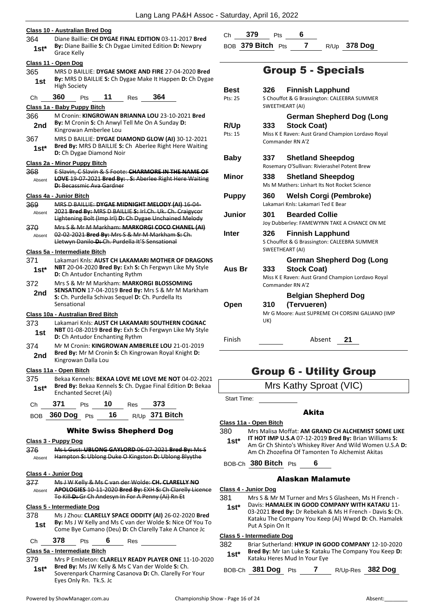## **Class 10 - Australian Bred Dog**

364 Diane Baillie: **CH DYGAE FINAL EDITION** 03-11-2017 **Bred By:** Diane Baillie **S:** Ch Dygae Limited Edition **D:** Newpry **1st\* By:** Dialie B

## **Class 11 - Open Dog**

365 MRS D BAILLIE: **DYGAE SMOKE AND FIRE** 27-04-2020 **Bred By:** MRS D BAILLIE **S:** Ch Dygae Make It Happen **D:** Ch Dygae High Society **1st**

Ch **360** Pts **11** Res **364**

## **Class 1a - Baby Puppy Bitch**

- 366 M Cronin: **KINGROWAN BRIANNA LOU** 23-10-2021 **Bred By:** M Cronin **S:** Ch Anwyl Tell Me On A Sunday **D: 2nd Ey:** WI Cronin **5:** Critality 367 MRS D BAILLIE: **DYGAE DIAMOND GLOW (AI)** 30-12-2021 **Bred By:** MRS D BAILLIE **S:** Ch Aberlee Right Here Waiting
- **1st\* D:** Ch Dygae Diamond Noir **1st**

## **Class 2a - Minor Puppy Bitch**

368 E Slavin, C Slavin & S Foote: **CHARMORE IN THE NAME OF LOVE** 19-07-2021 **Bred By:** . **S:** Aberlee Right Here Waiting **D:** Becassmic Ava Gardner Absent

#### **Class 4a - Junior Bitch**

- 369 MRS D BAILLIE: **DYGAE MIDNIGHT MELODY (AI)** 16-04- 2021 **Bred By:** MRS D BAILLIE **S:** Irl.Ch. Uk. Ch. Craigycor Lightening Bolt (Imp Irl) **D:** Ch Dygae Unchained Melody Absent
- 370 Mrs S & Mr M Markham: **MARKORGI COCO CHANEL (AI)** 02-02-2021 **Bred By:** Mrs S & Mr M Markham **S:** Ch. Lletwyn Danilo **D:** Ch. Purdella It'S Sensational Absent

## **Class 5a - Intermediate Bitch**

- 371 Lakamari Knls: **AUST CH LAKAMARI MOTHER OF DRAGONS NBT** 20-04-2020 **Bred By:** Exh **S:** Ch Fergwyn Like My Style **1st\* NBI** 20-04-2020 **Bred By:** EXN S: **C**<br>**D:** Ch Antudor Enchanting Rythm
- 372 Mrs S & Mr M Markham: **MARKORGI BLOSSOMING SENSATION** 17-04-2019 **Bred By:** Mrs S & Mr M Markham **S:** Ch. Purdella Schivas Sequel **D:** Ch. Purdella Its Sensational **2nd**

## **Class 10a - Australian Bred Bitch**

- 373 Lakamari Knls: **AUST CH LAKAMARI SOUTHERN COGNAC NBT** 01-08-2019 **Bred By:** Exh **S:** Ch Fergwyn Like My Style **1st NBI** 01-08-2019 **Brea By:** EXN **5: 0. D:** Ch Antudor Enchanting Rythm
- 374 Mr M Cronin: **KINGROWAN AMBERLEE LOU** 21-01-2019 **Bred By:** Mr M Cronin **S:** Ch Kingrowan Royal Knight **D: 2nd Brea By:** Mr M Cronic<br>Kingrowan Dalla Lou

#### **Class 11a - Open Bitch**

375 Bekaa Kennels: **BEKAA LOVE ME LOVE ME NOT** 04-02-2021 **Bred By:** Bekaa Kennels **S:** Ch. Dygae Final Edition **D:** Bekaa **1st\* Brea By:** Bekaa Kenne<br>**Enchanted Secret** (Ai)

| Ch 371 Pts 10      |  | Res 373 |                  |
|--------------------|--|---------|------------------|
| BOB 360 Dog Pts 16 |  |         | $R/Up$ 371 Bitch |

## White Swiss Shepherd Dog

## **Class 3 - Puppy Dog**

376 Ms L Gust: **UBLONG GAYLORD** 06-07-2021 **Bred By:** Ms S Absent Hampton **S:** Ublong Duke O Kingston **D:** Ublong Blyythe

## **Class 4 - Junior Dog**

377 Ms J W Kelly & Ms C van der Wolde: **CH. CLARELLY NO APOLOGIES** 10-11-2020 **Bred By:** EXH **S:** Ch Clarelly Licence To Kill **D:** Gr Ch Andesyn In For A Penny (Ai) Rn Et Absent

## **Class 5 - Intermediate Dog**

378 Ms J Zhou: **CLARELLY SPACE ODDITY (AI)** 26-02-2020 **Bred By:** Ms J W Kelly and Ms C van der Wolde **S:** Nice Of You To **1st** By: MS J W Kelly and MS C van der wolde **S:** Nice Of You<br>Come Bye Cumano (Deu) **D:** Ch Clarelly Take A Chance Jc

## Ch **378** Pts **6** Res

## **Class 5a - Intermediate Bitch**

379 Mrs P Embleton: **CLARELLY READY PLAYER ONE** 11-10-2020 **Bred By:** Ms JW Kelly & Ms C Van der Wolde **S:** Ch. Soverenpark Charming Casanova **D:** Ch. Clarelly For Your Eyes Only Rn. Tk.S. Jc **1st\***

| Ch 379            | <b>Pts</b> |  |              |
|-------------------|------------|--|--------------|
| BOB 379 Bitch Pts |            |  | R/Up 378 Dog |

# Group 5 - Specials

| <b>Best</b><br>Pts: 25 | 326<br>SWEETHEART (AI) | <b>Finnish Lapphund</b><br>S Chouffot & G Brassington: CALEEBRA SUMMER                                                          |
|------------------------|------------------------|---------------------------------------------------------------------------------------------------------------------------------|
| <b>R/Up</b><br>Pts: 15 | 333.                   | <b>German Shepherd Dog (Long</b><br><b>Stock Coat)</b><br>Miss K E Raven: Aust Grand Champion Lordavo Royal<br>Commander RN A'Z |
| Baby                   | 337                    | <b>Shetland Sheepdog</b><br>Rosemary O'Sullivan: Rivierashel Potent Brew                                                        |
| Minor                  | 338                    | <b>Shetland Sheepdog</b><br>Ms M Mathers: Linhart Its Not Rocket Science                                                        |
| <b>Puppy</b>           | 360                    | <b>Welsh Corgi (Pembroke)</b><br>Lakamari Knls: Lakamari Ted E Bear                                                             |
| Junior                 | 301                    | <b>Bearded Collie</b><br>Joy Dubberley: FAMEWYNN TAKE A CHANCE ON ME                                                            |
| Inter                  | 326<br>SWEETHEART (AI) | <b>Finnish Lapphund</b><br>S Chouffot & G Brassington: CALEEBRA SUMMER                                                          |
| Aus Br                 | 333.                   | <b>German Shepherd Dog (Long</b><br><b>Stock Coat)</b><br>Miss K E Raven: Aust Grand Champion Lordavo Royal<br>Commander RN A'Z |
| Open                   | 310<br>UK)             | <b>Belgian Shepherd Dog</b><br>(Tervueren)<br>Mr G Moore: Aust SUPREME CH CORSINI GALIANO (IMP                                  |
| Finish                 |                        | Absent<br>21                                                                                                                    |

# Group 6 - Utility Group

## Mrs Kathy Sproat (VIC)

Start Time:

## Akita

## **Class 11a - Open Bitch**

380 Mrs Malisa Moffat: **AM GRAND CH ALCHEMIST SOME LIKE** 

- **IT HOT IMP U.S.A** 07-12-2019 **Bred By:** Brian Williams **S:**  Am Gr Ch Shinto's Whiskey River And Wild Women U.S.A **D:**  Am Ch Zhozefina Of Tamonten To Alchemist Akitas **1st\***
- BOB-Ch **380 Bitch** Pts **6**

## Alaskan Malamute

#### **Class 4 - Junior Dog**

- 381 Mrs S & Mr M Turner and Mrs S Glasheen, Ms H French -
- Davis: **HAMALEK IN GOOD COMPANY WITH KATAKU** 11- 03-2021 **Bred By:** Dr Rebekah & Ms H French - Davis **S:** Ch. Kataku The Company You Keep (Ai) Wwpd **D:** Ch. Hamalek Put A Spin On It **1st\***

## **Class 5 - Intermediate Dog**

382 Briar Sutherland: **HYKUP IN GOOD COMPANY** 12-10-2020 **Bred By:** Mr Ian Luke **S:** Kataku The Company You Keep **D: 1st\*** Brea By: Mr Ian Luke S: Kataku Kataku Heres Mud In Your Eve

BOB-Ch **381 Dog** Pts **7** R/Up-Res **382 Dog**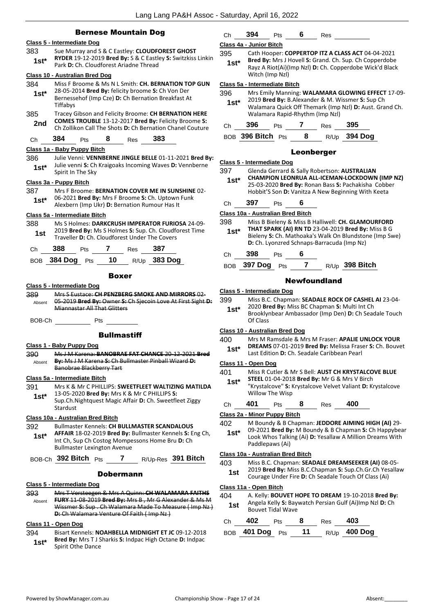## Bernese Mountain Dog

## **Class 5 - Intermediate Dog**

383 Sue Murray and S & C Eastley: **CLOUDFOREST GHOST RYDER** 19-12-2019 **Bred By:** S & C Eastley **S:** Switzkiss Linkin **1st\* RYDER 19-12-2019 Brea By:** 5 & C Eastle<br>Park D: Ch. Cloudforest Ariadne Thread

#### **Class 10 - Australian Bred Dog**

| 384<br>$1st*$ | Miss F Broome & Ms N L Smith: CH. BERNATION TOP GUN<br>28-05-2014 Bred By: felicity broome S: Ch Von Der<br>Bernessehof (Imp Cze) D: Ch Bernation Breakfast At<br>Tiffabys |
|---------------|----------------------------------------------------------------------------------------------------------------------------------------------------------------------------|
| OOE           | Trace: Cibean and Foligity Broome: CU PERNATION UFPE                                                                                                                       |

385 Tracey Gibson and Felicity Broome: **CH BERNATION HERE COMES TROUBLE** 13-12-2017 **Bred By:** Felicity Broome **S: 2nd COMES INOUBLE** 13-12-2017 **Brea By:** Felicity Broome S:<br>Ch Zollikon Call The Shots **D:** Ch Bernation Chanel Couture

## Ch **384** Pts **8** Res **383**

#### **Class 1a - Baby Puppy Bitch**

386 Julie Venni: **VENNBERNE JINGLE BELLE** 01-11-2021 **Bred By:** Julie venni **S:** Ch Kraigoaks Incoming Waves **D:** Vennberne **1st**\* Julie venni **S:** Ch<br>Spirit In The Sky

## **Class 3a - Puppy Bitch**

387 Mrs F Broome: **BERNATION COVER ME IN SUNSHINE** 02- 06-2021 **Bred By:** Mrs F Broome **S:** Ch. Uptown Funk **1st**\* Ub-2021 **Bred By:** Mrs F Broome S: Cn. Uptown<br>Alexbern (Imp Ukr) D: Bernation Rumour Has It

## **Class 5a - Intermediate Bitch**

388 Ms S Holmes: **DARKCRUSH IMPERATOR FURIOSA** 24-09- 2019 **Bred By:** Ms S Holmes **S:** Sup. Ch. Cloudforest Time **1st** 2019 **Bred By:** MS S Holmes **5:** Sup. Ch. Cloudto Traveller **D:** Ch. Cloudforest Under The Covers

| 88 | เร | . 9S | 387 |
|----|----|------|-----|
|    |    |      |     |



## Boxer

#### **Class 5 - Intermediate Dog**

389 Mrs S Eustace: **CH PENZBERG SMOKE AND MIRRORS** 02- 05-2019 **Bred By:** Owner **S:** Ch Sjecoin Love At First Sight **D:**  Miannastar All That Glitters Absent

BOB-Ch Pts

## **Bullmastiff**

## **Class 1 - Baby Puppy Dog**

390 Ms J M Karena: **BANOBRAE FAT CHANCE** 20-12-2021 **Bred By:** Ms J M Karena **S:** Ch Bullmaster Pinball Wizard **D:**  Banobrae Blackberry Tart Absent

#### **Class 5a - Intermediate Bitch**

391 Mrs K & Mr C PHILLIPS: **SWEETFLEET WALTIZING MATILDA** 13-05-2020 **Bred By:** Mrs K & Mr C PHILLIPS **S:**  Sup.Ch.Nightquest Magic Affair **D:** Ch. Sweetfleet Ziggy **1st\***

# Stardust

## **Class 10a - Australian Bred Bitch** 392 Bullmaster Kennels: **CH BULLMASTER SCANDALOUS**

**AFFAIR** 18-02-2019 **Bred By:** Bullmaster Kennels **S:** Eng Ch, Int Ch, Sup Ch Costog Mompessons Home Bru **D:** Ch Bullmaster Lexington Avenue **1st\***

## BOB-Ch **392 Bitch** Pts **7** R/Up-Res **391 Bitch**

## Dobermann

## **Class 5 - Intermediate Dog**

393 Mrs T Versteegen & Mrs A Quinn: **CH WALAMARA FAITHS FURY** 11-08-2019 **Bred By:** Mrs B , Mr G Alexander & Ms M Wissmer **S:** Sup . Ch Walamara Made To Measure ( Imp Nz ) **D:** Ch Walamara Venture Of Faith ( Imp Nz ) Absent

### **Class 11 - Open Dog**

394 Bisart Kennels: **NOAHBELLA MIDNIGHT ET JC** 09-12-2018 **Bred By:** Mrs T J Sharkis **S:** Indpac High Octane **D:** Indpac **1st\* Bred By:** Mrs 1 J S<br>Spirit Othe Dance

## Ch **394** Pts **6** Res

## **Class 4a - Junior Bitch**

395 Cath Hooper: **COPPERTOP ITZ A CLASS ACT** 04-04-2021 **Bred By:** Mrs J Hovell **S:** Grand. Ch. Sup. Ch Copperdobe Rayz A Riot(Ai)(Imp Nzl) **D:** Ch. Copperdobe Wick'd Black Witch (Imp Nzl) **1st\***

## **Class 5a - Intermediate Bitch**

396 Mrs Emily Manning: **WALAMARA GLOWING EFFECT** 17-09-

2019 **Bred By:** B.Alexander & M. Wissmer **S:** Sup Ch Walamara Quick Off Themark (Imp Nzl) **D:** Aust. Grand Ch. Walamara Rapid-Rhythm (Imp Nzl) **1st\***

| Ch. | 396                  | <b>Pts</b> | Res | -395         |
|-----|----------------------|------------|-----|--------------|
|     | BOB 396 Bitch $P$ ts |            |     | R/Up 394 Dog |

## Leonberger

## **Class 5 - Intermediate Dog**

- 397 Glenda Gerrard & Sally Robertson: **AUSTRALIAN**
- **CHAMPION LEONRUA ALL-ICEMAN-LOCKDOWN (IMP NZ)** 25-03-2020 **Bred By:** Ronan Bass **S:** Pachakisha Cobber Hobbit'S Son **D:** Vanitza A New Beginning With Keeta **1st\***
- Ch **397** Pts **6**

#### **Class 10a - Australian Bred Bitch**

- 398 Miss B Bieleny & Miss B Halliwell: **CH. GLAMOURFORD THAT SPARK (AI) RN TD** 23-04-2019 **Bred By:** Miss B G
- Bieleny **S:** Ch. Mathoaka's Walk On Blundstone (Imp Swe) **D:** Ch. Lyonzred Schnaps-Barracuda (Imp Nz) **1st\***
- Ch **398** Pts **6**
- BOB **397 Dog** Pts **7** R/Up **398 Bitch**

## Newfoundland

#### **Class 5 - Intermediate Dog**

- 399 Miss B.C. Chapman: **SEADALE ROCK OF CASHEL AI** 23-04-
	- 2020 **Bred By:** Miss BC Chapman **S:** Multi Int Ch Brooklynbear Ambassador (Imp Den) **D:** Ch Seadale Touch Of Class **1st\***

## **Class 10 - Australian Bred Dog**

400 Mrs M Ramsdale & Mrs M Fraser: **APALIE UNLOCK YOUR DREAMS** 07-01-2019 **Bred By:** Melissa Fraser **S:** Ch. Bouvet 1st\* **DREAMS** 07-01-2019 Bred By: Mellssa Fras<br>Last Edition D: Ch. Seadale Caribbean Pearl

## **Class 11 - Open Dog**

- 401 Miss R Cutler & Mr S Bell: **AUST CH KRYSTALCOVE BLUE** 
	- **STEEL** 01-04-2018 **Bred By:** Mr G & Mrs V Birch "Krystalcove" **S:** Krystalcove Velvet Valiant **D:** Krystalcove Willow The Wisp **1st\***
- Ch **401** Pts **8** Res **400**

#### **Class 2a - Minor Puppy Bitch**

- 402 M Boundy & B Chapman: **JEDDORE AIMING HIGH (AI)** 29-
	- 09-2021 **Bred By:** M Boundy & B Chapman **S:** Ch Happybear Look Whos Talking (Ai) **D:** Yesallaw A Million Dreams With Paddlepaws (Ai) **1st\***

## **Class 10a - Australian Bred Bitch**

- 403 Miss B.C. Chapman: **SEADALE DREAMSEEKER (AI)** 08-05- 2019 **Bred By:** Miss B.C.Chapman **S:** Sup.Ch.Gr.Ch Yesallaw
	- **1st** 2019 **Bred By:** MISS B.C.Chapman **S:** Sup.Cn.Gr.Cn Yes<br>Courage Under Fire **D:** Ch Seadale Touch Of Class (Ai)

## **Class 11a - Open Bitch**

- 404 A. Kelly: **BOUVET HOPE TO DREAM** 19-10-2018 **Bred By:** Angela Kelly **S:** Baywatch Persian Gulf (Ai)Imp Nzl **D:** Ch
- **1st** Angela Kelly **5:** Bay<br>Bouvet Tidal Wave

| Ch | 402 | <b>Pts</b> | 8 | Res | 403                               |
|----|-----|------------|---|-----|-----------------------------------|
|    |     |            |   |     | BOB 401 Dog Pts $11$ R/Up 400 Dog |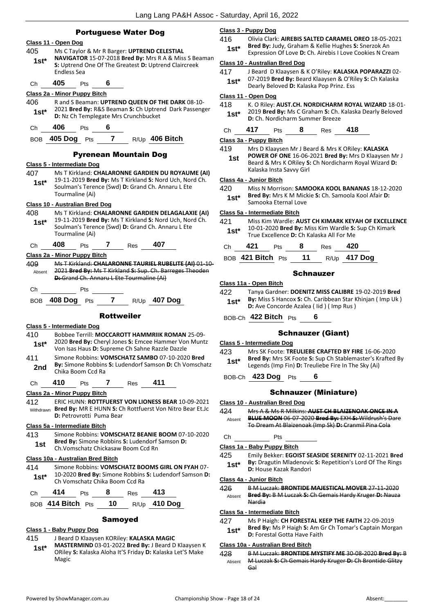## Portuguese Water Dog

| Class 11 - Open Dog                  |                    |                                                  |                   |               |                                                                    |  |  |  |  |  |  |
|--------------------------------------|--------------------|--------------------------------------------------|-------------------|---------------|--------------------------------------------------------------------|--|--|--|--|--|--|
| 405                                  |                    |                                                  |                   |               | Ms C Taylor & Mr R Barger: UPTREND CELESTIAL                       |  |  |  |  |  |  |
| 1st*                                 |                    |                                                  |                   |               | NAVIGATOR 15-07-2018 Bred By: Mrs R A & Miss S Beaman              |  |  |  |  |  |  |
|                                      | <b>Endless Sea</b> |                                                  |                   |               | S: Uptrend One Of The Greatest D: Uptrend Claircreek               |  |  |  |  |  |  |
|                                      |                    |                                                  |                   |               |                                                                    |  |  |  |  |  |  |
| Ch                                   | 405                | <b>Pts</b>                                       | 6                 |               |                                                                    |  |  |  |  |  |  |
| Class 2a - Minor Puppy Bitch         |                    |                                                  |                   |               |                                                                    |  |  |  |  |  |  |
| 406                                  |                    |                                                  |                   |               | R and S Beaman: UPTREND QUEEN OF THE DARK 08-10-                   |  |  |  |  |  |  |
| $1st*$                               |                    |                                                  |                   |               | 2021 Bred By: R&S Beaman S: Ch Uptrend Dark Passenger              |  |  |  |  |  |  |
|                                      |                    | D: Nz Ch Templegate Mrs Crunchbucket             |                   |               |                                                                    |  |  |  |  |  |  |
| Ch                                   | 406                | $Pts$ 6                                          |                   |               |                                                                    |  |  |  |  |  |  |
|                                      |                    |                                                  |                   |               | BOB 405 Dog Pts 7 R/Up 406 Bitch                                   |  |  |  |  |  |  |
|                                      |                    |                                                  |                   |               |                                                                    |  |  |  |  |  |  |
|                                      |                    | Pyrenean Mountain Dog                            |                   |               |                                                                    |  |  |  |  |  |  |
| Class 5 - Intermediate Dog           |                    |                                                  |                   |               |                                                                    |  |  |  |  |  |  |
| 407                                  |                    |                                                  |                   |               | Ms T Kirkland: CHALARONNE GARDIEN DU ROYAUME (AI)                  |  |  |  |  |  |  |
| 1st*                                 |                    |                                                  |                   |               | 19-11-2019 Bred By: Ms T Kirkland S: Nord Uch, Nord Ch.            |  |  |  |  |  |  |
|                                      |                    |                                                  |                   |               | Soulman's Terence (Swd) D: Grand Ch. Annaru L Ete                  |  |  |  |  |  |  |
|                                      |                    | Tourmaline (Ai)                                  |                   |               |                                                                    |  |  |  |  |  |  |
| Class 10 - Australian Bred Dog       |                    |                                                  |                   |               |                                                                    |  |  |  |  |  |  |
| 408                                  |                    |                                                  |                   |               | Ms T Kirkland: CHALARONNE GARDIEN DELAGALAXIE (AI)                 |  |  |  |  |  |  |
| 1st*                                 |                    |                                                  |                   |               | 19-11-2019 Bred By: Ms T Kirkland S: Nord Uch, Nord Ch.            |  |  |  |  |  |  |
|                                      |                    |                                                  |                   |               | Soulman's Terence (Swd) D: Grand Ch. Annaru L Ete                  |  |  |  |  |  |  |
|                                      |                    | Tourmaline (Ai)                                  |                   |               |                                                                    |  |  |  |  |  |  |
| Ch                                   | -408               | Pts                                              |                   | 7 Res 407     |                                                                    |  |  |  |  |  |  |
| <u> Class 2a - Minor Puppy Bitch</u> |                    |                                                  |                   |               |                                                                    |  |  |  |  |  |  |
| 409.                                 |                    |                                                  |                   |               | Ms T Kirkland: CHALARONNE TAURIEL RUBELITE (AI) 01-10-             |  |  |  |  |  |  |
| Absent                               |                    |                                                  |                   |               | 2021 Bred By: Ms T Kirkland S: Sup. Ch. Barreges Theoden           |  |  |  |  |  |  |
|                                      |                    | <b>D:</b> Grand Ch. Annaru L Ete Tourmaline (Ai) |                   |               |                                                                    |  |  |  |  |  |  |
| Ch                                   |                    | Pts                                              |                   |               |                                                                    |  |  |  |  |  |  |
|                                      |                    |                                                  |                   |               | BOB 408 Dog Pts 7 R/Up 407 Dog                                     |  |  |  |  |  |  |
|                                      |                    |                                                  |                   |               |                                                                    |  |  |  |  |  |  |
|                                      |                    |                                                  | <b>Rottweiler</b> |               |                                                                    |  |  |  |  |  |  |
| Class 5 - Intermediate Dog           |                    |                                                  |                   |               |                                                                    |  |  |  |  |  |  |
| 410                                  |                    |                                                  |                   |               |                                                                    |  |  |  |  |  |  |
| 1st*                                 |                    |                                                  |                   |               | Bobbee Terrill: MOCCAROTT HAMMRIIK ROMAN 25-09-                    |  |  |  |  |  |  |
|                                      |                    |                                                  |                   |               | 2020 Bred By: Cheryl Jones S: Emcee Hammer Von Muntz               |  |  |  |  |  |  |
|                                      |                    |                                                  |                   |               | Von Isas Haus D: Supreme Ch Sahne Razzle Dazzle                    |  |  |  |  |  |  |
| 411                                  |                    |                                                  |                   |               | Simone Robbins: VOMSCHATZ SAMBO 07-10-2020 Bred                    |  |  |  |  |  |  |
| 2nd                                  |                    |                                                  |                   |               | <b>By:</b> Simone Robbins S: Ludendorf Samson D: Ch Vomschatz      |  |  |  |  |  |  |
|                                      |                    | Chika Boom Ccd Ra                                |                   |               |                                                                    |  |  |  |  |  |  |
| Ch                                   | 410                |                                                  |                   | Pts 7 Res 411 |                                                                    |  |  |  |  |  |  |
| Class 2a - Minor Puppy Bitch         |                    |                                                  |                   |               |                                                                    |  |  |  |  |  |  |
| 412                                  |                    |                                                  |                   |               | ERIC HUNN: ROTTFUERST VON LIONESS BEAR 10-09-2021                  |  |  |  |  |  |  |
|                                      |                    |                                                  |                   |               | Withdrawn Bred By: MR E HUNN S: Ch Rottfuerst Von Nitro Bear Et.Jc |  |  |  |  |  |  |
|                                      |                    | D: Petrovrotti Puma Bear                         |                   |               |                                                                    |  |  |  |  |  |  |
| Class 5a - Intermediate Bitch        |                    |                                                  |                   |               |                                                                    |  |  |  |  |  |  |
| 413                                  |                    |                                                  |                   |               | Simone Robbins: VOMSCHATZ BEANIE BOOM 07-10-2020                   |  |  |  |  |  |  |
|                                      |                    |                                                  |                   |               | Bred By: Simone Robbins S: Ludendorf Samson D:                     |  |  |  |  |  |  |
| 1st.                                 |                    | Ch. Vomschatz Chickasaw Boom Ccd Rn              |                   |               |                                                                    |  |  |  |  |  |  |
| Class 10a - Australian Bred Bitch    |                    |                                                  |                   |               |                                                                    |  |  |  |  |  |  |
| 414                                  |                    |                                                  |                   |               | Simone Robbins: VOMSCHATZ BOOMS GIRL ON FYAH 07-                   |  |  |  |  |  |  |
| 1st*                                 |                    |                                                  |                   |               | 10-2020 Bred By: Simone Robbins S: Ludendorf Samson D:             |  |  |  |  |  |  |
|                                      |                    | Ch Vomschatz Chika Boom Ccd Ra                   |                   |               |                                                                    |  |  |  |  |  |  |
|                                      |                    | Ch 414 Pts 8 Res 413                             |                   |               |                                                                    |  |  |  |  |  |  |
|                                      |                    |                                                  |                   |               |                                                                    |  |  |  |  |  |  |
|                                      |                    | BOB 414 Bitch Pts                                |                   |               | 10 R/Up 410 Dog                                                    |  |  |  |  |  |  |
|                                      |                    |                                                  | <b>Samoyed</b>    |               |                                                                    |  |  |  |  |  |  |

## **Class 1 - Baby Puppy Dog**

- 415 J Beard D Klaaysen KORiley: **KALASKA MAGIC** 
	- **MASTERMIND** 03-01-2022 **Bred By:** J Beard D Klaaysen K ORiley **S:** Kalaska Aloha It'S Friday **D:** Kalaska Let'S Make Magic **1st\***

## **Class 3 - Puppy Dog**

416 Olivia Clark: **AIREBIS SALTED CARAMEL OREO** 18-05-2021 **Bred By:** Judy, Graham & Kellie Hughes **S:** Snerzok An

**1st**\* Brea by: Judy, Granam & Kellie Hughes S: Sherzok An<br>**1st\*** Expression Of Love D: Ch. Airebis I Love Cookies N Cream

## **Class 10 - Australian Bred Dog**

417 J Beard D Klaaysen & K O'Riley: **KALASKA POPARAZZI** 02- 07-2019 **Bred By:** Beard Klaaysen & O'Riley **S:** Ch Kalaska Dearly Beloved **D:** Kalaska Pop Prinz. Ess **1st\***

#### **Class 11 - Open Dog**

| 418    | K. O Riley: AUST.CH. NORDICHARM ROYAL WIZARD 18-01-     |
|--------|---------------------------------------------------------|
| $1st*$ | 2019 Bred By: Ms C Graham S: Ch. Kalaska Dearly Beloved |
|        | D: Ch. Nordicharm Summer Breeze                         |

| Ch | 417 | Pts | 8 | Res | 418 |
|----|-----|-----|---|-----|-----|
|----|-----|-----|---|-----|-----|

#### **Class 3a - Puppy Bitch**

419 Mrs D Klaaysen Mr J Beard & Mrs K ORiley: **KALASKA** 

**POWER OF ONE** 16-06-2021 **Bred By:** Mrs D Klaaysen Mr J Beard & Mrs K ORiley **S:** Ch Nordicharm Royal Wizard **D:**  Kalaska Insta Savvy Girl **1st**

#### **Class 4a - Junior Bitch**

420 Miss N Morrison: **SAMOOKA KOOL BANANAS** 18-12-2020

**Bred By:** Mrs K M Mickie **S:** Ch. Samoola Kool Afair **D: 1st\* Brea By:** Mrs K M MICH<br>Samooka Eternal Love

## **Class 5a - Intermediate Bitch**

| 421    |     |            |   |                                          |                                                      | Miss Kim Wardle: AUST CH KIMARK KEYAH OF EXCELLENCE |
|--------|-----|------------|---|------------------------------------------|------------------------------------------------------|-----------------------------------------------------|
| $1st*$ |     |            |   | True Excellence D: Ch Kalaska All For Me | 10-01-2020 Bred By: Miss Kim Wardle S: Sup Ch Kimark |                                                     |
| Ch     | 421 | <b>Pts</b> | 8 | <b>Res</b>                               | 420                                                  |                                                     |

| BOB 421 Bitch Pts | 11 | R/Up <b>417 Dog</b> |
|-------------------|----|---------------------|
|                   |    |                     |

## Schnauzer

#### **Class 11a - Open Bitch**

- 422 Tanya Gardner: **DOENITZ MISS CALIBRE** 19-02-2019 **Bred By:** Miss S Hancox **S:** Ch. Caribbean Star Khinjan ( Imp Uk ) **1st\* by:** Miss S Hancox **S:** Cn. Caribbean Star K<br>**D:** Ave Concorde Azalea ( lid ) ( Imp Rus )
- BOB-Ch **422 Bitch** Pts **6**

## Schnauzer (Giant)

**Class 5 - Intermediate Dog**

- 423 Mrs SK Foote: **TREULIEBE CRAFTED BY FIRE** 16-06-2020 **Bred By:** Mrs SK Foote **S:** Sup Ch Stablemaster's Krafted By **1st\*** Brea By: Mrs SK Foote S: Sup Cn Stablemaster's Ki<br>Legends (Imp Fin) **D:** Treuliebe Fire In The Sky (Ai)
- BOB-Ch **423 Dog** Pts **6**

## Schnauzer (Miniature)

- **Class 10 - Australian Bred Dog**
- 424 Mrs A & Ms R Milkins: **AUST CH BLAIZENOAK ONCE IN A BLUE MOON** 06-07-2020 **Bred By:** EXH **S:** Wildrush's Dare To Dream At Blaizenoak (Imp Sk) **D:** Cranmil Pina Cola Absent

# Ch Pts

- **Class 1a - Baby Puppy Bitch**
- 425 Emily Bekker: **EGOIST SEASIDE SERENITY** 02-11-2021 **Bred By:** Dragutin Mladenovic **S:** Repetition's Lord Of The Rings **1st\* By:** Dragutin Miladenovich **D:** House Kazak Randori

#### **Class 4a - Junior Bitch**

426 B M Luczak: **BRONTIDE MAJESTICAL MOVER** 27-11-2020 **Bred By:** B M Luczak **S:** Ch Gemais Hardy Kruger **D:** Nauza Absent

## Nardia **Class 5a - Intermediate Bitch**

427 Ms P Haigh: **CH FORESTAL KEEP THE FAITH** 22-09-2019

**Bred By:** Ms P Haigh **S:** Am Gr Ch Tomar's Captain Morgan **1st\* Bred By:** MS P Haigh **5:** Am G<br>**D:** Forestal Gotta Have Faith

#### **Class 10a - Australian Bred Bitch**

428 B M Luczak: **BRONTIDE MYSTIFY ME** 30-08-2020 **Bred By:** B M Luczak **S:** Ch Gemais Hardy Kruger **D:** Ch Brontide Glitzy Gal Absent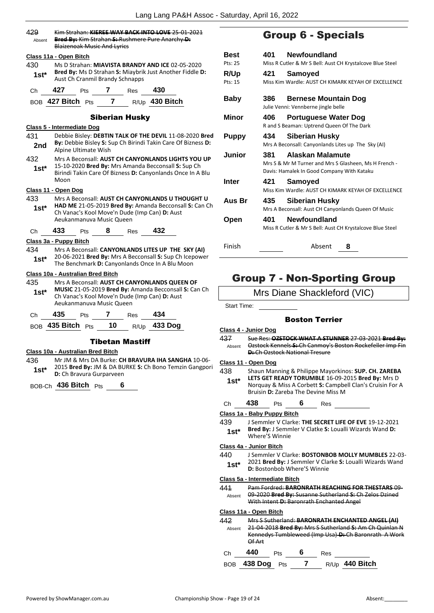| 429<br>Absent                                                                                                                                                                                      | Kim Strahan: KIEREE WAY BACK INTO LOVE 25-01-2021<br>Bred By: Kim Strahan S: Rushmere Pure Anarchy D:<br><b>Blaizenoak Music And Lyrics</b>                                             |     |                |                |                                                                                                                                                                         |  |  |
|----------------------------------------------------------------------------------------------------------------------------------------------------------------------------------------------------|-----------------------------------------------------------------------------------------------------------------------------------------------------------------------------------------|-----|----------------|----------------|-------------------------------------------------------------------------------------------------------------------------------------------------------------------------|--|--|
| 430<br>$1st^*$                                                                                                                                                                                     | Class 11a - Open Bitch<br>Ms D Strahan: MIAVISTA BRANDY AND ICE 02-05-2020<br>Bred By: Ms D Strahan S: Miaybrik Just Another Fiddle D:<br>Aust Ch Cranmil Brandy Schnapps               |     |                |                |                                                                                                                                                                         |  |  |
| Ch                                                                                                                                                                                                 | 427                                                                                                                                                                                     | Pts | 7              | Res            | 430                                                                                                                                                                     |  |  |
|                                                                                                                                                                                                    | BOB 427 Bitch Pts                                                                                                                                                                       |     | $\overline{7}$ |                | R/Up 430 Bitch                                                                                                                                                          |  |  |
|                                                                                                                                                                                                    |                                                                                                                                                                                         |     |                | Siberian Husky |                                                                                                                                                                         |  |  |
|                                                                                                                                                                                                    | <b>Class 5 - Intermediate Dog</b>                                                                                                                                                       |     |                |                |                                                                                                                                                                         |  |  |
| 431                                                                                                                                                                                                |                                                                                                                                                                                         |     |                |                | Debbie Bisley: DEBTIN TALK OF THE DEVIL 11-08-2020 Bred                                                                                                                 |  |  |
| 2nd                                                                                                                                                                                                | Alpine Ultimate Wish                                                                                                                                                                    |     |                |                | By: Debbie Bisley S: Sup Ch Birindi Takin Care Of Bizness D:                                                                                                            |  |  |
| 432<br>$1st^*$                                                                                                                                                                                     | Moon                                                                                                                                                                                    |     |                |                | Mrs A Beconsall: AUST CH CANYONLANDS LIGHTS YOU UP<br>15-10-2020 Bred By: Mrs Amanda Becconsall S: Sup Ch<br>Birindi Takin Care Of Bizness D: Canyonlands Once In A Blu |  |  |
|                                                                                                                                                                                                    | Class 11 - Open Dog                                                                                                                                                                     |     |                |                |                                                                                                                                                                         |  |  |
| 433<br>$1st^*$                                                                                                                                                                                     | Mrs A Beconsall: AUST CH CANYONLANDS U THOUGHT U<br>HAD ME 21-05-2019 Bred By: Amanda Becconsall S: Can Ch<br>Ch Vanac's Kool Move'n Dude (Imp Can) D: Aust<br>Aeukanmanuva Music Queen |     |                |                |                                                                                                                                                                         |  |  |
| Ch                                                                                                                                                                                                 | 433                                                                                                                                                                                     | Pts | 8              | Res            | 432                                                                                                                                                                     |  |  |
|                                                                                                                                                                                                    | Class 3a - Puppy Bitch                                                                                                                                                                  |     |                |                |                                                                                                                                                                         |  |  |
| 434<br>$1st*$                                                                                                                                                                                      | Mrs A Beconsall: CANYONLANDS LITES UP THE SKY (AI)<br>20-06-2021 Bred By: Mrs A Becconsall S: Sup Ch Icepower<br>The Benchmark D: Canyonlands Once In A Blu Moon                        |     |                |                |                                                                                                                                                                         |  |  |
|                                                                                                                                                                                                    | Class 10a - Australian Bred Bitch                                                                                                                                                       |     |                |                |                                                                                                                                                                         |  |  |
| 435<br>Mrs A Beconsall: AUST CH CANYONLANDS QUEEN OF<br>MUSIC 21-05-2019 Bred By: Amanda Becconsall S: Can Ch<br>1st*<br>Ch Vanac's Kool Move'n Dude (Imp Can) D: Aust<br>Aeukanmanuva Music Queen |                                                                                                                                                                                         |     |                |                |                                                                                                                                                                         |  |  |
| Сh                                                                                                                                                                                                 | 435                                                                                                                                                                                     | Pts | 7              | Res            | 434                                                                                                                                                                     |  |  |
|                                                                                                                                                                                                    | BOB 435 Bitch Pts                                                                                                                                                                       |     | 10             |                | R/Up 433 Dog                                                                                                                                                            |  |  |

## Tibetan Mastiff

#### **Class 10a - Australian Bred Bitch**

436 Mr JM & Mrs DA Burke: **CH BRAVURA IHA SANGHA** 10-06- 2015 **Bred By:** JM & DA BURKE **S:** Ch Bono Temzin Gangpori **1st**\* 2015 **Bred By:** JM & DA BU<br>**D:** Ch Bravura Gurparveen

BOB-Ch **436 Bitch** Pts **6**

# Group 6 - Specials

| <b>Best</b><br>Pts: 25 | <b>Newfoundland</b><br>401<br>Miss R Cutler & Mr S Bell: Aust CH Krystalcove Blue Steel                                        |   |
|------------------------|--------------------------------------------------------------------------------------------------------------------------------|---|
| <b>R/Up</b><br>Pts: 15 | 421<br>Samoyed<br>Miss Kim Wardle: AUST CH KIMARK KEYAH OF EXCELLENCE                                                          |   |
| Baby                   | <b>Bernese Mountain Dog</b><br>386<br>Julie Venni: Vennberne jingle belle                                                      |   |
| Minor                  | <b>Portuguese Water Dog</b><br>406<br>R and S Beaman: Uptrend Queen Of The Dark                                                |   |
| <b>Puppy</b>           | Siberian Husky<br>434<br>Mrs A Beconsall: Canyonlands Lites up The Sky (AI)                                                    |   |
| Junior                 | Alaskan Malamute<br>381<br>Mrs S & Mr M Turner and Mrs S Glasheen, Ms H French -<br>Davis: Hamalek In Good Company With Kataku |   |
| Inter                  | Samoved<br>421<br>Miss Kim Wardle: AUST CH KIMARK KEYAH OF EXCELLENCE                                                          |   |
| Aus Br                 | Siberian Husky<br>435<br>Mrs A Beconsall: Aust CH Canyonlands Queen Of Music                                                   |   |
| Open                   | <b>Newfoundland</b><br>401<br>Miss R Cutler & Mr S Bell: Aust CH Krystalcove Blue Steel                                        |   |
| Finish                 | Absent                                                                                                                         | 8 |

# Group 7 - Non-Sporting Group

Mrs Diane Shackleford (VIC)

Start Time:

## Boston Terrier

## **Class 4 - Junior Dog**

437 Sue Res: **OZSTOCK WHAT A STUNNER** 27-03-2021 **Bred By:** Ozstock Kennels **S:** Ch Canmoy's Boston Rockefeller Imp Fin **D:** Ch Ozstock National Tresure Absent

## **Class 11 - Open Dog**

- 438 Shaun Manning & Philippe Mayorkinos: **SUP. CH. ZAREBA LETS GET READY TORUMBLE** 16-09-2015 **Bred By:** Mrs D
	- Norquay & Miss A Corbett **S:** Campbell Clan's Cruisin For A Bruisin **D:** Zareba The Devine Miss M **1st\***
- Ch **438** Pts **6** Res

## **Class 1a - Baby Puppy Bitch**

439 J Semmler V Clarke: **THE SECRET LIFE OF EVE** 19-12-2021 **Bred By:** J Semmler V Clatke **S:** Loualli Wizards Wand **D:**  1st<sup>\*</sup> **brea by:** J Semm<br>Where'S Winnie

#### **Class 4a - Junior Bitch**

440 J Semmler V Clarke: **BOSTONBOB MOLLY MUMBLES** 22-03- 2021 **Bred By:** J Semmler V Clarke **S:** Loualli Wizards Wand **1st**\* **D:** Bostonbob Where'S Winnie **1st** 

#### **Class 5a - Intermediate Bitch**

#### 441 Pam Fordred: **BARONRATH REACHING FOR THESTARS** 09- 09-2020 **Bred By:** Susanne Sutherland **S:** Ch Zelos Dzined With Intent **D:** Baronrath Enchanted Angel Absent

## **Class 11a - Open Bitch**

442 Mrs S Sutherland: **BARONRATH ENCHANTED ANGEL (AI)** 21-04-2018 **Bred By:** Mrs S Sutherland **S:** Am Ch Quinlan N Kennedys Tumbleweed (Imp Usa) **D:** Ch Baronrath A Work Of Art Absent

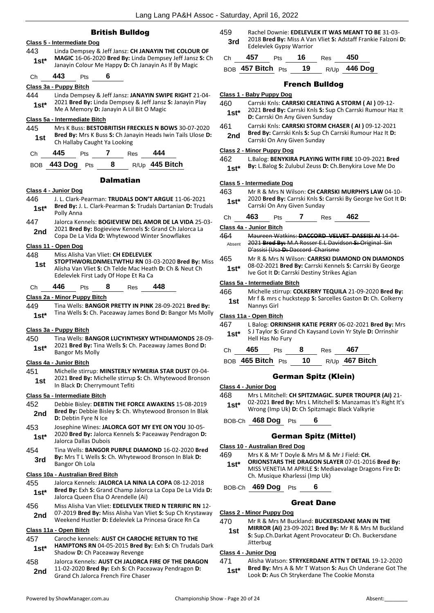## British Bulldog **Class 5 - Intermediate Dog** 443 Linda Dempsey & Jeff Jansz: **CH JANAYIN THE COLOUR OF MAGIC** 16-06-2020 **Bred By:** Linda Dempsey Jeff Jansz **S:** Ch **1st\*** MAGIC 16-06-2020 Bred By: Linda Dempsey Jeff Jansz<br>Janayin Colour Me Happy D: Ch Janayin As If By Magic Ch **443** Pts **6 Class 3a - Puppy Bitch** 444 Linda Dempsey & Jeff Jansz: **JANAYIN SWIPE RIGHT** 21-04- 2021 **Bred By:** Linda Dempsey & Jeff Jansz **S:** Janayin Play **1st** Zuzi **Brea By:** Linda Dempsey & Jeff Jansz<br>Me A Memory **D:** Janayin A Lil Bit O Magic **Class 5a - Intermediate Bitch** 445 Mrs K Buss: **BESTOBRITISH FRECKLES N BOWS** 30-07-2020 **Bred By:** Mrs K Buss **S:** Ch Janayin Heads Iwin Tails Ulose **D: 1st Bred By:** Mrs K Buss **S:** Ch Jan<br>Ch Hallaby Caught Ya Looking Ch **445** Pts **7** Res **444** BOB **443 Dog** Pts **8** R/Up **445 Bitch Dalmatian Class 4 - Junior Dog** 446 J. L. Clark-Pearman: **TRUDALS DON'T ARGUE** 11-06-2021 **Bred By:** J. L. Clark-Pearman **S:** Trudals Dartanian **D:** Trudals **1st\* Bred By:** J.<br>Polly Anna 447 Jalorca Kennels: **BOGIEVIEW DEL AMOR DE LA VIDA** 25-03- 2021 **Bred By:** Bogieview Kennels **S:** Grand Ch Jalorca La 2nd <sup>2021</sup> Brea by: bogieview Kennels 3: Grand Christon<br>Copa De La Vida D: Whytewood Winter Snowflakes **Class 11 - Open Dog** 448 Miss Alisha Van Vliet: **CH EDELEVLEK STOPTHWORLDNMELTWTHU RN** 03-03-2020 **Bred By:** Miss Alisha Van Vliet **S:** Ch Telde Mac Heath **D:** Ch & Neut Ch Edelevlek First Lady Of Hope Et Ra Ca **1st** Ch **446** Pts **8** Res **448 Class 2a - Minor Puppy Bitch** 449 Tina Wells: **BANGOR PRETTY IN PINK** 28-09-2021 **Bred By:** Tina Wells **S:** Ch. Paceaway James Bond **D:** Bangor Ms Molly **1st\* Class 3a - Puppy Bitch** 450 Tina Wells: **BANGOR LUCYINTHSKY WTHDIAMONDS** 28-09- 2021 **Bred By:** Tina Wells **S:** Ch. Paceaway James Bond **D: 1st**\* **2021 brea by:** The Bangor Ms Molly **Class 4a - Junior Bitch** 451 Michelle stirrup: **MINSTERLY NYMERIA STAR DUST** 09-04- 2021 **Bred By:** Michelle stirrup **S:** Ch. Whytewood Bronson **1st Digital Brea by:** Michelle Stirtup **1st 1st 1st 1st 1st 1st 1st 1st 1st 1st 1st 1st 1st 1st 1st 1st 1st 1st 1st 1st 1st 1st 1st 1st 1st 1st 1st 1st 1st 1st Class 5a - Intermediate Bitch** 452 Debbie Bisley: **DEBTIN THE FORCE AWAKENS** 15-08-2019 **Bred By:** Debbie Bisley **S:** Ch. Whytewood Bronson In Blak **2nd D:** Debtin Fyre N Ice 453 Josephine Wines: **JALORCA GOT MY EYE ON YOU** 30-05- Absent

- 2020 **Bred By:** Jalorca Kennels **S:** Paceaway Pendragon **D:**  Jalorca Dallas Dubois **1st\***
- 454 Tina Wells: **BANGOR PURPLE DIAMOND** 16-02-2020 **Bred By:** Mrs T L Wells **S:** Ch. Whytewood Bronson In Blak **D: 3rd By:** Mrs T L Well<br>Bangor Oh Lola

## **Class 10a - Australian Bred Bitch**

- 455 Jalorca Kennels: **JALORCA LA NINA LA COPA** 08-12-2018 **Bred By:** Exh **S:** Grand Champ Jalorca La Copa De La Vida **D: 1st\*** Bred By: Exh S: Grand Champ Jalord<br>Jalorca Queen Elsa O Arendelle (Ai)
- 456 Miss Alisha Van Vliet: **EDELEVLEK TRIED N TERRIFIC RN** 12- 07-2019 **Bred By:** Miss Alisha Van Vliet **S:** Sup Ch Krystaway 2nd <sup>U7-2019</sup> Brea By: MISS Alisha Van Vilet S: Sup Ch Krysta<br>Weekend Hustler D: Edelevlek La Princesa Grace Rn Ca

## **Class 11a - Open Bitch**

- 457 Caroche kennels: **AUST CH CAROCHE RETURN TO THE**
- **HAMPTONS RN** 04-05-2015 **Bred By:** Exh **S:** Ch Trudals Dark **1st\*** HAMPTONS RN 04-05-2015 Bred<br>Shadow D: Ch Paceaway Revenge
- 458 Jalorca Kennels: **AUST CH JALORCA FIRE OF THE DRAGON** 11-02-2020 **Bred By:** Exh **S:** Ch Paceaway Pendragon **D: 2nd** II-02-2020 **Brea By:** Exh S: Ch Pacea<br>Grand Ch Jalorca French Fire Chaser

459 Rachel Downie: **EDELEVLEK IT WAS MEANT TO BE** 31-03- 2018 **Bred By:** Miss A Van Vliet **S:** Adstaff Frankie Falzoni **D: 3rd** 2018 **Bred By:** Miss A Va<br>**Edelevlek Gypsy Warrior** 

| Ch | 457                    | <b>Pts</b> | 16 | Res | 450                 |
|----|------------------------|------------|----|-----|---------------------|
|    | BOB 457 Bitch $Pts$ 19 |            |    |     | R/Up <b>446 Dog</b> |

## French Bulldog

## **Class 1 - Baby Puppy Dog**

- 460 Carrski Knls: **CARRSKI CREATING A STORM ( AI )** 09-12-
- 2021 **Bred By:** Carrski Knls **S:** Sup Ch Carrski Rumour Haz It **1st**\* 2021 Bred By: Carrski Knis S: Su<br>**D:** Carrski On Any Given Sunday
- 461 Carrski Knls: **CARRSKI STORM CHASER ( AI )** 09-12-2021 **Bred By:** Carrski Knls **S:** Sup Ch Carrski Rumour Haz It **D: 2nd Dieu by:** Carrski Killis **3:** 3up Carrski On Any Given Sunday

## **Class 2 - Minor Puppy Dog**

- 462 L.Balog: **BENYKIRA PLAYING WITH FIRE** 10-09-2021 **Bred**
- **By:** L.Balog **S:** Zulubul Zeuss **D:** Ch.Benykira Love Me Do **1st\***

## **Class 5 - Intermediate Dog**

- 463 Mr R & Mrs N Wilson: **CH CARRSKI MURPHYS LAW** 04-10- 2020 **Bred By:** Carrski Knls **S:** Carrski By George Ive Got It **D:**  Carrski On Any Given Sunday **1st\***
- Ch **463** Pts **7** Res **462**

## **Class 4a - Junior Bitch**

- 464 Maureen Watkins: **DACCORD VELVET DASSISI AI** 14-04- 2021 **Bred By:** M.A Rosser E.L Davidson **S:** Original Sin D'assisi (Usa **D:** Daccord Charisme
- 465 Mr R & Mrs N Wilson: **CARRSKI DIAMOND ON DIAMONDS** 08-02-2021 **Bred By:** Carrski Kennels **S:** Carrski By George Ive Got It **D:** Carrski Destiny Strikes Agian **1st\***

## **Class 5a - Intermediate Bitch**

466 Michelle stirrup: **COLKERRY TEQUILA** 21-09-2020 **Bred By:** Mr f & mrs c huckstepp **S:** Sarcelles Gaston **D:** Ch. Colkerry 1st **Mannys Girl** 

## **Class 11a - Open Bitch**

- 467 L Balog: **ORRINSHIR KATIE PERRY** 06-02-2021 **Bred By:** Mrs S J Taylor **S:** Grand Ch Kaysand Lovin Yr Style **D:** Orrinshir **1st** <sup>5 J</sup> Laylor **5:** Grand **1st**
- Ch **465** Pts **8** Res **467** BOB **465 Bitch** Pts **10** R/Up **467 Bitch**

## German Spitz (Klein)

- **Class 4 - Junior Dog**
- 468 Mrs L Mitchell: **CH SPITZMAGIC. SUPER TROUPER (AI)** 21-
- 02-2021 **Bred By:** Mrs L Mitchell **S:** Manzamas It's Right It's **1st**\* UZ-ZUZI **Bred By:** MITS L MIT IN STRAM STRAM Wrong (Imp Uk) **D**: Ch Spitzmagic Black Valkyrie
- BOB-Ch **468 Dog** Pts **6**

## German Spitz (Mittel)

## **Class 10 - Australian Bred Dog**

- 469 Mrs K & Mr T Doyle & Mrs M & Mr J Field: **CH.**
- **ORIONSTARS THE DRAGON SLAYER** 07-01-2016 **Bred By:** MISS VENETIA M APRILE **S:** Mediaevalage Dragons Fire **D:**  Ch. Musique Kharlessi (Imp Uk) **1st\***

BOB-Ch **469 Dog** Pts **6**

## Great Dane

## **Class 2 - Minor Puppy Dog**

470 Mr R & Mrs M Buckland: **BUCKERSDANE MAN IN THE** 

**MIRROR (AI)** 23-09-2021 **Bred By:** Mr R & Mrs M Buckland **S:** Sup.Ch.Darkat Agent Provocateur **D:** Ch. Buckersdane Jitterbug **1st**

## **Class 4 - Junior Dog**

471 Alisha Watson: **STRYKERDANE ATTN T DETAIL** 19-12-2020 **Bred By:** Mrs A & Mr T Watson **S:** Aus Ch Underane Got The **1st\*** Brea By: Mrs A & Mr T Watson S: Aus Ch Under<br>Look D: Aus Ch Strykerdane The Cookie Monsta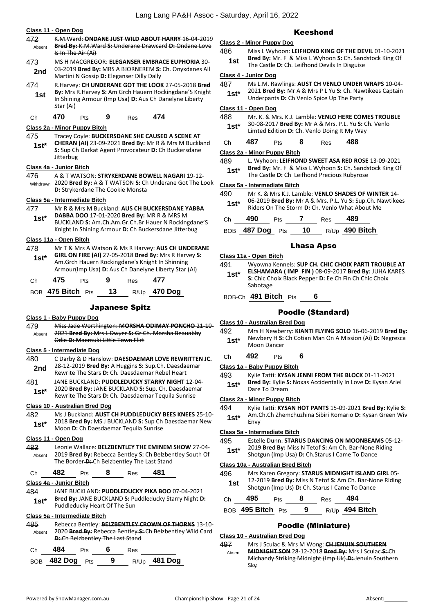|           | Class 11 - Open Dog                                                                                       |                 |
|-----------|-----------------------------------------------------------------------------------------------------------|-----------------|
| 472       | K.M.Ward: ONDANE JUST WILD ABOUT HARRY 16 04 2019                                                         | Clas            |
| Absent    | Bred By: K.M. Ward S: Underane Drawcard D: Ondane Love<br>Is In The Air (Ai)                              | 486             |
| 473       | MS H MACGREGOR: ELEGANSER EMBRACE EUPHORIA 30-                                                            |                 |
| 2nd       | 03-2019 Bred By: MRS A BJORNEREM S: Ch. Onyxdanes All<br>Martini N Gossip D: Eleganser Dilly Dally        | <u>Clas</u>     |
| 474       | R.Harvey: CH UNDERANE GOT THE LOOK 27-05-2018 Bred                                                        | 487             |
| 1st       | By: Mrs R.Harvey S: Am Grch Hauern Rockingdane'S Knight                                                   | 1               |
|           | In Shining Armour (Imp Usa) D: Aus Ch Danelyne Liberty<br>Star (Ai)                                       |                 |
|           |                                                                                                           | Clas            |
| Ch        | 470<br>9<br>474<br>Pts<br>Res                                                                             | 488<br>1        |
| 475       | Class 2a - Minor Puppy Bitch<br>Tracey Coyle: BUCKERSDANE SHE CAUSED A SCENE AT                           |                 |
|           | CHERAN (AI) 23-09-2021 Bred By: Mr R & Mrs M Buckland                                                     | Сh              |
| $1st*$    | S: Sup Ch Darkat Agent Provocateur D: Ch Buckersdane                                                      | Clas            |
|           | Jitterbug                                                                                                 | 489             |
|           | Class 4a - Junior Bitch                                                                                   | 1               |
| 476       | A & T WATSON: STRYKERDANE BOWELL NAGARI 19-12-                                                            |                 |
|           | Withdrawn 2020 Bred By: A & T WATSON S: Ch Underane Got The Look                                          | <u>Clas</u>     |
|           | D: Strykerdane The Cookie Monsta                                                                          | 49 <sub>C</sub> |
|           | Class 5a - Intermediate Bitch                                                                             | 1               |
| 477       | Mr R & Mrs M Buckland: AUS CH BUCKERSDANE YABBA<br>DABBA DOO 17-01-2020 Bred By: MR R & MRS M             |                 |
| $1st^*$   | BUCKLAND S: Am.Ch.Am.Gr.Ch.Br Hauer N Rockingdane'S                                                       | Сh              |
|           | Knight In Shining Armour D: Ch Buckersdane Jitterbug                                                      | BC              |
|           | Class 11a - Open Bitch                                                                                    |                 |
| 478       | Mr T & Mrs A Watson & Ms R Harvey: AUS CH UNDERANE                                                        |                 |
| $1st^*$   | GIRL ON FIRE (AI) 27-05-2018 Bred By: Mrs R Harvey S:                                                     | Clas            |
|           | Am.Grch Hauern Rockingdane's Knight In Shinning                                                           | 491             |
|           | Armour(Imp Usa) D: Aus Ch Danelyne Liberty Star (Ai)                                                      | 1               |
| Ch        | 475<br>9<br>477<br>Pts<br>Res                                                                             |                 |
|           | R/Up 470 Dog<br>BOB 475 Bitch $Pts$<br>13                                                                 |                 |
|           |                                                                                                           |                 |
|           |                                                                                                           | BC              |
|           | <b>Japanese Spitz</b>                                                                                     |                 |
|           | Class 1 - Baby Puppy Dog                                                                                  |                 |
| 479       | Miss Jade Worthington: MORSHA ODIMAY PONCHO 21-10-                                                        | Clas            |
| Absent    | 2021 Bred By: Mrs L Dwyer S: Gr Ch. Morsha Beauabby<br>Odie <b>D:</b> Maemuki Little Town Flirt           | 492<br>1        |
|           | Class 5 - Intermediate Dog                                                                                |                 |
| 480       | C Darby & D Hanslow: DAESDAEMAR LOVE REWRITTEN JC.                                                        | Ch              |
| 2nd       | 28-12-2019 Bred By: A Huggins S: Sup.Ch. Daesdaemar                                                       | Clas            |
|           | Rewrite The Stars D: Ch. Daesdaemar Rebel Heart                                                           | 493             |
| 481       | JANE BUCKLAND: <b>PUDDLEDUCKY STARRY NIGHT</b> 12-04-                                                     | 1               |
| $1st*$    | 2020 Bred By: JANE BUCKLAND S: Sup. Ch. Daesdaemar<br>Rewrite The Stars D: Ch. Daesdaemar Tequila Sunrise |                 |
|           |                                                                                                           | <u>Clas</u>     |
|           | <b>Class 10 - Australian Bred Dog</b><br>Ms J Buckland: AUST CH PUDDLEDUCKY BEES KNEES 25-10-             | 494             |
| 482       | 2018 Bred By: MS J BUCKLAND S: Sup Ch Daesdaemar New                                                      | 1               |
| 1st*      | Moon D: Ch Daesdaemar Tequila Sunrise                                                                     | <u>Clas</u>     |
|           | <u> Class 11 - Open Dog</u>                                                                               | 495             |
| 483       | Leonie Wallace: BELZBENTLEY THE EMINEM SHOW 27-04-                                                        | 1               |
| Absent    | 2019 Bred By: Rebecca Bentley S: Ch Belzbentley South Of                                                  |                 |
|           | The Border-D:-Ch Belzbentley The Last Stand                                                               | Clas            |
| Сh        | 482<br>481<br>8<br>Pts<br>Res                                                                             | 496             |
|           | Class 4a - Junior Bitch                                                                                   |                 |
| 484       | JANE BUCKLAND: PUDDLEDUCKY PIKA BOO 07-04-2021                                                            |                 |
| 1st*      | Bred By: JANE BUCKLAND S: Puddleducky Starry Night D:                                                     | Сh              |
|           | Puddleducky Heart Of The Sun                                                                              | BC              |
|           | Class 5a - Intermediate Bitch                                                                             |                 |
| 485       | Rebecca Bentley: BELZBENTLEY CROWN OF THORNS 13 10                                                        |                 |
| Absent    | 2020 Bred By: Rebecca Bentley S: Ch Belzbentley Wild Card<br><b>D:</b> Ch Belzbentley The Last Stand      | Clas            |
|           |                                                                                                           | 497             |
| Ch<br>BOB | 484<br>6<br>Pts<br>Res<br>481 Dog<br><b>482 Dog</b><br>9<br>R/Up<br>Pts                                   | Al              |

## Keeshond

## **Class 2 - Minor Puppy Dog**

Miss L Wyhoon: LEIFHOND KING OF THE DEVIL 01-10-2021 **Bred By:** Mr. F & Miss L Wyhoon **S:** Ch. Sandstock King Of **The Castle D:** Ch. Leifhond Devils In Disguise The Castle **D:** Ch. Leifhond Devils In Disguise

## **Class 4 - Junior Dog**

487 Ms L.M. Rawlings: **AUST CH VENLO UNDER WRAPS** 10-04- 2021 **Bred By:** Mr A & Mrs P L Yu **S:** Ch. Nawtikees Captain **St** 2021 **Bred By:** Mr A & Mrs P L Yu S: Ch. Naw<br>Underpants **D**: Ch Venlo Spice Up The Party

## **Class 11 - Open Dog**

- 488 Mr. K. & Mrs. K.J. Lamble: **VENLO HERE COMES TROUBLE** 30-08-2017 **Bred By:** Mr A & Mrs. P.L. Yu **S:** Ch. Venlo
	- **St\*** 30-08-2017 **Bred By:** Mr A & Mrs. P.L. Yu **S:** C<br>Limted Edition **D:** Ch. Venlo Doing It My Way

| Ch | 487 | ₽ts | 8 | <b>Res</b> | 488 |
|----|-----|-----|---|------------|-----|
|----|-----|-----|---|------------|-----|

## **Class 2a - Minor Puppy Bitch**

489 L. Wyhoon: **LEIFHOND SWEET ASA RED ROSE** 13-09-2021 **Bred By:** Mr. F & Miss L Wyhoon **S:** Ch. Sandstock King Of **St\*** Bred By: Mr. F & Miss L Wynoon S: Ch. Sands<br>The Castle D: Ch Leifhond Precious Rubyrose

## **Class 5a - Intermediate Bitch**

- Mr K. & Mrs K.J. Lamble: VENLO SHADES OF WINTER 14-
- 06-2019 **Bred By:** Mr A & Mrs. P.L. Yu **S:** Sup.Ch. Nawtikees Riders On The Storm **D:** Ch. Venlo What About Me **1st\***

| Ch | 490             | <b>Pts</b> |    | Res | 489              |
|----|-----------------|------------|----|-----|------------------|
|    | BOB 487 Dog Pts |            | 10 |     | $R/Up$ 490 Bitch |

## Lhasa Apso

|  | Class 11a - Open Bitch |
|--|------------------------|
|  |                        |

491 Wyowna Kennels: **SUP CH. CHIC CHOIX PARTI TROUBLE AT ELSHAMARA ( IMP FIN )** 08-09-2017 **Bred By:** JUHA KARES **S:** Chic Choix Black Pepper **D:** Ee Ch Fin Ch Chic Choix Sabotage **1st\***

## BOB-Ch **491 Bitch** Pts **6**

## Poodle (Standard)

## **Class 10 - Australian Bred Dog**

492 Mrs H Newberry: **KIANTI FLYING SOLO** 16-06-2019 **Bred By:** Newbery H **S:** Ch Cotian Man On A Mission (Ai) **D:** Negresca **st**\* Newbery H **S:**<br>Moon Dancer

## Ch **492** Pts **6**

**Class 1a - Baby Puppy Bitch**

- 493 Kylie Tatti: **KYSAN JENNI FROM THE BLOCK** 01-11-2021
	- **Bred By:** Kylie **S:** Noxas Accidentally In Love **D:** Kysan Ariel **1915 St<sup>\*</sup> Brea By:** Kylle St\* Dare To Dream

## **Class 2a - Minor Puppy Bitch**

494 Kylie Tatti: **KYSAN HOT PANTS** 15-09-2021 **Bred By:** Kylie **S:**  Am.Ch.Ch Zhemchuzhina Sibiri Romario **D:** Kysan Green Wiv **st**\* Am.Com

## **Class 5a - Intermediate Bitch**

## Estelle Dunn: STARUS DANCING ON MOONBEAMS 05-12-

- 2019 **Bred By:** Miss N Tetof **S:** Am Ch. Bar-None Riding
- **St\*** 2019 **brea by:** MISS N Tetor **5:** Am Ch. Bar-None For Shotgun (Imp Usa) **D:** Ch.Starus I Came To Dance

## **Class 10a - Australian Bred Bitch**

- 496 Mrs Karen Gregory: **STARUS MIDNIGHT ISLAND GIRL** 05- 12-2019 **Bred By:** Miss N Tetof **S:** Am Ch. Bar-None Riding
	- **St Example 2** Letter **12-2019 Breu by:** Miss N Tetor **3.** And the Bar-No<br>Shotgun (Imp Us) **D:** Ch. Starus I Came To Dance

| Ch <b>495</b> | <b>Pts</b> | -8 | $\sim$ Res | 494 |  |
|---------------|------------|----|------------|-----|--|
|               |            |    |            |     |  |

BOB **495 Bitch** Pts **9** R/Up **494 Bitch**

## Poodle (Miniature)

## **Class 10 - Australian Bred Dog**

497 Mrs J Sculac & Mrs M Wong: **CH JENUIN SOUTHERN MIDNIGHT SON** 28-12-2018 **Bred By:** Mrs J Sculac **S:** Ch Michandy Striking Midnight (Imp Uk) **D:** Jenuin Southern Sky bsent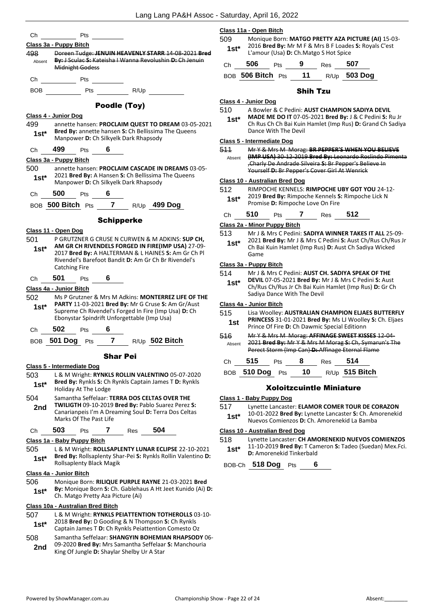| Ch             | Pts                                                                                                                                                |                 | Class 11a - Open Bitch                 |
|----------------|----------------------------------------------------------------------------------------------------------------------------------------------------|-----------------|----------------------------------------|
|                |                                                                                                                                                    | 509             | Monique Born                           |
|                | Class 3a - Puppy Bitch                                                                                                                             | $1st^*$         | 2016 Bred By:                          |
| 498            | Doreen Tudge: JENUIN HEAVENLY STARR 14-08-2021 Bred                                                                                                |                 | L'amour (Usa)                          |
| Absent         | By: J Sculac S: Kateisha I Wanna Revolushin D: Ch Jenuin<br><b>Midnight Godess</b>                                                                 | Ch              | 506<br>Pts                             |
|                | Ch Pts                                                                                                                                             |                 | BOB 506 Bitch Pts                      |
|                | BOB Pts R/Up                                                                                                                                       |                 |                                        |
|                | Poodle (Toy)                                                                                                                                       |                 | <b>Class 4 - Junior Dog</b>            |
|                | Class 4 - Junior Dog                                                                                                                               | 510             | A Bowler & C F                         |
|                |                                                                                                                                                    | $1st*$          | <b>MADE ME DO</b><br>Ch Rus Ch Ch E    |
| 499<br>$1st^*$ | annette hansen: PROCLAIM QUEST TO DREAM 03-05-2021<br>Bred By: annette hansen S: Ch Bellissima The Queens<br>Manpower D: Ch Silkyelk Dark Rhapsody |                 | Dance With Th                          |
|                | 499<br>6                                                                                                                                           | 511             | Class 5 - Intermediate D               |
| Ch             | <b>Pts</b>                                                                                                                                         | Absent          | Mr Y & Mrs M<br>$(HMP USA)$ 30         |
| 500            | Class 3a - Puppy Bitch<br>annette hansen: PROCLAIM CASCADE IN DREAMS 03-05-                                                                        |                 | Charly De Ane                          |
| $1st^*$        | 2021 Bred By: A Hansen S: Ch Bellissima The Queens                                                                                                 |                 | Yourself D: Br                         |
|                | Manpower D: Ch Silkyelk Dark Rhapsody                                                                                                              |                 | Class 10 - Australian Bro              |
| Ch             | 500<br>6<br><b>Pts</b>                                                                                                                             | 512             | <b>RIMPOCHE KEI</b><br>2019 Bred By:   |
|                | BOB 500 Bitch Pts 7 R/Up 499 Dog                                                                                                                   | $1$ st $^*$     | Promise D: Rin                         |
|                | <b>Schipperke</b>                                                                                                                                  | Ch <sub>a</sub> | 510<br>Pts                             |
|                |                                                                                                                                                    |                 | Class 2a - Minor Puppy                 |
|                | Class 11 - Open Dog                                                                                                                                | 513             | Mr J & Mrs C P                         |
| 501            | P GRUTZNER G CRUSE N CURWEN & M ADKINS: SUP CH,<br>AM GR CH RIVENDELS FORGED IN FIRE(IMP USA) 27-09-                                               | $1st^*$         | 2021 Bred By:                          |
| $1st^*$        | 2017 Bred By: A HALTERMAN & L HAINES S: Am Gr Ch Pl                                                                                                |                 | Ch Bai Kuin Ha<br>Game                 |
|                | Rivendel's Barefoot Bandit D: Am Gr Ch Br Rivendel's                                                                                               |                 |                                        |
|                | <b>Catching Fire</b>                                                                                                                               |                 | Class 3a - Puppy Bitch                 |
| Ch             | 501<br>6<br>Pts                                                                                                                                    | 514             | Mr J & Mrs C P<br><b>DEVIL 07-05-2</b> |
|                | Class 4a - Junior Bitch                                                                                                                            | $1st^*$         | Ch/Rus Ch/Rus                          |
| 502            | Ms P Grutzner & Mrs M Adkins: MONTERREZ LIFE OF THE                                                                                                |                 | Sadiya Dance \                         |
| $1st^*$        | PARTY 11-03-2021 Bred By: Mr G Cruse S: Am Gr/Aust                                                                                                 |                 | Class 4a - Junior Bitch                |
|                | Supreme Ch Rivendel's Forged In Fire (Imp Usa) D: Ch                                                                                               | 515             | Lisa Woolley: /                        |
|                | Ebonystar Spindrift Unforgettable (Imp Usa)                                                                                                        | 1st             | PRINCESS 31-0                          |
| Ch             | 502<br>6<br><b>Pts</b>                                                                                                                             |                 | Prince Of Fire I<br>Mr Y & Mrs M       |
| BOB            | 501 Dog Pts 7 R/Up 502 Bitch                                                                                                                       | 516<br>Absent   | 2021 Bred By:                          |
|                |                                                                                                                                                    |                 | Perect Storm (                         |
|                | <b>Shar Pei</b><br><b>Class 5 - Intermediate Dog</b>                                                                                               | Ch              | 515<br>Pts                             |
| 503            | L & M Wright: RYNKLS ROLLIN VALENTINO 05-07-2020                                                                                                   | BOB             | 510 Dog<br>Pts                         |
| $1st*$         | Bred By: Rynkls S: Ch Rynkls Captain James T D: Rynkls                                                                                             |                 |                                        |
|                | <b>Holiday At The Lodge</b>                                                                                                                        |                 | Xoloi                                  |
| 504            | Samantha Seffelaar: TERRA DOS CELTAS OVER THE                                                                                                      |                 | Class 1 - Baby Puppy Do                |
| 2nd            | TWILIGTH 09-10-2019 Bred By: Pablo Suarez Perez S:                                                                                                 | 517             | Lynette Lancas                         |
|                | Canarianpeis I'm A Dreaming Soul D: Terra Dos Celtas<br>Marks Of The Past Life                                                                     | $1st*$          | 10-01-2022 Br<br>Nuevos Comie          |
| Ch             | 503<br>504<br>7<br>Pts<br>Res                                                                                                                      |                 | Class 10 - Australian Bro              |
|                | Class 1a - Baby Puppy Bitch                                                                                                                        | 518             | Lynette Lancas                         |
| 505            | L & M Wright: ROLLSAPLENTY LUNAR ECLIPSE 22-10-2021                                                                                                | $1st*$          | 11-10-2019 Br                          |
| $1st*$         | Bred By: Rollsaplenty Shar-Pei S: Rynkls Rollin Valentino D:<br><b>Rollsaplenty Black Magik</b>                                                    | BOB-Ch          | D: Amorenekio<br>518 Dog               |
|                | Class 4a - Junior Bitch                                                                                                                            |                 |                                        |
| 506            | Monique Born: RILIQUE PURPLE RAYNE 21-03-2021 Bred                                                                                                 |                 |                                        |
| $1st*$         | By: Monique Born S: Ch. Gablehaus A Ht Jeet Kunido (Ai) D:<br>Ch. Matgo Pretty Aza Picture (Ai)                                                    |                 |                                        |
|                | Class 10a - Australian Bred Bitch                                                                                                                  |                 |                                        |
|                |                                                                                                                                                    |                 |                                        |

507 L & M Wright: **RYNKLS PEIATTENTION TOTHEROLLS** 03-10- 2018 **Bred By:** D Gooding & N Thompson **S:** Ch Rynkls **1st**\* 2018 **Bred By:** D Gooding & N Thompson S: Ch Rynkls Captain James T D: Ch Rynkls Peiattention Comesto Oz 508 Samantha Seffelaar: **SHANGYIN BOHEMIAN RHAPSODY** 06- 09-2020 **Bred By:** Mrs Samantha Seffelaar **S:** Manchouria **2nd** 09-2020 **Bred By:** Mrs Samantha Seffelaal<br>**2nd** King Of Jungle **D:** Shaylar Shelby Ur A Star

509 Monique Born: **MATGO PRETTY AZA PICTURE (AI)** 15-03- 2016 **Bred By:** Mr M F & Mrs B F Loades **S:** Royals C'est **D:** Ch.Matgo S Hot Spice

|              |   |         | $\overline{p}$ $\overline{p}$ $\overline{p}$ $\overline{p}$ $\overline{p}$ $\overline{p}$ $\overline{p}$ $\overline{p}$ $\overline{p}$ $\overline{p}$ $\overline{p}$ $\overline{p}$ $\overline{p}$ $\overline{p}$ $\overline{p}$ $\overline{p}$ $\overline{p}$ $\overline{p}$ $\overline{p}$ $\overline{p}$ $\overline{p}$ $\overline{p}$ $\overline{p}$ $\overline{p}$ $\overline{$ |
|--------------|---|---------|--------------------------------------------------------------------------------------------------------------------------------------------------------------------------------------------------------------------------------------------------------------------------------------------------------------------------------------------------------------------------------------|
| Ch 506 Pts 9 |   | Res 507 |                                                                                                                                                                                                                                                                                                                                                                                      |
|              | . |         |                                                                                                                                                                                                                                                                                                                                                                                      |

## BOB **506 Bitch** Pts **11** R/Up **503 Dog**

## Shih Tzu

- Pedini: **AUST CHAMPION SADIYA DEVIL**
- **MADE ME DO IT** 07-05-2021 **Bred By:** J & C Pedini **S:** Ru Jr Bai Kuin Hamlet (Imp Rus) D: Grand Ch Sadiya าe Devil

## **Class 5 - Intermediate Dog**

**Morag: BR PEPPER'S WHEN YOU BELIEVE** 

**(IMP USA)** 30-12-2019 **Bred By:** Leonardo Roslindo Pimenta ,Charly De Andrade Silveira **S:** Br Pepper's Believe In Pepper's Cover Girl At Wenrick

## **Class 10 - Australian Bred Dog**

- **NNELS: RIMPOCHE UBY GOT YOU 24-12-**
	- 2019 **Bred By:** Rimpoche Kennels **S:** Rimpoche Lick N Promise **D:** Rimpoche Love On Fire **1st\***
- Ch **510** Pts **7** Res **512**

## **Bitch**

- **Pedini: SADIYA WINNER TAKES IT ALL 25-09-**2021 **Bred By:** Mr J & Mrs C Pedini **S:** Aust Ch/Rus Ch/Rus Jr
- mlet (Imp Rus) **D:** Aust Ch Sadiya Wicked
- Pedini: **AUST CH. SADIYA SPEAK OF THE**
- **DEVIL** 07-05-2021 **Bred By:** Mr J & Mrs C Pedini **S:** Aust s Jr Ch Bai Kuin Hamlet (Imp Rus) **D:** Gr Ch With The Devil

| 515<br>1st    |     |     |     | Prince Of Fire D: Ch Dawmic Special Editionn                                                         | Lisa Woolley: AUSTRALIAN CHAMPION ELJAES BUTTERFLY<br>PRINCESS 31-01-2021 Bred By: Ms LJ Woolley S: Ch. Eljaes |
|---------------|-----|-----|-----|------------------------------------------------------------------------------------------------------|----------------------------------------------------------------------------------------------------------------|
| 516<br>Absent |     |     |     | Mr Y & Mrs M Morag: AFFINAGE SWEET KISSES 12-04-<br>Perect Storm (Imp Can) D: Affinage Eternal Flame | 2021 Bred By: Mr Y & Mrs M Morag-S: Ch, Symarun's The                                                          |
| ר.ר           | 515 | Pts | Res | 514                                                                                                  |                                                                                                                |

| BOB 510 Dog Pts | . 10 - | $R/Up$ 515 Bitch |
|-----------------|--------|------------------|
|                 |        |                  |

## itzcuintle Miniature

#### **Class 1 - Baby Puppy Dog**

**ster: ELAMOR COMER TOUR DE CORAZON** 

10-01-2022 **Bred By:** Lynette Lancaster **S:** Ch. Amorenekid **nzos D:** Ch. Amorenekid La Bamba

## **Class 10 - Australian Bred Dog**

- 518 Lynette Lancaster: **CH AMORENEKID NUEVOS COMIENZOS**
- **120 By:** T Cameron S: Tadeo (Suedan) Mex.Fci. **D:** Amorenekid Tinkerbald **1st\***

BOB-Ch **518 Dog** Pts **6**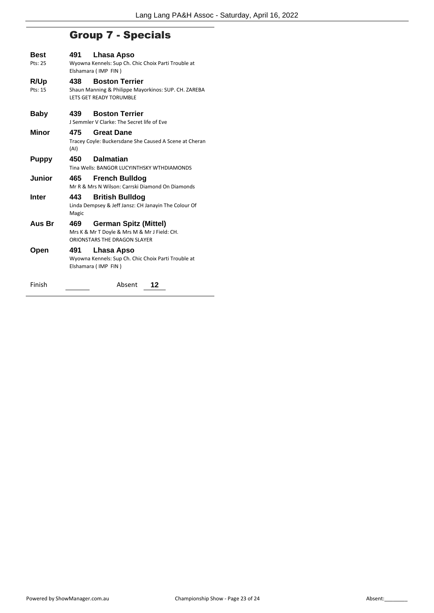# Group 7 - Specials

| <b>Best</b><br>Pts: 25 | 491          | Lhasa Apso<br>Wyowna Kennels: Sup Ch. Chic Choix Parti Trouble at<br>Elshamara (IMP FIN)                        |
|------------------------|--------------|-----------------------------------------------------------------------------------------------------------------|
| R/Up<br>Pts: 15        | 438          | <b>Boston Terrier</b><br>Shaun Manning & Philippe Mayorkinos: SUP. CH. ZAREBA<br><b>LETS GET READY TORUMBLE</b> |
| <b>Baby</b>            | 439          | <b>Boston Terrier</b><br>J Semmler V Clarke: The Secret life of Eve                                             |
| Minor                  | 475<br>(AI)  | <b>Great Dane</b><br>Tracey Coyle: Buckersdane She Caused A Scene at Cheran                                     |
| <b>Puppy</b>           | 450          | <b>Dalmatian</b><br>Tina Wells: BANGOR LUCYINTHSKY WTHDIAMONDS                                                  |
| Junior                 | 465          | <b>French Bulldog</b><br>Mr R & Mrs N Wilson: Carrski Diamond On Diamonds                                       |
| Inter                  | 443<br>Magic | <b>British Bulldog</b><br>Linda Dempsey & Jeff Jansz: CH Janayin The Colour Of                                  |
| Aus Br                 | 469.         | German Spitz (Mittel)<br>Mrs K & Mr T Doyle & Mrs M & Mr J Field: CH.<br>ORIONSTARS THE DRAGON SLAYER           |
| Open                   | 491          | Lhasa Apso<br>Wyowna Kennels: Sup Ch. Chic Choix Parti Trouble at<br>Elshamara (IMP FIN)                        |
| Finish                 |              | Absent<br>12                                                                                                    |